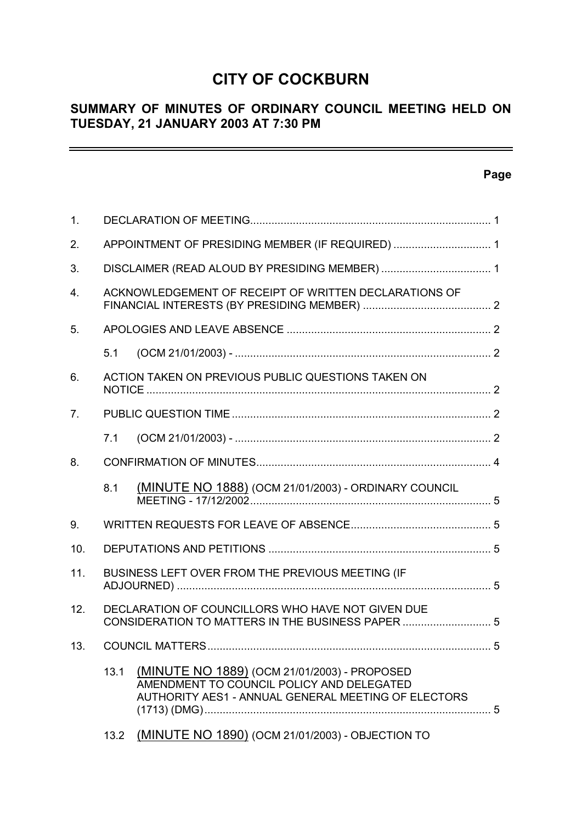## **CITY OF COCKBURN**

## **SUMMARY OF MINUTES OF ORDINARY COUNCIL MEETING HELD ON TUESDAY, 21 JANUARY 2003 AT 7:30 PM**

## **Page**

 $\equiv$ 

| 1.             |                                                                                                                                                          |
|----------------|----------------------------------------------------------------------------------------------------------------------------------------------------------|
| 2.             | APPOINTMENT OF PRESIDING MEMBER (IF REQUIRED)  1                                                                                                         |
| 3.             |                                                                                                                                                          |
| 4.             | ACKNOWLEDGEMENT OF RECEIPT OF WRITTEN DECLARATIONS OF                                                                                                    |
| 5.             |                                                                                                                                                          |
|                | 5.1                                                                                                                                                      |
| 6.             | ACTION TAKEN ON PREVIOUS PUBLIC QUESTIONS TAKEN ON                                                                                                       |
| 7 <sub>1</sub> |                                                                                                                                                          |
|                | 7.1                                                                                                                                                      |
| 8.             |                                                                                                                                                          |
|                | (MINUTE NO 1888) (OCM 21/01/2003) - ORDINARY COUNCIL<br>8.1                                                                                              |
| 9.             |                                                                                                                                                          |
| 10.            |                                                                                                                                                          |
| 11.            | BUSINESS LEFT OVER FROM THE PREVIOUS MEETING (IF                                                                                                         |
| 12.            | DECLARATION OF COUNCILLORS WHO HAVE NOT GIVEN DUE<br>CONSIDERATION TO MATTERS IN THE BUSINESS PAPER  5                                                   |
|                | 13. COUNCIL MATTERS.                                                                                                                                     |
|                | 13.1<br>(MINUTE NO 1889) (OCM 21/01/2003) - PROPOSED<br>AMENDMENT TO COUNCIL POLICY AND DELEGATED<br>AUTHORITY AES1 - ANNUAL GENERAL MEETING OF ELECTORS |
|                | (MINUTE NO 1890) (OCM 21/01/2003) - OBJECTION TO<br>13.2                                                                                                 |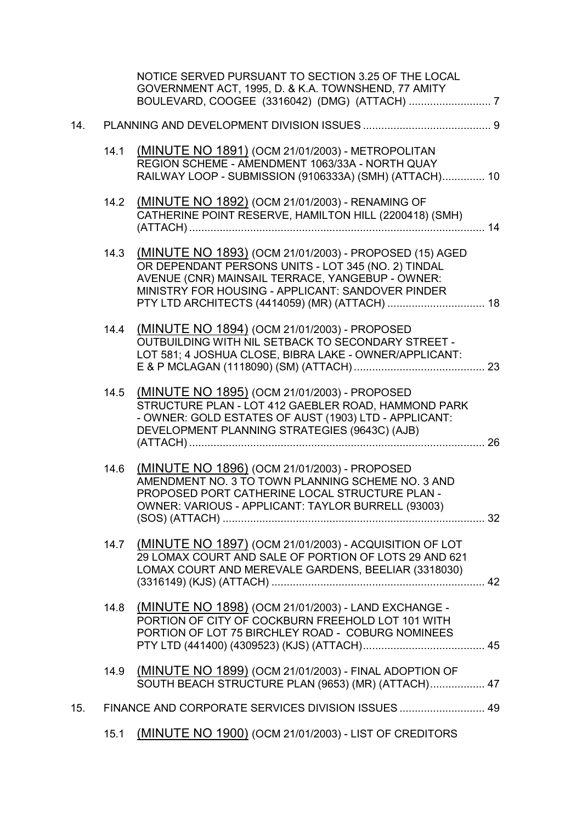|     |      | NOTICE SERVED PURSUANT TO SECTION 3.25 OF THE LOCAL<br>GOVERNMENT ACT, 1995, D. & K.A. TOWNSHEND, 77 AMITY                                                                                                             |  |
|-----|------|------------------------------------------------------------------------------------------------------------------------------------------------------------------------------------------------------------------------|--|
| 14. |      |                                                                                                                                                                                                                        |  |
|     | 14.1 | (MINUTE NO 1891) (OCM 21/01/2003) - METROPOLITAN<br>REGION SCHEME - AMENDMENT 1063/33A - NORTH QUAY<br>RAILWAY LOOP - SUBMISSION (9106333A) (SMH) (ATTACH) 10                                                          |  |
|     | 14.2 | (MINUTE NO 1892) (OCM 21/01/2003) - RENAMING OF<br>CATHERINE POINT RESERVE, HAMILTON HILL (2200418) (SMH)                                                                                                              |  |
|     | 14.3 | (MINUTE NO 1893) (OCM 21/01/2003) - PROPOSED (15) AGED<br>OR DEPENDANT PERSONS UNITS - LOT 345 (NO. 2) TINDAL<br>AVENUE (CNR) MAINSAIL TERRACE, YANGEBUP - OWNER:<br>MINISTRY FOR HOUSING - APPLICANT: SANDOVER PINDER |  |
|     | 14.4 | (MINUTE NO 1894) (OCM 21/01/2003) - PROPOSED<br>OUTBUILDING WITH NIL SETBACK TO SECONDARY STREET -<br>LOT 581; 4 JOSHUA CLOSE, BIBRA LAKE - OWNER/APPLICANT:                                                           |  |
|     | 14.5 | (MINUTE NO 1895) (OCM 21/01/2003) - PROPOSED<br>STRUCTURE PLAN - LOT 412 GAEBLER ROAD, HAMMOND PARK<br>- OWNER: GOLD ESTATES OF AUST (1903) LTD - APPLICANT:<br>DEVELOPMENT PLANNING STRATEGIES (9643C) (AJB)          |  |
|     | 14.6 | (MINUTE NO 1896) (OCM 21/01/2003) - PROPOSED<br>AMENDMENT NO. 3 TO TOWN PLANNING SCHEME NO. 3 AND<br>PROPOSED PORT CATHERINE LOCAL STRUCTURE PLAN -<br>OWNER: VARIOUS - APPLICANT: TAYLOR BURRELL (93003)              |  |
|     |      | 14.7 (MINUTE NO 1897) (OCM 21/01/2003) - ACQUISITION OF LOT<br>29 LOMAX COURT AND SALE OF PORTION OF LOTS 29 AND 621<br>LOMAX COURT AND MEREVALE GARDENS, BEELIAR (3318030)                                            |  |
|     | 14.8 | (MINUTE NO 1898) (OCM 21/01/2003) - LAND EXCHANGE -<br>PORTION OF CITY OF COCKBURN FREEHOLD LOT 101 WITH<br>PORTION OF LOT 75 BIRCHLEY ROAD - COBURG NOMINEES                                                          |  |
|     |      | 14.9 (MINUTE NO 1899) (OCM 21/01/2003) - FINAL ADOPTION OF<br>SOUTH BEACH STRUCTURE PLAN (9653) (MR) (ATTACH) 47                                                                                                       |  |
| 15. |      | FINANCE AND CORPORATE SERVICES DIVISION ISSUES  49                                                                                                                                                                     |  |
|     | 15.1 | (MINUTE NO 1900) (OCM 21/01/2003) - LIST OF CREDITORS                                                                                                                                                                  |  |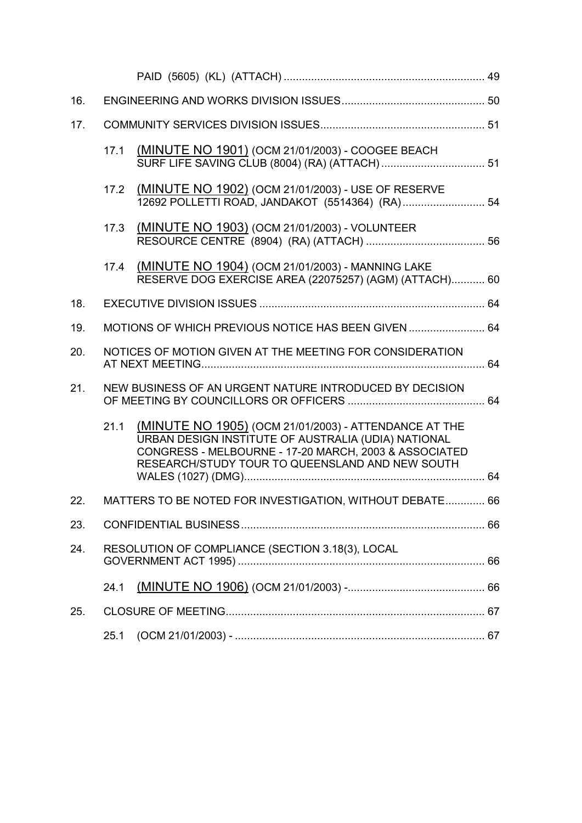| 16. |      |                                                                                                                                                                                                                          |  |
|-----|------|--------------------------------------------------------------------------------------------------------------------------------------------------------------------------------------------------------------------------|--|
| 17. |      |                                                                                                                                                                                                                          |  |
|     | 17.1 | (MINUTE NO 1901) (OCM 21/01/2003) - COOGEE BEACH                                                                                                                                                                         |  |
|     | 17.2 | (MINUTE NO 1902) (OCM 21/01/2003) - USE OF RESERVE<br>12692 POLLETTI ROAD, JANDAKOT (5514364) (RA) 54                                                                                                                    |  |
|     | 17.3 | (MINUTE NO 1903) (OCM 21/01/2003) - VOLUNTEER                                                                                                                                                                            |  |
|     | 17.4 | (MINUTE NO 1904) (OCM 21/01/2003) - MANNING LAKE<br>RESERVE DOG EXERCISE AREA (22075257) (AGM) (ATTACH) 60                                                                                                               |  |
| 18. |      |                                                                                                                                                                                                                          |  |
| 19. |      | MOTIONS OF WHICH PREVIOUS NOTICE HAS BEEN GIVEN  64                                                                                                                                                                      |  |
| 20. |      | NOTICES OF MOTION GIVEN AT THE MEETING FOR CONSIDERATION                                                                                                                                                                 |  |
| 21. |      | NEW BUSINESS OF AN URGENT NATURE INTRODUCED BY DECISION                                                                                                                                                                  |  |
|     | 21.1 | (MINUTE NO 1905) (OCM 21/01/2003) - ATTENDANCE AT THE<br>URBAN DESIGN INSTITUTE OF AUSTRALIA (UDIA) NATIONAL<br>CONGRESS - MELBOURNE - 17-20 MARCH, 2003 & ASSOCIATED<br>RESEARCH/STUDY TOUR TO QUEENSLAND AND NEW SOUTH |  |
| 22. |      | MATTERS TO BE NOTED FOR INVESTIGATION, WITHOUT DEBATE 66                                                                                                                                                                 |  |
| 23. |      |                                                                                                                                                                                                                          |  |
| 24. |      | RESOLUTION OF COMPLIANCE (SECTION 3.18(3), LOCAL                                                                                                                                                                         |  |
|     | 24.1 |                                                                                                                                                                                                                          |  |
| 25. |      |                                                                                                                                                                                                                          |  |
|     | 25.1 |                                                                                                                                                                                                                          |  |
|     |      |                                                                                                                                                                                                                          |  |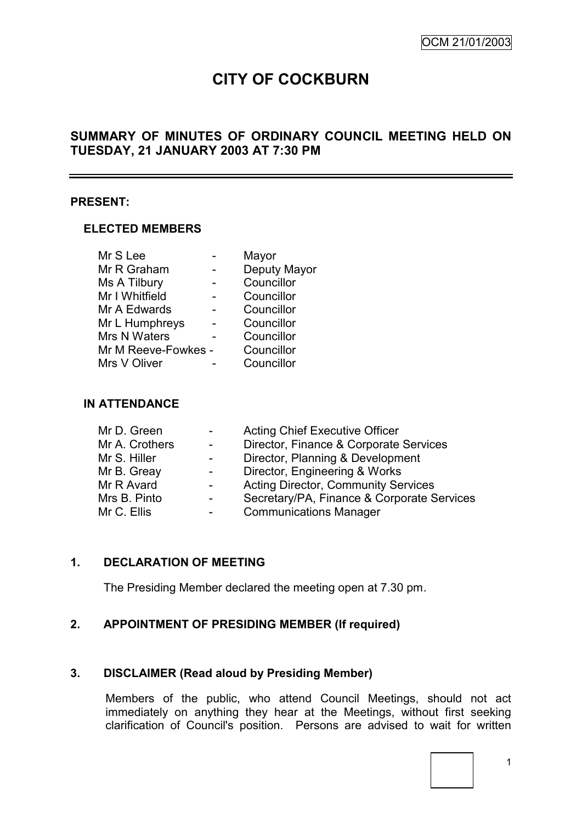# **CITY OF COCKBURN**

## **SUMMARY OF MINUTES OF ORDINARY COUNCIL MEETING HELD ON TUESDAY, 21 JANUARY 2003 AT 7:30 PM**

## **PRESENT:**

## **ELECTED MEMBERS**

|                     | Mayor        |
|---------------------|--------------|
|                     | Deputy Mayor |
|                     | Councillor   |
|                     | Councillor   |
|                     | Councillor   |
|                     | Councillor   |
|                     | Councillor   |
| Mr M Reeve-Fowkes - | Councillor   |
|                     | Councillor   |
|                     |              |

## **IN ATTENDANCE**

| Mr D. Green    | $\blacksquare$           | <b>Acting Chief Executive Officer</b>      |
|----------------|--------------------------|--------------------------------------------|
| Mr A. Crothers | $\blacksquare$           | Director, Finance & Corporate Services     |
| Mr S. Hiller   | $\blacksquare$           | Director, Planning & Development           |
| Mr B. Greay    | $\overline{\phantom{a}}$ | Director, Engineering & Works              |
| Mr R Avard     | $\blacksquare$           | <b>Acting Director, Community Services</b> |
| Mrs B. Pinto   | $\overline{\phantom{a}}$ | Secretary/PA, Finance & Corporate Services |
| Mr C. Ellis    | -                        | <b>Communications Manager</b>              |
|                |                          |                                            |

## **1. DECLARATION OF MEETING**

The Presiding Member declared the meeting open at 7.30 pm.

## **2. APPOINTMENT OF PRESIDING MEMBER (If required)**

## **3. DISCLAIMER (Read aloud by Presiding Member)**

Members of the public, who attend Council Meetings, should not act immediately on anything they hear at the Meetings, without first seeking clarification of Council's position. Persons are advised to wait for written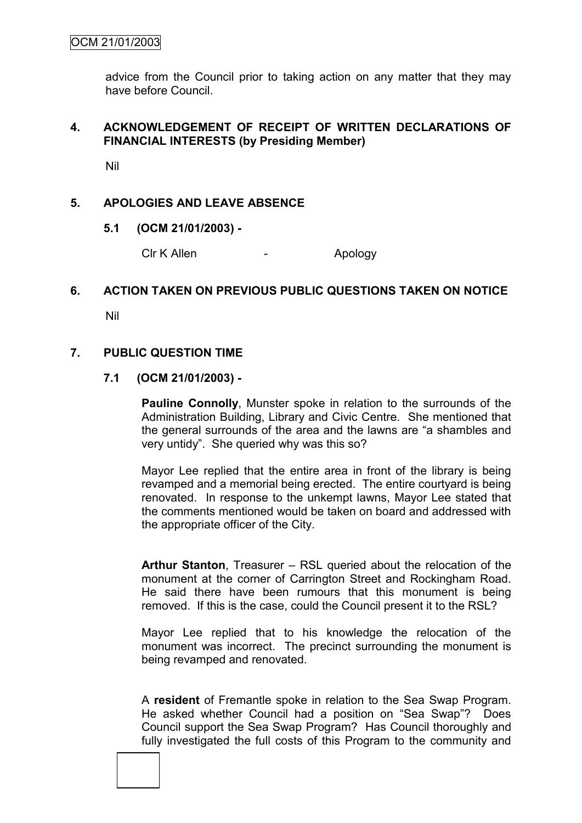advice from the Council prior to taking action on any matter that they may have before Council.

## **4. ACKNOWLEDGEMENT OF RECEIPT OF WRITTEN DECLARATIONS OF FINANCIAL INTERESTS (by Presiding Member)**

Nil

## **5. APOLOGIES AND LEAVE ABSENCE**

**5.1 (OCM 21/01/2003) -**

Clr K Allen - Apology

## **6. ACTION TAKEN ON PREVIOUS PUBLIC QUESTIONS TAKEN ON NOTICE**

Nil

## **7. PUBLIC QUESTION TIME**

#### **7.1 (OCM 21/01/2003) -**

**Pauline Connolly**, Munster spoke in relation to the surrounds of the Administration Building, Library and Civic Centre. She mentioned that the general surrounds of the area and the lawns are "a shambles and very untidy". She queried why was this so?

Mayor Lee replied that the entire area in front of the library is being revamped and a memorial being erected. The entire courtyard is being renovated. In response to the unkempt lawns, Mayor Lee stated that the comments mentioned would be taken on board and addressed with the appropriate officer of the City.

**Arthur Stanton**, Treasurer – RSL queried about the relocation of the monument at the corner of Carrington Street and Rockingham Road. He said there have been rumours that this monument is being removed. If this is the case, could the Council present it to the RSL?

Mayor Lee replied that to his knowledge the relocation of the monument was incorrect. The precinct surrounding the monument is being revamped and renovated.

A **resident** of Fremantle spoke in relation to the Sea Swap Program. He asked whether Council had a position on "Sea Swap"? Does Council support the Sea Swap Program? Has Council thoroughly and fully investigated the full costs of this Program to the community and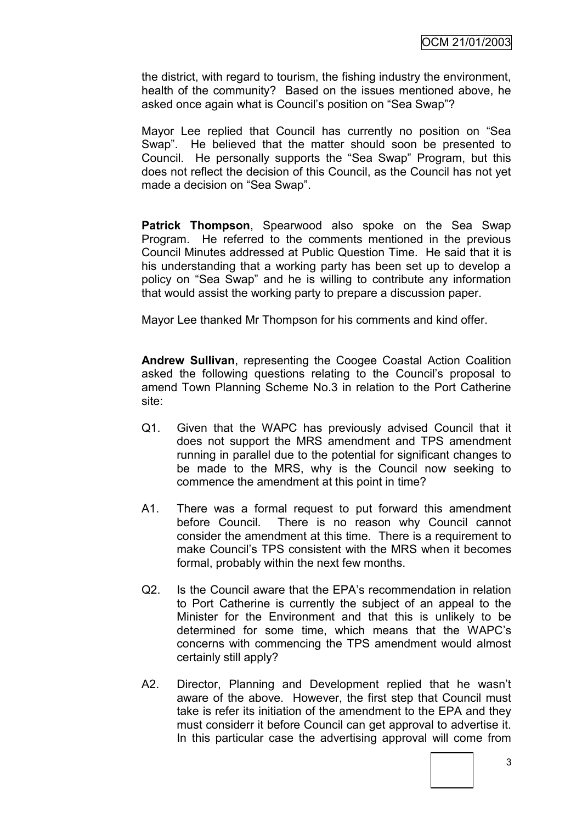the district, with regard to tourism, the fishing industry the environment, health of the community? Based on the issues mentioned above, he asked once again what is Council"s position on "Sea Swap"?

Mayor Lee replied that Council has currently no position on "Sea Swap". He believed that the matter should soon be presented to Council. He personally supports the "Sea Swap" Program, but this does not reflect the decision of this Council, as the Council has not yet made a decision on "Sea Swap".

**Patrick Thompson**, Spearwood also spoke on the Sea Swap Program. He referred to the comments mentioned in the previous Council Minutes addressed at Public Question Time. He said that it is his understanding that a working party has been set up to develop a policy on "Sea Swap" and he is willing to contribute any information that would assist the working party to prepare a discussion paper.

Mayor Lee thanked Mr Thompson for his comments and kind offer.

**Andrew Sullivan**, representing the Coogee Coastal Action Coalition asked the following questions relating to the Council"s proposal to amend Town Planning Scheme No.3 in relation to the Port Catherine site:

- Q1. Given that the WAPC has previously advised Council that it does not support the MRS amendment and TPS amendment running in parallel due to the potential for significant changes to be made to the MRS, why is the Council now seeking to commence the amendment at this point in time?
- A1. There was a formal request to put forward this amendment before Council. There is no reason why Council cannot consider the amendment at this time. There is a requirement to make Council"s TPS consistent with the MRS when it becomes formal, probably within the next few months.
- Q2. Is the Council aware that the EPA"s recommendation in relation to Port Catherine is currently the subject of an appeal to the Minister for the Environment and that this is unlikely to be determined for some time, which means that the WAPC"s concerns with commencing the TPS amendment would almost certainly still apply?
- A2. Director, Planning and Development replied that he wasn"t aware of the above. However, the first step that Council must take is refer its initiation of the amendment to the EPA and they must considerr it before Council can get approval to advertise it. In this particular case the advertising approval will come from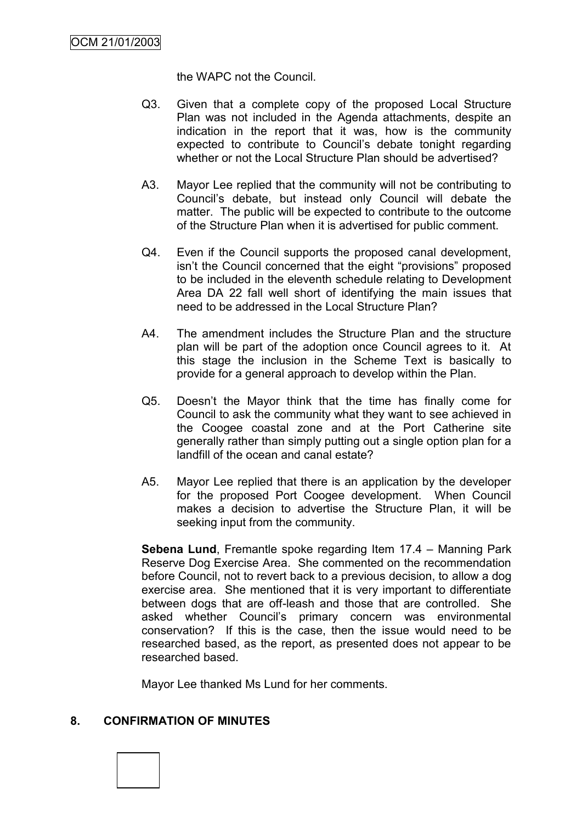the WAPC not the Council.

- Q3. Given that a complete copy of the proposed Local Structure Plan was not included in the Agenda attachments, despite an indication in the report that it was, how is the community expected to contribute to Council's debate tonight regarding whether or not the Local Structure Plan should be advertised?
- A3. Mayor Lee replied that the community will not be contributing to Council"s debate, but instead only Council will debate the matter. The public will be expected to contribute to the outcome of the Structure Plan when it is advertised for public comment.
- Q4. Even if the Council supports the proposed canal development, isn"t the Council concerned that the eight "provisions" proposed to be included in the eleventh schedule relating to Development Area DA 22 fall well short of identifying the main issues that need to be addressed in the Local Structure Plan?
- A4. The amendment includes the Structure Plan and the structure plan will be part of the adoption once Council agrees to it. At this stage the inclusion in the Scheme Text is basically to provide for a general approach to develop within the Plan.
- Q5. Doesn"t the Mayor think that the time has finally come for Council to ask the community what they want to see achieved in the Coogee coastal zone and at the Port Catherine site generally rather than simply putting out a single option plan for a landfill of the ocean and canal estate?
- A5. Mayor Lee replied that there is an application by the developer for the proposed Port Coogee development. When Council makes a decision to advertise the Structure Plan, it will be seeking input from the community.

**Sebena Lund**, Fremantle spoke regarding Item 17.4 – Manning Park Reserve Dog Exercise Area. She commented on the recommendation before Council, not to revert back to a previous decision, to allow a dog exercise area. She mentioned that it is very important to differentiate between dogs that are off-leash and those that are controlled. She asked whether Council"s primary concern was environmental conservation? If this is the case, then the issue would need to be researched based, as the report, as presented does not appear to be researched based.

Mayor Lee thanked Ms Lund for her comments.

## **8. CONFIRMATION OF MINUTES**

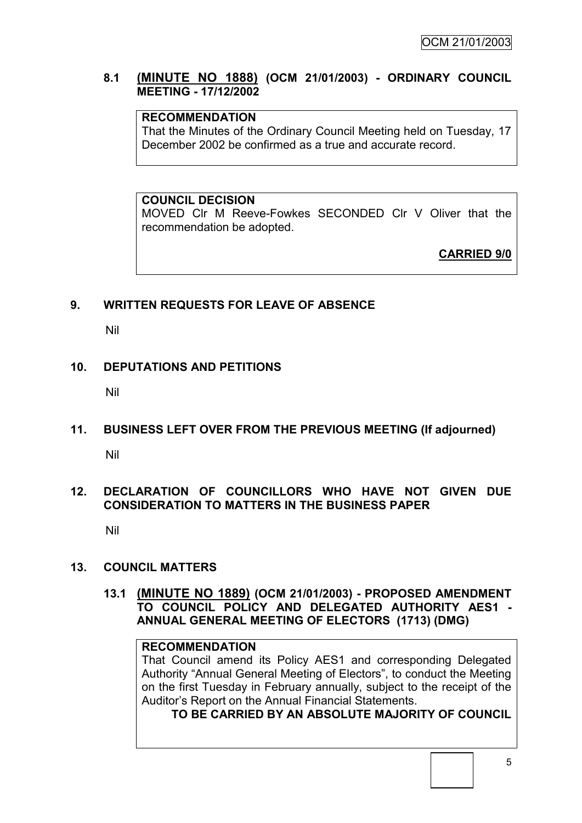## **8.1 (MINUTE NO 1888) (OCM 21/01/2003) - ORDINARY COUNCIL MEETING - 17/12/2002**

## **RECOMMENDATION**

That the Minutes of the Ordinary Council Meeting held on Tuesday, 17 December 2002 be confirmed as a true and accurate record.

**COUNCIL DECISION**

MOVED Clr M Reeve-Fowkes SECONDED Clr V Oliver that the recommendation be adopted.

**CARRIED 9/0**

## **9. WRITTEN REQUESTS FOR LEAVE OF ABSENCE**

Nil

## **10. DEPUTATIONS AND PETITIONS**

Nil

# **11. BUSINESS LEFT OVER FROM THE PREVIOUS MEETING (If adjourned)**

Nil

## **12. DECLARATION OF COUNCILLORS WHO HAVE NOT GIVEN DUE CONSIDERATION TO MATTERS IN THE BUSINESS PAPER**

Nil

## **13. COUNCIL MATTERS**

**13.1 (MINUTE NO 1889) (OCM 21/01/2003) - PROPOSED AMENDMENT TO COUNCIL POLICY AND DELEGATED AUTHORITY AES1 - ANNUAL GENERAL MEETING OF ELECTORS (1713) (DMG)**

## **RECOMMENDATION**

That Council amend its Policy AES1 and corresponding Delegated Authority "Annual General Meeting of Electors", to conduct the Meeting on the first Tuesday in February annually, subject to the receipt of the Auditor"s Report on the Annual Financial Statements.

**TO BE CARRIED BY AN ABSOLUTE MAJORITY OF COUNCIL**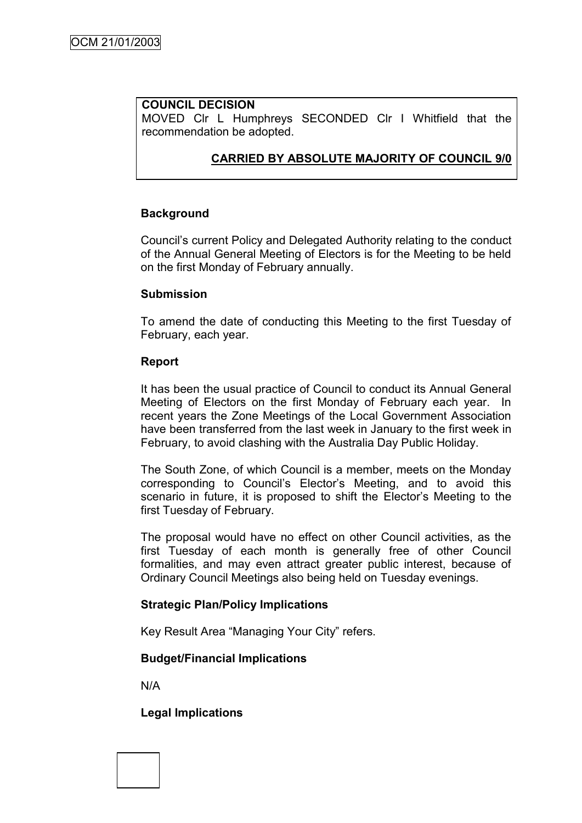## **COUNCIL DECISION**

MOVED Clr L Humphreys SECONDED Clr I Whitfield that the recommendation be adopted.

## **CARRIED BY ABSOLUTE MAJORITY OF COUNCIL 9/0**

## **Background**

Council"s current Policy and Delegated Authority relating to the conduct of the Annual General Meeting of Electors is for the Meeting to be held on the first Monday of February annually.

## **Submission**

To amend the date of conducting this Meeting to the first Tuesday of February, each year.

## **Report**

It has been the usual practice of Council to conduct its Annual General Meeting of Electors on the first Monday of February each year. In recent years the Zone Meetings of the Local Government Association have been transferred from the last week in January to the first week in February, to avoid clashing with the Australia Day Public Holiday.

The South Zone, of which Council is a member, meets on the Monday corresponding to Council"s Elector"s Meeting, and to avoid this scenario in future, it is proposed to shift the Elector's Meeting to the first Tuesday of February.

The proposal would have no effect on other Council activities, as the first Tuesday of each month is generally free of other Council formalities, and may even attract greater public interest, because of Ordinary Council Meetings also being held on Tuesday evenings.

## **Strategic Plan/Policy Implications**

Key Result Area "Managing Your City" refers.

## **Budget/Financial Implications**

N/A

## **Legal Implications**

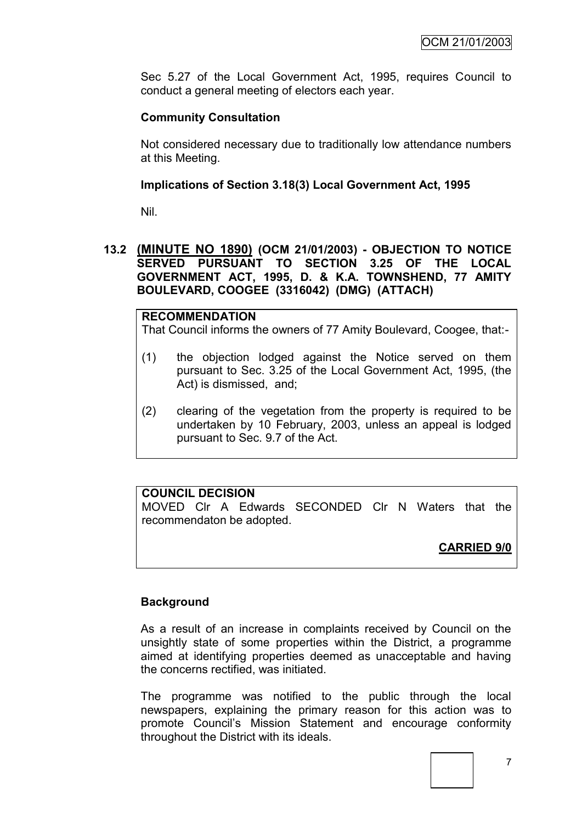Sec 5.27 of the Local Government Act, 1995, requires Council to conduct a general meeting of electors each year.

## **Community Consultation**

Not considered necessary due to traditionally low attendance numbers at this Meeting.

## **Implications of Section 3.18(3) Local Government Act, 1995**

Nil.

## **13.2 (MINUTE NO 1890) (OCM 21/01/2003) - OBJECTION TO NOTICE SERVED PURSUANT TO SECTION 3.25 OF THE LOCAL GOVERNMENT ACT, 1995, D. & K.A. TOWNSHEND, 77 AMITY BOULEVARD, COOGEE (3316042) (DMG) (ATTACH)**

#### **RECOMMENDATION**

That Council informs the owners of 77 Amity Boulevard, Coogee, that:-

- (1) the objection lodged against the Notice served on them pursuant to Sec. 3.25 of the Local Government Act, 1995, (the Act) is dismissed, and;
- (2) clearing of the vegetation from the property is required to be undertaken by 10 February, 2003, unless an appeal is lodged pursuant to Sec. 9.7 of the Act.

## **COUNCIL DECISION**

MOVED Clr A Edwards SECONDED Clr N Waters that the recommendaton be adopted.

## **CARRIED 9/0**

## **Background**

As a result of an increase in complaints received by Council on the unsightly state of some properties within the District, a programme aimed at identifying properties deemed as unacceptable and having the concerns rectified, was initiated.

The programme was notified to the public through the local newspapers, explaining the primary reason for this action was to promote Council"s Mission Statement and encourage conformity throughout the District with its ideals.

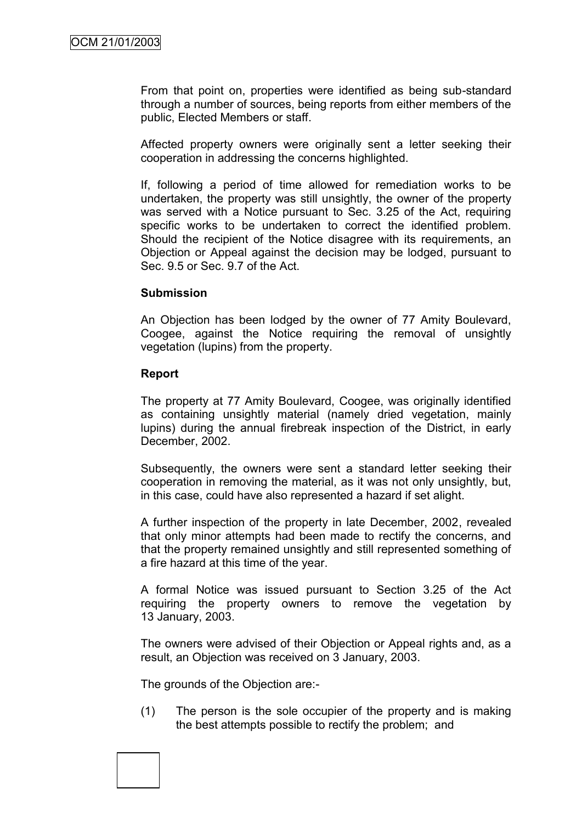From that point on, properties were identified as being sub-standard through a number of sources, being reports from either members of the public, Elected Members or staff.

Affected property owners were originally sent a letter seeking their cooperation in addressing the concerns highlighted.

If, following a period of time allowed for remediation works to be undertaken, the property was still unsightly, the owner of the property was served with a Notice pursuant to Sec. 3.25 of the Act, requiring specific works to be undertaken to correct the identified problem. Should the recipient of the Notice disagree with its requirements, an Objection or Appeal against the decision may be lodged, pursuant to Sec. 9.5 or Sec. 9.7 of the Act.

## **Submission**

An Objection has been lodged by the owner of 77 Amity Boulevard, Coogee, against the Notice requiring the removal of unsightly vegetation (lupins) from the property.

## **Report**

The property at 77 Amity Boulevard, Coogee, was originally identified as containing unsightly material (namely dried vegetation, mainly lupins) during the annual firebreak inspection of the District, in early December, 2002.

Subsequently, the owners were sent a standard letter seeking their cooperation in removing the material, as it was not only unsightly, but, in this case, could have also represented a hazard if set alight.

A further inspection of the property in late December, 2002, revealed that only minor attempts had been made to rectify the concerns, and that the property remained unsightly and still represented something of a fire hazard at this time of the year.

A formal Notice was issued pursuant to Section 3.25 of the Act requiring the property owners to remove the vegetation by 13 January, 2003.

The owners were advised of their Objection or Appeal rights and, as a result, an Objection was received on 3 January, 2003.

The grounds of the Objection are:-

(1) The person is the sole occupier of the property and is making the best attempts possible to rectify the problem; and

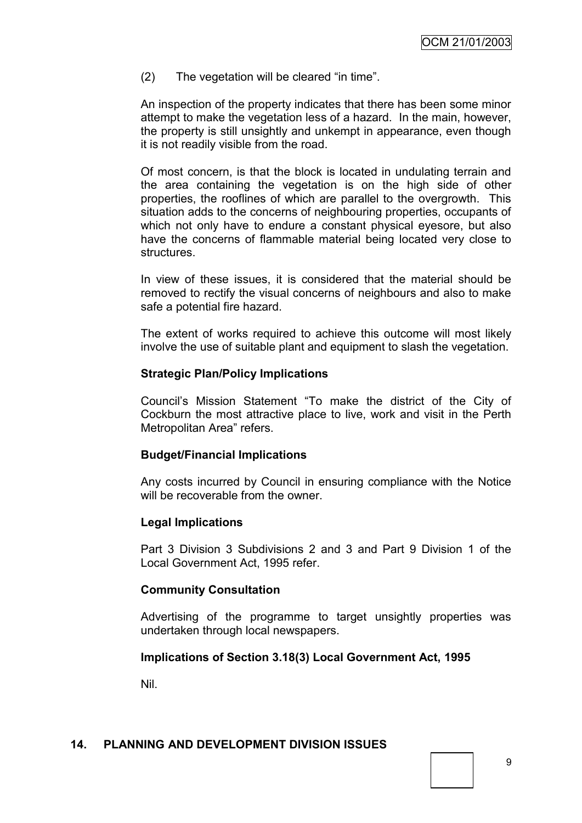(2) The vegetation will be cleared "in time".

An inspection of the property indicates that there has been some minor attempt to make the vegetation less of a hazard. In the main, however, the property is still unsightly and unkempt in appearance, even though it is not readily visible from the road.

Of most concern, is that the block is located in undulating terrain and the area containing the vegetation is on the high side of other properties, the rooflines of which are parallel to the overgrowth. This situation adds to the concerns of neighbouring properties, occupants of which not only have to endure a constant physical eyesore, but also have the concerns of flammable material being located very close to structures.

In view of these issues, it is considered that the material should be removed to rectify the visual concerns of neighbours and also to make safe a potential fire hazard.

The extent of works required to achieve this outcome will most likely involve the use of suitable plant and equipment to slash the vegetation.

## **Strategic Plan/Policy Implications**

Council"s Mission Statement "To make the district of the City of Cockburn the most attractive place to live, work and visit in the Perth Metropolitan Area" refers.

#### **Budget/Financial Implications**

Any costs incurred by Council in ensuring compliance with the Notice will be recoverable from the owner.

#### **Legal Implications**

Part 3 Division 3 Subdivisions 2 and 3 and Part 9 Division 1 of the Local Government Act, 1995 refer.

#### **Community Consultation**

Advertising of the programme to target unsightly properties was undertaken through local newspapers.

## **Implications of Section 3.18(3) Local Government Act, 1995**

Nil.

## **14. PLANNING AND DEVELOPMENT DIVISION ISSUES**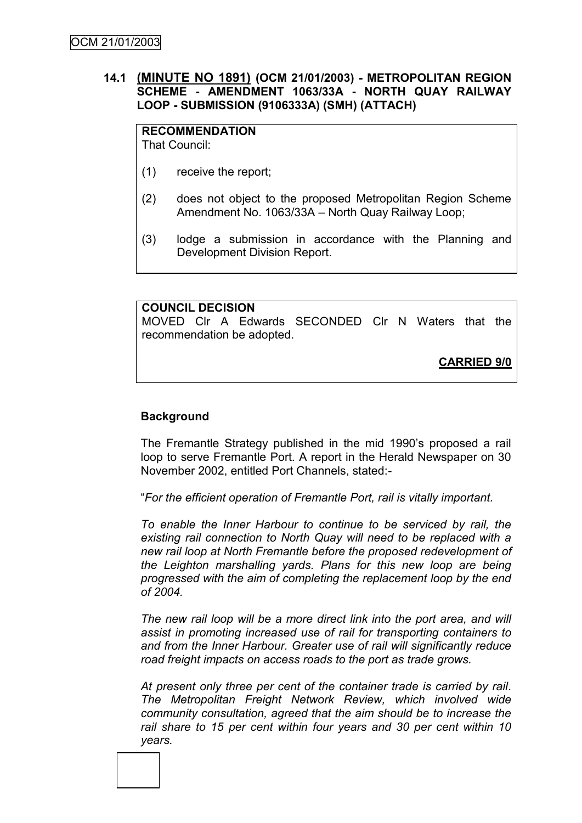## **14.1 (MINUTE NO 1891) (OCM 21/01/2003) - METROPOLITAN REGION SCHEME - AMENDMENT 1063/33A - NORTH QUAY RAILWAY LOOP - SUBMISSION (9106333A) (SMH) (ATTACH)**

**RECOMMENDATION** That Council:

- (1) receive the report;
- (2) does not object to the proposed Metropolitan Region Scheme Amendment No. 1063/33A – North Quay Railway Loop;
- (3) lodge a submission in accordance with the Planning and Development Division Report.

**COUNCIL DECISION** MOVED Clr A Edwards SECONDED Clr N Waters that the recommendation be adopted.

**CARRIED 9/0**

## **Background**

The Fremantle Strategy published in the mid 1990"s proposed a rail loop to serve Fremantle Port. A report in the Herald Newspaper on 30 November 2002, entitled Port Channels, stated:-

"*For the efficient operation of Fremantle Port, rail is vitally important.*

*To enable the Inner Harbour to continue to be serviced by rail, the existing rail connection to North Quay will need to be replaced with a new rail loop at North Fremantle before the proposed redevelopment of the Leighton marshalling yards. Plans for this new loop are being progressed with the aim of completing the replacement loop by the end of 2004.*

*The new rail loop will be a more direct link into the port area, and will assist in promoting increased use of rail for transporting containers to and from the Inner Harbour. Greater use of rail will significantly reduce road freight impacts on access roads to the port as trade grows.*

*At present only three per cent of the container trade is carried by rail. The Metropolitan Freight Network Review, which involved wide community consultation, agreed that the aim should be to increase the rail share to 15 per cent within four years and 30 per cent within 10 years.*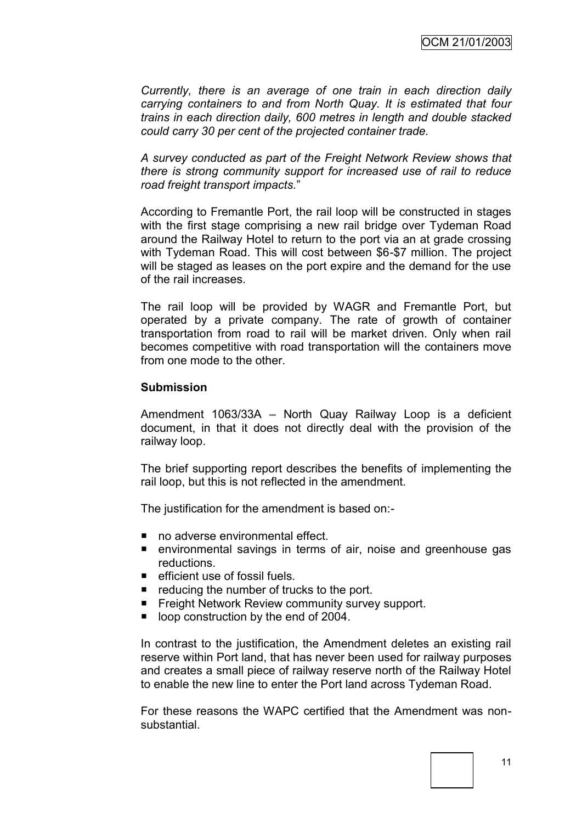*Currently, there is an average of one train in each direction daily carrying containers to and from North Quay. It is estimated that four trains in each direction daily, 600 metres in length and double stacked could carry 30 per cent of the projected container trade.*

*A survey conducted as part of the Freight Network Review shows that there is strong community support for increased use of rail to reduce road freight transport impacts.*"

According to Fremantle Port, the rail loop will be constructed in stages with the first stage comprising a new rail bridge over Tydeman Road around the Railway Hotel to return to the port via an at grade crossing with Tydeman Road. This will cost between \$6-\$7 million. The project will be staged as leases on the port expire and the demand for the use of the rail increases.

The rail loop will be provided by WAGR and Fremantle Port, but operated by a private company. The rate of growth of container transportation from road to rail will be market driven. Only when rail becomes competitive with road transportation will the containers move from one mode to the other.

#### **Submission**

Amendment 1063/33A – North Quay Railway Loop is a deficient document, in that it does not directly deal with the provision of the railway loop.

The brief supporting report describes the benefits of implementing the rail loop, but this is not reflected in the amendment.

The justification for the amendment is based on:-

- no adverse environmental effect.
- environmental savings in terms of air, noise and greenhouse gas reductions.
- $\blacksquare$  efficient use of fossil fuels.
- $\blacksquare$  reducing the number of trucks to the port.
- **Fight Network Review community survey support.**
- loop construction by the end of 2004.

In contrast to the justification, the Amendment deletes an existing rail reserve within Port land, that has never been used for railway purposes and creates a small piece of railway reserve north of the Railway Hotel to enable the new line to enter the Port land across Tydeman Road.

For these reasons the WAPC certified that the Amendment was nonsubstantial.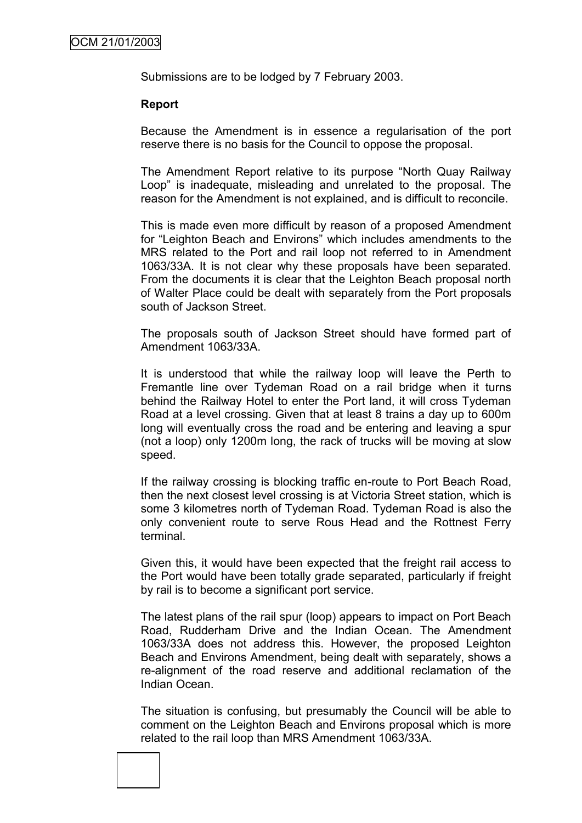Submissions are to be lodged by 7 February 2003.

## **Report**

Because the Amendment is in essence a regularisation of the port reserve there is no basis for the Council to oppose the proposal.

The Amendment Report relative to its purpose "North Quay Railway Loop" is inadequate, misleading and unrelated to the proposal. The reason for the Amendment is not explained, and is difficult to reconcile.

This is made even more difficult by reason of a proposed Amendment for "Leighton Beach and Environs" which includes amendments to the MRS related to the Port and rail loop not referred to in Amendment 1063/33A. It is not clear why these proposals have been separated. From the documents it is clear that the Leighton Beach proposal north of Walter Place could be dealt with separately from the Port proposals south of Jackson Street.

The proposals south of Jackson Street should have formed part of Amendment 1063/33A.

It is understood that while the railway loop will leave the Perth to Fremantle line over Tydeman Road on a rail bridge when it turns behind the Railway Hotel to enter the Port land, it will cross Tydeman Road at a level crossing. Given that at least 8 trains a day up to 600m long will eventually cross the road and be entering and leaving a spur (not a loop) only 1200m long, the rack of trucks will be moving at slow speed.

If the railway crossing is blocking traffic en-route to Port Beach Road, then the next closest level crossing is at Victoria Street station, which is some 3 kilometres north of Tydeman Road. Tydeman Road is also the only convenient route to serve Rous Head and the Rottnest Ferry terminal.

Given this, it would have been expected that the freight rail access to the Port would have been totally grade separated, particularly if freight by rail is to become a significant port service.

The latest plans of the rail spur (loop) appears to impact on Port Beach Road, Rudderham Drive and the Indian Ocean. The Amendment 1063/33A does not address this. However, the proposed Leighton Beach and Environs Amendment, being dealt with separately, shows a re-alignment of the road reserve and additional reclamation of the Indian Ocean.

The situation is confusing, but presumably the Council will be able to comment on the Leighton Beach and Environs proposal which is more related to the rail loop than MRS Amendment 1063/33A.

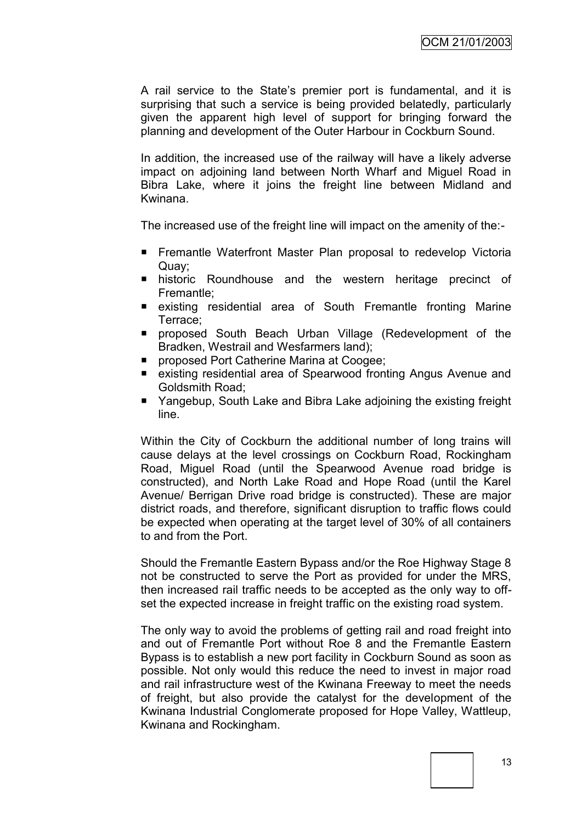A rail service to the State"s premier port is fundamental, and it is surprising that such a service is being provided belatedly, particularly given the apparent high level of support for bringing forward the planning and development of the Outer Harbour in Cockburn Sound.

In addition, the increased use of the railway will have a likely adverse impact on adjoining land between North Wharf and Miguel Road in Bibra Lake, where it joins the freight line between Midland and Kwinana.

The increased use of the freight line will impact on the amenity of the:-

- Fremantle Waterfront Master Plan proposal to redevelop Victoria Quay;
- **n** historic Roundhouse and the western heritage precinct of Fremantle;
- **E** existing residential area of South Fremantle fronting Marine Terrace;
- **Peroposed South Beach Urban Village (Redevelopment of the** Bradken, Westrail and Wesfarmers land);
- **P** proposed Port Catherine Marina at Coogee;
- existing residential area of Spearwood fronting Angus Avenue and Goldsmith Road;
- Yangebup, South Lake and Bibra Lake adjoining the existing freight line.

Within the City of Cockburn the additional number of long trains will cause delays at the level crossings on Cockburn Road, Rockingham Road, Miguel Road (until the Spearwood Avenue road bridge is constructed), and North Lake Road and Hope Road (until the Karel Avenue/ Berrigan Drive road bridge is constructed). These are major district roads, and therefore, significant disruption to traffic flows could be expected when operating at the target level of 30% of all containers to and from the Port.

Should the Fremantle Eastern Bypass and/or the Roe Highway Stage 8 not be constructed to serve the Port as provided for under the MRS, then increased rail traffic needs to be accepted as the only way to offset the expected increase in freight traffic on the existing road system.

The only way to avoid the problems of getting rail and road freight into and out of Fremantle Port without Roe 8 and the Fremantle Eastern Bypass is to establish a new port facility in Cockburn Sound as soon as possible. Not only would this reduce the need to invest in major road and rail infrastructure west of the Kwinana Freeway to meet the needs of freight, but also provide the catalyst for the development of the Kwinana Industrial Conglomerate proposed for Hope Valley, Wattleup, Kwinana and Rockingham.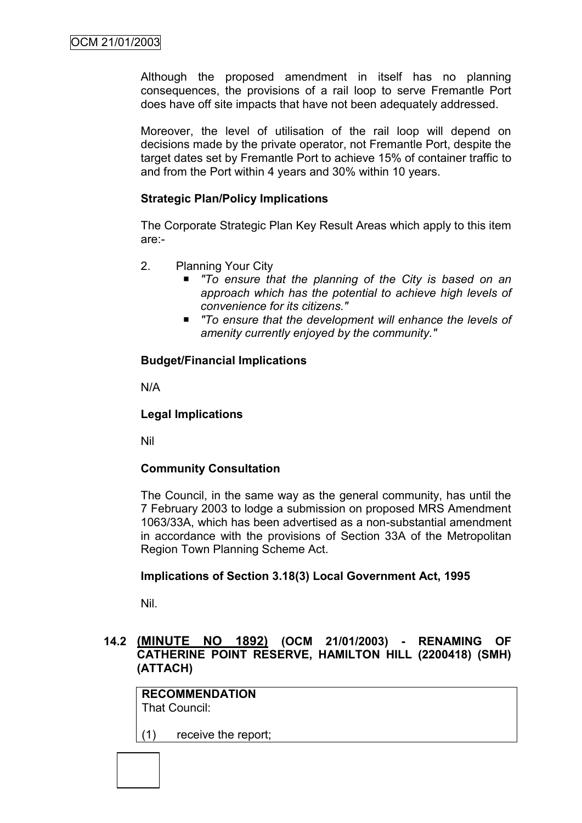Although the proposed amendment in itself has no planning consequences, the provisions of a rail loop to serve Fremantle Port does have off site impacts that have not been adequately addressed.

Moreover, the level of utilisation of the rail loop will depend on decisions made by the private operator, not Fremantle Port, despite the target dates set by Fremantle Port to achieve 15% of container traffic to and from the Port within 4 years and 30% within 10 years.

## **Strategic Plan/Policy Implications**

The Corporate Strategic Plan Key Result Areas which apply to this item are:-

- 2. Planning Your City
	- *"To ensure that the planning of the City is based on an approach which has the potential to achieve high levels of convenience for its citizens."*
	- To ensure that the development will enhance the levels of *amenity currently enjoyed by the community."*

## **Budget/Financial Implications**

N/A

## **Legal Implications**

Nil

## **Community Consultation**

The Council, in the same way as the general community, has until the 7 February 2003 to lodge a submission on proposed MRS Amendment 1063/33A, which has been advertised as a non-substantial amendment in accordance with the provisions of Section 33A of the Metropolitan Region Town Planning Scheme Act.

## **Implications of Section 3.18(3) Local Government Act, 1995**

Nil.

## **14.2 (MINUTE NO 1892) (OCM 21/01/2003) - RENAMING OF CATHERINE POINT RESERVE, HAMILTON HILL (2200418) (SMH) (ATTACH)**

**RECOMMENDATION** That Council:

(1) receive the report;

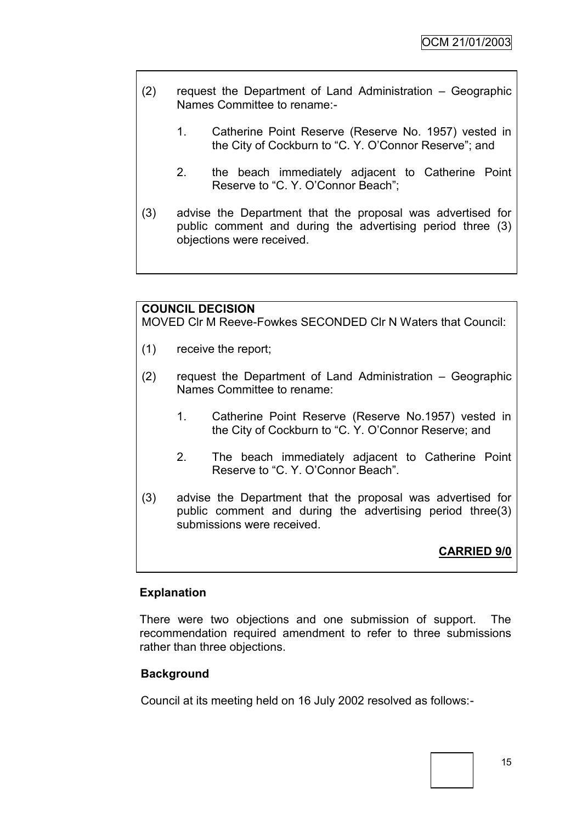- (2) request the Department of Land Administration Geographic Names Committee to rename:-
	- 1. Catherine Point Reserve (Reserve No. 1957) vested in the City of Cockburn to "C. Y. O"Connor Reserve"; and
	- 2. the beach immediately adjacent to Catherine Point Reserve to "C. Y. O"Connor Beach";
- (3) advise the Department that the proposal was advertised for public comment and during the advertising period three (3) objections were received.

## **COUNCIL DECISION**

MOVED Clr M Reeve-Fowkes SECONDED Clr N Waters that Council:

- (1) receive the report;
- (2) request the Department of Land Administration Geographic Names Committee to rename:
	- 1. Catherine Point Reserve (Reserve No.1957) vested in the City of Cockburn to "C. Y. O"Connor Reserve; and
	- 2. The beach immediately adjacent to Catherine Point Reserve to "C. Y. O"Connor Beach".
- (3) advise the Department that the proposal was advertised for public comment and during the advertising period three(3) submissions were received.

## **CARRIED 9/0**

## **Explanation**

There were two objections and one submission of support. The recommendation required amendment to refer to three submissions rather than three objections.

## **Background**

Council at its meeting held on 16 July 2002 resolved as follows:-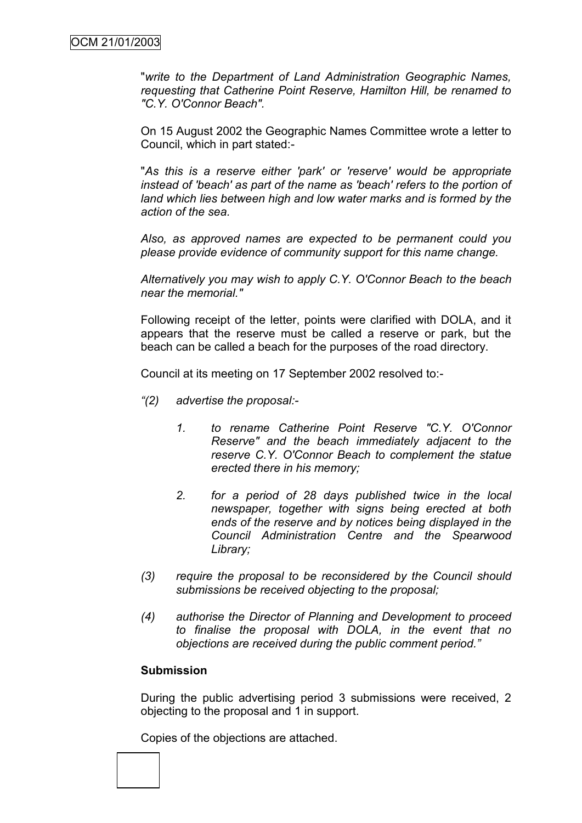"*write to the Department of Land Administration Geographic Names, requesting that Catherine Point Reserve, Hamilton Hill, be renamed to "C.Y. O'Connor Beach".*

On 15 August 2002 the Geographic Names Committee wrote a letter to Council, which in part stated:-

"*As this is a reserve either 'park' or 'reserve' would be appropriate instead of 'beach' as part of the name as 'beach' refers to the portion of land which lies between high and low water marks and is formed by the action of the sea.*

*Also, as approved names are expected to be permanent could you please provide evidence of community support for this name change.*

*Alternatively you may wish to apply C.Y. O'Connor Beach to the beach near the memorial."*

Following receipt of the letter, points were clarified with DOLA, and it appears that the reserve must be called a reserve or park, but the beach can be called a beach for the purposes of the road directory.

Council at its meeting on 17 September 2002 resolved to:-

- *"(2) advertise the proposal:-*
	- *1. to rename Catherine Point Reserve "C.Y. O'Connor Reserve" and the beach immediately adjacent to the reserve C.Y. O'Connor Beach to complement the statue erected there in his memory;*
	- *2. for a period of 28 days published twice in the local newspaper, together with signs being erected at both ends of the reserve and by notices being displayed in the Council Administration Centre and the Spearwood Library;*
- *(3) require the proposal to be reconsidered by the Council should submissions be received objecting to the proposal;*
- *(4) authorise the Director of Planning and Development to proceed to finalise the proposal with DOLA, in the event that no objections are received during the public comment period."*

#### **Submission**

During the public advertising period 3 submissions were received, 2 objecting to the proposal and 1 in support.

Copies of the objections are attached.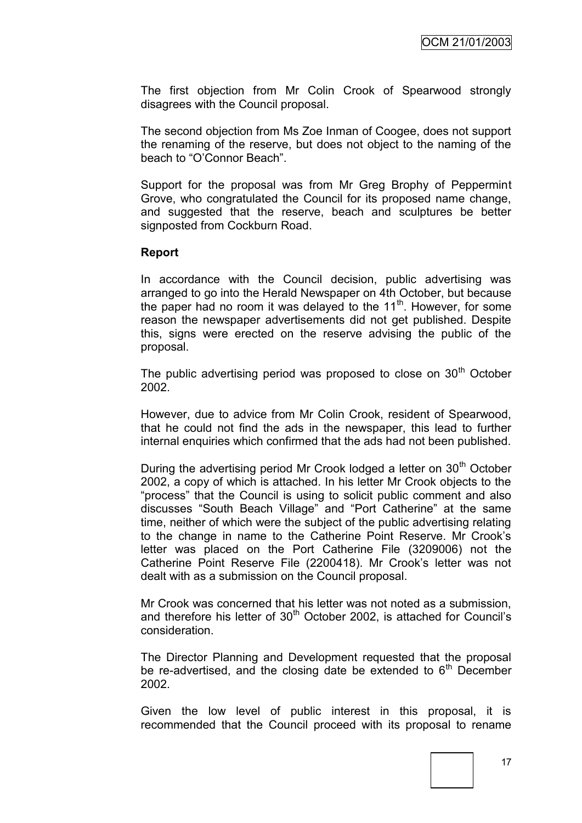The first objection from Mr Colin Crook of Spearwood strongly disagrees with the Council proposal.

The second objection from Ms Zoe Inman of Coogee, does not support the renaming of the reserve, but does not object to the naming of the beach to "O"Connor Beach".

Support for the proposal was from Mr Greg Brophy of Peppermint Grove, who congratulated the Council for its proposed name change, and suggested that the reserve, beach and sculptures be better signposted from Cockburn Road.

#### **Report**

In accordance with the Council decision, public advertising was arranged to go into the Herald Newspaper on 4th October, but because the paper had no room it was delayed to the  $11<sup>th</sup>$ . However, for some reason the newspaper advertisements did not get published. Despite this, signs were erected on the reserve advising the public of the proposal.

The public advertising period was proposed to close on  $30<sup>th</sup>$  October 2002.

However, due to advice from Mr Colin Crook, resident of Spearwood, that he could not find the ads in the newspaper, this lead to further internal enquiries which confirmed that the ads had not been published.

During the advertising period Mr Crook lodged a letter on 30<sup>th</sup> October 2002, a copy of which is attached. In his letter Mr Crook objects to the "process" that the Council is using to solicit public comment and also discusses "South Beach Village" and "Port Catherine" at the same time, neither of which were the subject of the public advertising relating to the change in name to the Catherine Point Reserve. Mr Crook"s letter was placed on the Port Catherine File (3209006) not the Catherine Point Reserve File (2200418). Mr Crook"s letter was not dealt with as a submission on the Council proposal.

Mr Crook was concerned that his letter was not noted as a submission, and therefore his letter of  $30<sup>th</sup>$  October 2002, is attached for Council's consideration.

The Director Planning and Development requested that the proposal be re-advertised, and the closing date be extended to  $6<sup>th</sup>$  December 2002.

Given the low level of public interest in this proposal, it is recommended that the Council proceed with its proposal to rename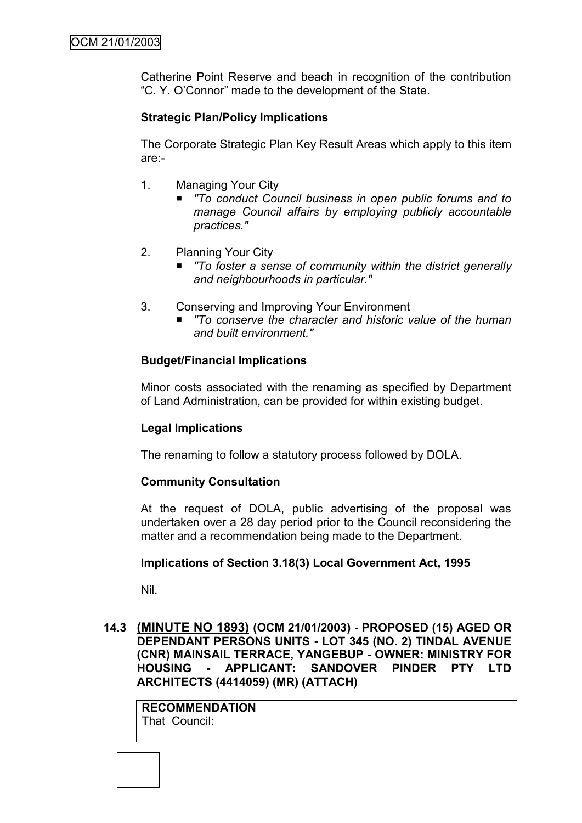Catherine Point Reserve and beach in recognition of the contribution "C. Y. O"Connor" made to the development of the State.

## **Strategic Plan/Policy Implications**

The Corporate Strategic Plan Key Result Areas which apply to this item are:-

- 1. Managing Your City
	- To conduct Council business in open public forums and to *manage Council affairs by employing publicly accountable practices."*
- 2. Planning Your City
	- *"To foster a sense of community within the district generally and neighbourhoods in particular."*
- 3. Conserving and Improving Your Environment
	- *"To conserve the character and historic value of the human and built environment."*

## **Budget/Financial Implications**

Minor costs associated with the renaming as specified by Department of Land Administration, can be provided for within existing budget.

## **Legal Implications**

The renaming to follow a statutory process followed by DOLA.

## **Community Consultation**

At the request of DOLA, public advertising of the proposal was undertaken over a 28 day period prior to the Council reconsidering the matter and a recommendation being made to the Department.

## **Implications of Section 3.18(3) Local Government Act, 1995**

Nil.

**14.3 (MINUTE NO 1893) (OCM 21/01/2003) - PROPOSED (15) AGED OR DEPENDANT PERSONS UNITS - LOT 345 (NO. 2) TINDAL AVENUE (CNR) MAINSAIL TERRACE, YANGEBUP - OWNER: MINISTRY FOR HOUSING - APPLICANT: SANDOVER PINDER PTY LTD ARCHITECTS (4414059) (MR) (ATTACH)**

**RECOMMENDATION** That Council: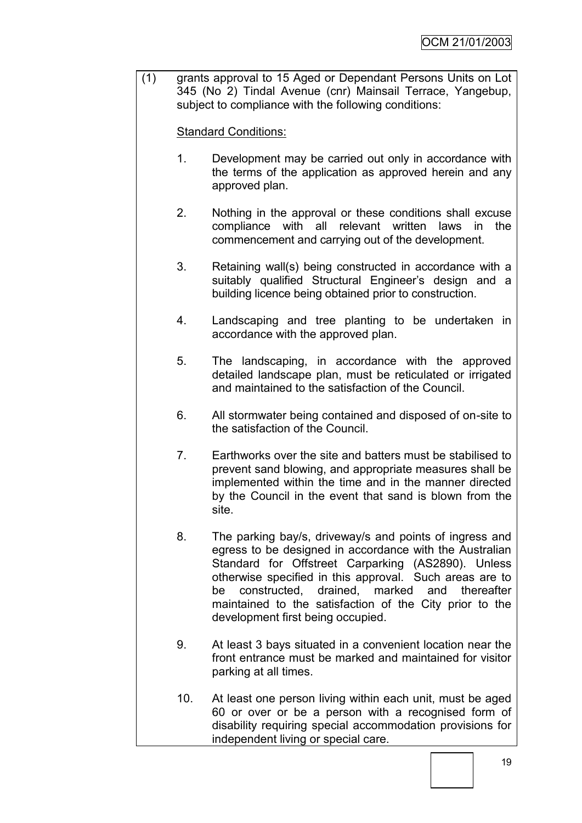(1) grants approval to 15 Aged or Dependant Persons Units on Lot 345 (No 2) Tindal Avenue (cnr) Mainsail Terrace, Yangebup, subject to compliance with the following conditions:

Standard Conditions:

- 1. Development may be carried out only in accordance with the terms of the application as approved herein and any approved plan.
- 2. Nothing in the approval or these conditions shall excuse compliance with all relevant written laws in the commencement and carrying out of the development.
- 3. Retaining wall(s) being constructed in accordance with a suitably qualified Structural Engineer's design and a building licence being obtained prior to construction.
- 4. Landscaping and tree planting to be undertaken in accordance with the approved plan.
- 5. The landscaping, in accordance with the approved detailed landscape plan, must be reticulated or irrigated and maintained to the satisfaction of the Council.
- 6. All stormwater being contained and disposed of on-site to the satisfaction of the Council.
- 7. Earthworks over the site and batters must be stabilised to prevent sand blowing, and appropriate measures shall be implemented within the time and in the manner directed by the Council in the event that sand is blown from the site.
- 8. The parking bay/s, driveway/s and points of ingress and egress to be designed in accordance with the Australian Standard for Offstreet Carparking (AS2890). Unless otherwise specified in this approval. Such areas are to be constructed, drained, marked and thereafter maintained to the satisfaction of the City prior to the development first being occupied.
- 9. At least 3 bays situated in a convenient location near the front entrance must be marked and maintained for visitor parking at all times.
- 10. At least one person living within each unit, must be aged 60 or over or be a person with a recognised form of disability requiring special accommodation provisions for independent living or special care.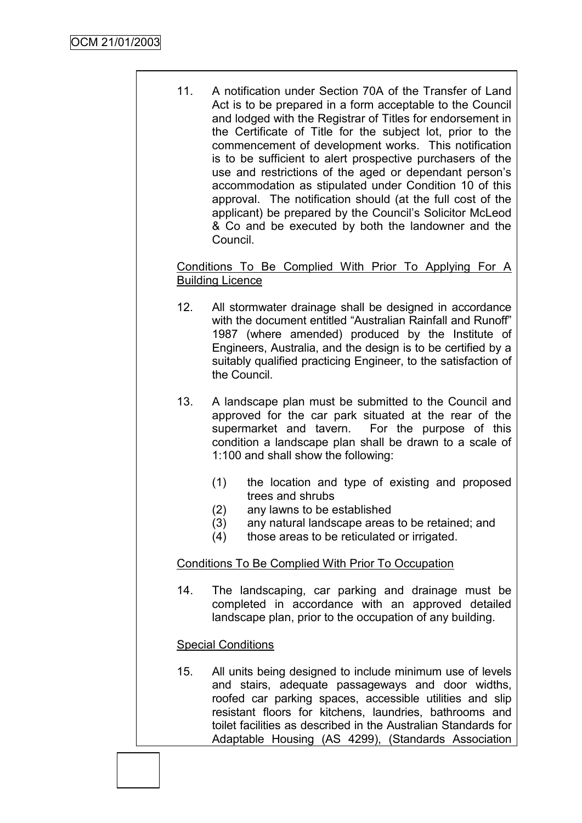11. A notification under Section 70A of the Transfer of Land Act is to be prepared in a form acceptable to the Council and lodged with the Registrar of Titles for endorsement in the Certificate of Title for the subject lot, prior to the commencement of development works. This notification is to be sufficient to alert prospective purchasers of the use and restrictions of the aged or dependant person"s accommodation as stipulated under Condition 10 of this approval. The notification should (at the full cost of the applicant) be prepared by the Council"s Solicitor McLeod & Co and be executed by both the landowner and the Council.

Conditions To Be Complied With Prior To Applying For A Building Licence

- 12. All stormwater drainage shall be designed in accordance with the document entitled "Australian Rainfall and Runoff" 1987 (where amended) produced by the Institute of Engineers, Australia, and the design is to be certified by a suitably qualified practicing Engineer, to the satisfaction of the Council.
- 13. A landscape plan must be submitted to the Council and approved for the car park situated at the rear of the supermarket and tavern. For the purpose of this condition a landscape plan shall be drawn to a scale of 1:100 and shall show the following:
	- (1) the location and type of existing and proposed trees and shrubs
	- (2) any lawns to be established
	- (3) any natural landscape areas to be retained; and
	- (4) those areas to be reticulated or irrigated.

## Conditions To Be Complied With Prior To Occupation

14. The landscaping, car parking and drainage must be completed in accordance with an approved detailed landscape plan, prior to the occupation of any building.

## Special Conditions

15. All units being designed to include minimum use of levels and stairs, adequate passageways and door widths, roofed car parking spaces, accessible utilities and slip resistant floors for kitchens, laundries, bathrooms and toilet facilities as described in the Australian Standards for Adaptable Housing (AS 4299), (Standards Association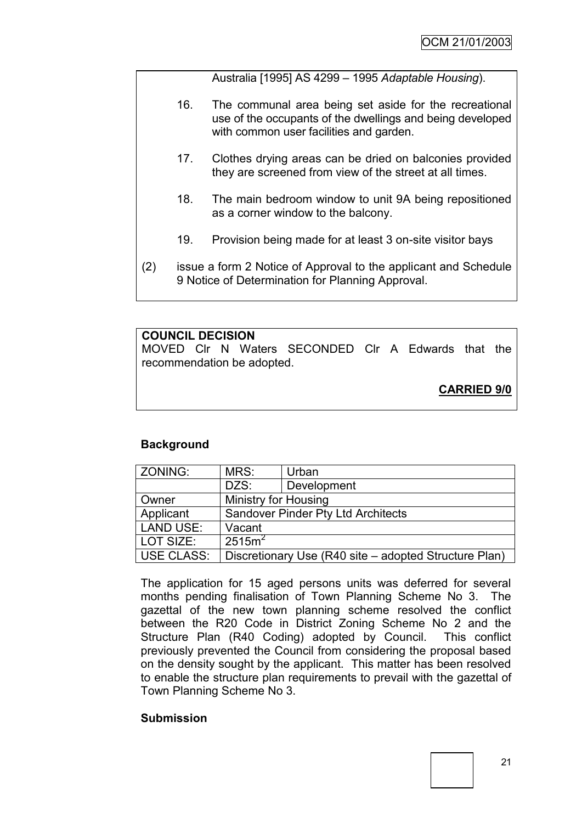Australia [1995] AS 4299 – 1995 *Adaptable Housing*).

- 16. The communal area being set aside for the recreational use of the occupants of the dwellings and being developed with common user facilities and garden.
- 17. Clothes drying areas can be dried on balconies provided they are screened from view of the street at all times.
- 18. The main bedroom window to unit 9A being repositioned as a corner window to the balcony.
- 19. Provision being made for at least 3 on-site visitor bays
- (2) issue a form 2 Notice of Approval to the applicant and Schedule 9 Notice of Determination for Planning Approval.

## **COUNCIL DECISION**

MOVED Clr N Waters SECONDED Clr A Edwards that the recommendation be adopted.

**CARRIED 9/0**

## **Background**

| ZONING:           | MRS:<br>Urban                             |                                                       |  |
|-------------------|-------------------------------------------|-------------------------------------------------------|--|
|                   | DZS:                                      | Development                                           |  |
| Owner             | <b>Ministry for Housing</b>               |                                                       |  |
| Applicant         | <b>Sandover Pinder Pty Ltd Architects</b> |                                                       |  |
| <b>LAND USE:</b>  | Vacant                                    |                                                       |  |
| LOT SIZE:         | $2515m^2$                                 |                                                       |  |
| <b>USE CLASS:</b> |                                           | Discretionary Use (R40 site – adopted Structure Plan) |  |

The application for 15 aged persons units was deferred for several months pending finalisation of Town Planning Scheme No 3. The gazettal of the new town planning scheme resolved the conflict between the R20 Code in District Zoning Scheme No 2 and the Structure Plan (R40 Coding) adopted by Council. This conflict previously prevented the Council from considering the proposal based on the density sought by the applicant. This matter has been resolved to enable the structure plan requirements to prevail with the gazettal of Town Planning Scheme No 3.

#### **Submission**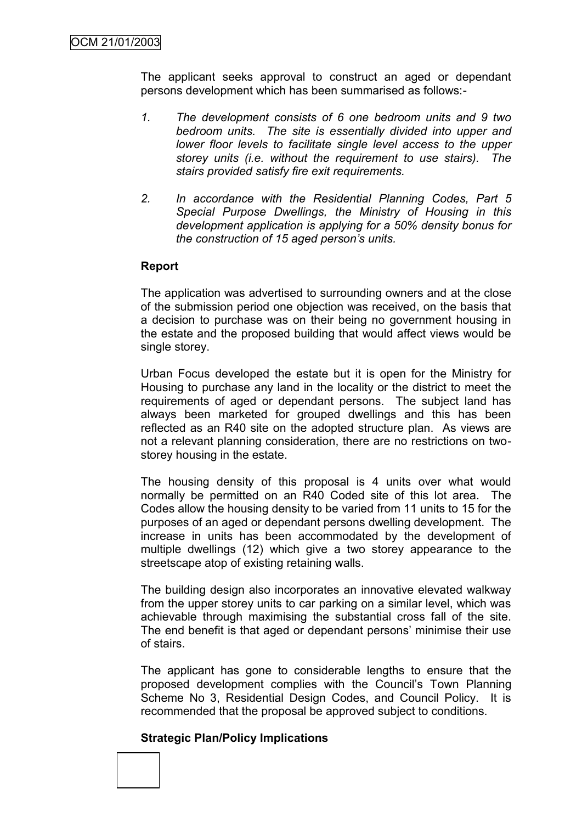The applicant seeks approval to construct an aged or dependant persons development which has been summarised as follows:-

- *1. The development consists of 6 one bedroom units and 9 two bedroom units. The site is essentially divided into upper and lower floor levels to facilitate single level access to the upper storey units (i.e. without the requirement to use stairs). The stairs provided satisfy fire exit requirements.*
- *2. In accordance with the Residential Planning Codes, Part 5 Special Purpose Dwellings, the Ministry of Housing in this development application is applying for a 50% density bonus for the construction of 15 aged person's units.*

## **Report**

The application was advertised to surrounding owners and at the close of the submission period one objection was received, on the basis that a decision to purchase was on their being no government housing in the estate and the proposed building that would affect views would be single storey.

Urban Focus developed the estate but it is open for the Ministry for Housing to purchase any land in the locality or the district to meet the requirements of aged or dependant persons. The subject land has always been marketed for grouped dwellings and this has been reflected as an R40 site on the adopted structure plan. As views are not a relevant planning consideration, there are no restrictions on twostorey housing in the estate.

The housing density of this proposal is 4 units over what would normally be permitted on an R40 Coded site of this lot area. The Codes allow the housing density to be varied from 11 units to 15 for the purposes of an aged or dependant persons dwelling development. The increase in units has been accommodated by the development of multiple dwellings (12) which give a two storey appearance to the streetscape atop of existing retaining walls.

The building design also incorporates an innovative elevated walkway from the upper storey units to car parking on a similar level, which was achievable through maximising the substantial cross fall of the site. The end benefit is that aged or dependant persons' minimise their use of stairs.

The applicant has gone to considerable lengths to ensure that the proposed development complies with the Council's Town Planning Scheme No 3, Residential Design Codes, and Council Policy. It is recommended that the proposal be approved subject to conditions.

#### **Strategic Plan/Policy Implications**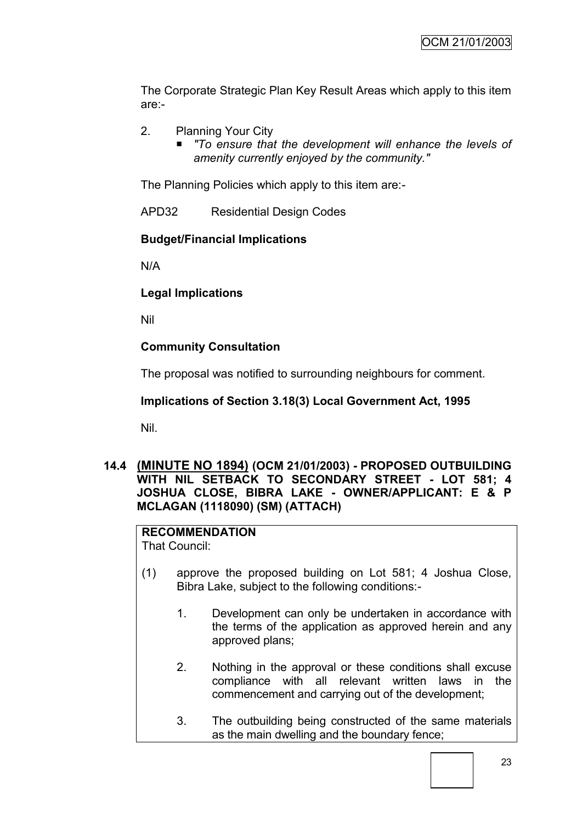The Corporate Strategic Plan Key Result Areas which apply to this item are:-

- 2. Planning Your City
	- *"To ensure that the development will enhance the levels of amenity currently enjoyed by the community."*

The Planning Policies which apply to this item are:-

APD32 Residential Design Codes

## **Budget/Financial Implications**

N/A

## **Legal Implications**

Nil

## **Community Consultation**

The proposal was notified to surrounding neighbours for comment.

## **Implications of Section 3.18(3) Local Government Act, 1995**

Nil.

## **14.4 (MINUTE NO 1894) (OCM 21/01/2003) - PROPOSED OUTBUILDING WITH NIL SETBACK TO SECONDARY STREET - LOT 581; 4 JOSHUA CLOSE, BIBRA LAKE - OWNER/APPLICANT: E & P MCLAGAN (1118090) (SM) (ATTACH)**

# **RECOMMENDATION**

That Council:

- (1) approve the proposed building on Lot 581; 4 Joshua Close, Bibra Lake, subject to the following conditions:-
	- 1. Development can only be undertaken in accordance with the terms of the application as approved herein and any approved plans;
	- 2. Nothing in the approval or these conditions shall excuse compliance with all relevant written laws in the commencement and carrying out of the development;
	- 3. The outbuilding being constructed of the same materials as the main dwelling and the boundary fence;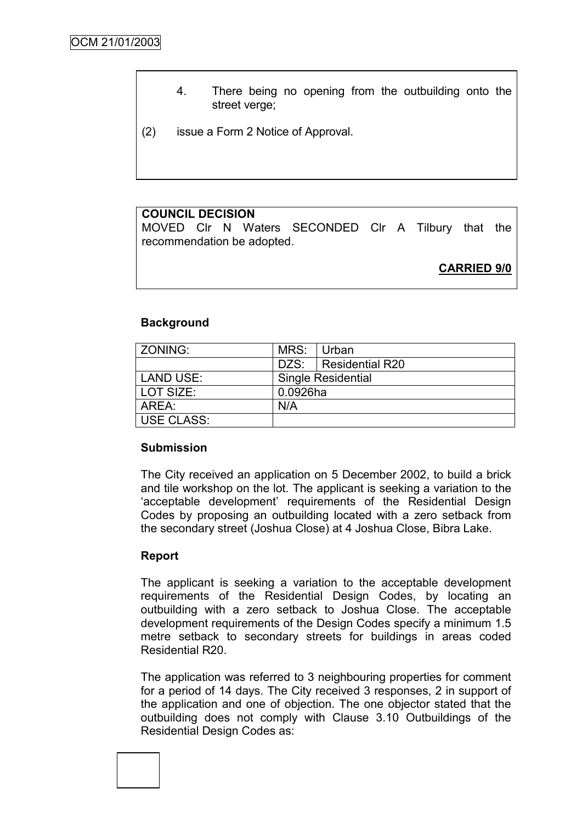- 4. There being no opening from the outbuilding onto the street verge;
- (2) issue a Form 2 Notice of Approval.

## **COUNCIL DECISION**

MOVED Clr N Waters SECONDED Clr A Tilbury that the recommendation be adopted.

**CARRIED 9/0**

## **Background**

| ZONING:           | MRS:     | Urban                     |
|-------------------|----------|---------------------------|
|                   |          | DZS:   Residential R20    |
| LAND USE:         |          | <b>Single Residential</b> |
| LOT SIZE:         | 0.0926ha |                           |
| AREA:             | N/A      |                           |
| <b>USE CLASS:</b> |          |                           |

## **Submission**

The City received an application on 5 December 2002, to build a brick and tile workshop on the lot. The applicant is seeking a variation to the "acceptable development" requirements of the Residential Design Codes by proposing an outbuilding located with a zero setback from the secondary street (Joshua Close) at 4 Joshua Close, Bibra Lake.

## **Report**

The applicant is seeking a variation to the acceptable development requirements of the Residential Design Codes, by locating an outbuilding with a zero setback to Joshua Close. The acceptable development requirements of the Design Codes specify a minimum 1.5 metre setback to secondary streets for buildings in areas coded Residential R20.

The application was referred to 3 neighbouring properties for comment for a period of 14 days. The City received 3 responses, 2 in support of the application and one of objection. The one objector stated that the outbuilding does not comply with Clause 3.10 Outbuildings of the Residential Design Codes as:

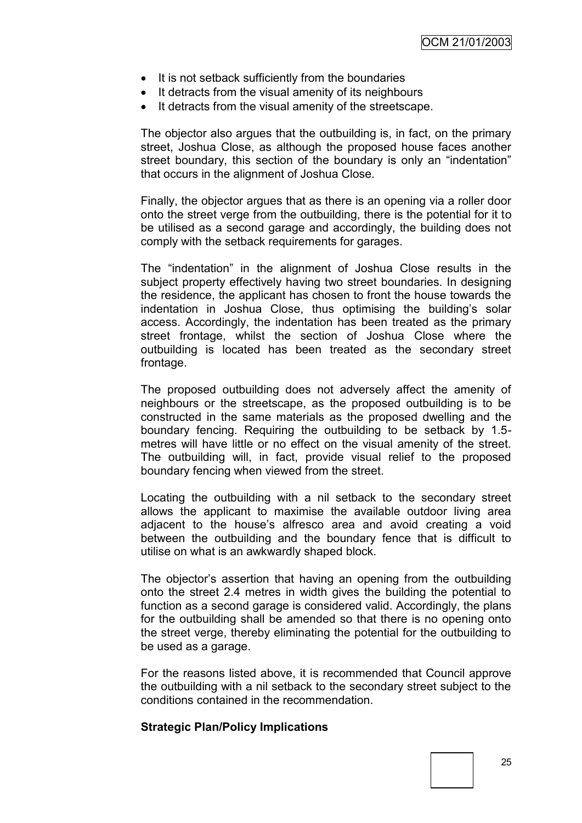- It is not setback sufficiently from the boundaries
- It detracts from the visual amenity of its neighbours
- It detracts from the visual amenity of the streetscape.

The objector also argues that the outbuilding is, in fact, on the primary street, Joshua Close, as although the proposed house faces another street boundary, this section of the boundary is only an "indentation" that occurs in the alignment of Joshua Close.

Finally, the objector argues that as there is an opening via a roller door onto the street verge from the outbuilding, there is the potential for it to be utilised as a second garage and accordingly, the building does not comply with the setback requirements for garages.

The "indentation" in the alignment of Joshua Close results in the subject property effectively having two street boundaries. In designing the residence, the applicant has chosen to front the house towards the indentation in Joshua Close, thus optimising the building"s solar access. Accordingly, the indentation has been treated as the primary street frontage, whilst the section of Joshua Close where the outbuilding is located has been treated as the secondary street frontage.

The proposed outbuilding does not adversely affect the amenity of neighbours or the streetscape, as the proposed outbuilding is to be constructed in the same materials as the proposed dwelling and the boundary fencing. Requiring the outbuilding to be setback by 1.5 metres will have little or no effect on the visual amenity of the street. The outbuilding will, in fact, provide visual relief to the proposed boundary fencing when viewed from the street.

Locating the outbuilding with a nil setback to the secondary street allows the applicant to maximise the available outdoor living area adjacent to the house"s alfresco area and avoid creating a void between the outbuilding and the boundary fence that is difficult to utilise on what is an awkwardly shaped block.

The objector's assertion that having an opening from the outbuilding onto the street 2.4 metres in width gives the building the potential to function as a second garage is considered valid. Accordingly, the plans for the outbuilding shall be amended so that there is no opening onto the street verge, thereby eliminating the potential for the outbuilding to be used as a garage.

For the reasons listed above, it is recommended that Council approve the outbuilding with a nil setback to the secondary street subject to the conditions contained in the recommendation.

#### **Strategic Plan/Policy Implications**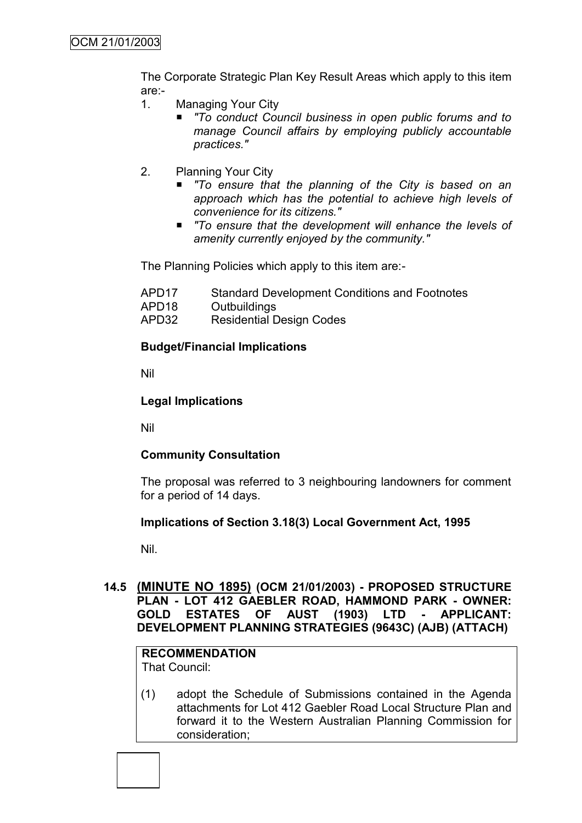The Corporate Strategic Plan Key Result Areas which apply to this item are:-

- 1. Managing Your City
	- *"To conduct Council business in open public forums and to manage Council affairs by employing publicly accountable practices."*
- 2. Planning Your City
	- *"To ensure that the planning of the City is based on an approach which has the potential to achieve high levels of convenience for its citizens."*
	- *"To ensure that the development will enhance the levels of amenity currently enjoyed by the community."*

The Planning Policies which apply to this item are:-

- APD17 Standard Development Conditions and Footnotes
- APD18 Outbuildings
- APD32 Residential Design Codes

## **Budget/Financial Implications**

Nil

## **Legal Implications**

Nil

## **Community Consultation**

The proposal was referred to 3 neighbouring landowners for comment for a period of 14 days.

## **Implications of Section 3.18(3) Local Government Act, 1995**

Nil.

## **14.5 (MINUTE NO 1895) (OCM 21/01/2003) - PROPOSED STRUCTURE PLAN - LOT 412 GAEBLER ROAD, HAMMOND PARK - OWNER: GOLD ESTATES OF AUST (1903) LTD - APPLICANT: DEVELOPMENT PLANNING STRATEGIES (9643C) (AJB) (ATTACH)**

#### **RECOMMENDATION** That Council:

(1) adopt the Schedule of Submissions contained in the Agenda attachments for Lot 412 Gaebler Road Local Structure Plan and forward it to the Western Australian Planning Commission for consideration;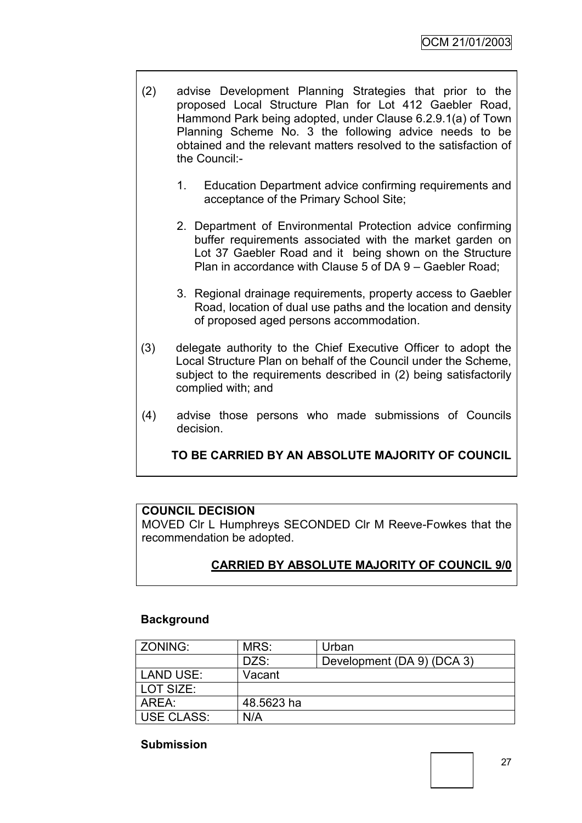- (2) advise Development Planning Strategies that prior to the proposed Local Structure Plan for Lot 412 Gaebler Road, Hammond Park being adopted, under Clause 6.2.9.1(a) of Town Planning Scheme No. 3 the following advice needs to be obtained and the relevant matters resolved to the satisfaction of the Council:-
	- 1. Education Department advice confirming requirements and acceptance of the Primary School Site;
	- 2. Department of Environmental Protection advice confirming buffer requirements associated with the market garden on Lot 37 Gaebler Road and it being shown on the Structure Plan in accordance with Clause 5 of DA 9 – Gaebler Road;
	- 3. Regional drainage requirements, property access to Gaebler Road, location of dual use paths and the location and density of proposed aged persons accommodation.
- (3) delegate authority to the Chief Executive Officer to adopt the Local Structure Plan on behalf of the Council under the Scheme, subject to the requirements described in (2) being satisfactorily complied with; and
- (4) advise those persons who made submissions of Councils decision.

**TO BE CARRIED BY AN ABSOLUTE MAJORITY OF COUNCIL**

## **COUNCIL DECISION**

MOVED Clr L Humphreys SECONDED Clr M Reeve-Fowkes that the recommendation be adopted.

## **CARRIED BY ABSOLUTE MAJORITY OF COUNCIL 9/0**

## **Background**

| ZONING:      | MRS:       | Urban                      |
|--------------|------------|----------------------------|
|              | DZS:       | Development (DA 9) (DCA 3) |
| LAND USE:    | Vacant     |                            |
| LOT SIZE:    |            |                            |
| l AREA:      | 48.5623 ha |                            |
| I USE CLASS: | N/A        |                            |

## **Submission**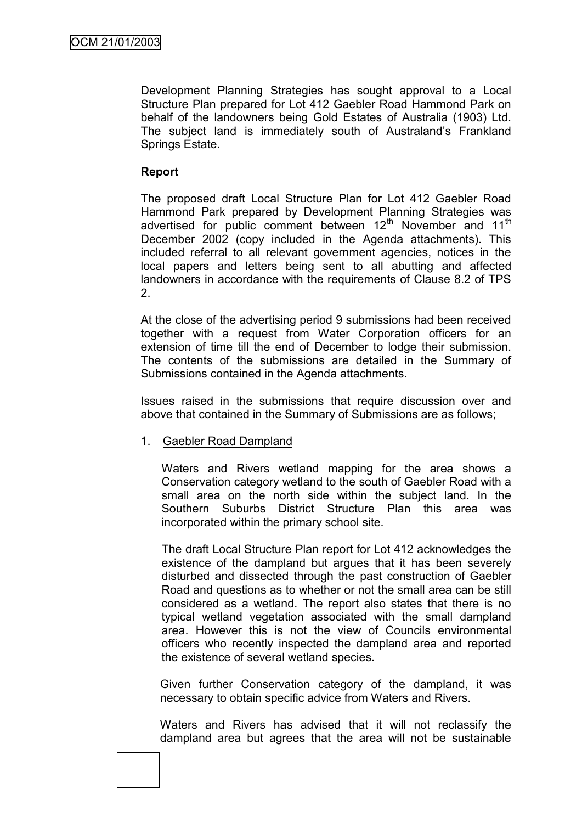Development Planning Strategies has sought approval to a Local Structure Plan prepared for Lot 412 Gaebler Road Hammond Park on behalf of the landowners being Gold Estates of Australia (1903) Ltd. The subject land is immediately south of Australand"s Frankland Springs Estate.

## **Report**

The proposed draft Local Structure Plan for Lot 412 Gaebler Road Hammond Park prepared by Development Planning Strategies was advertised for public comment between  $12<sup>th</sup>$  November and  $11<sup>th</sup>$ December 2002 (copy included in the Agenda attachments). This included referral to all relevant government agencies, notices in the local papers and letters being sent to all abutting and affected landowners in accordance with the requirements of Clause 8.2 of TPS 2.

At the close of the advertising period 9 submissions had been received together with a request from Water Corporation officers for an extension of time till the end of December to lodge their submission. The contents of the submissions are detailed in the Summary of Submissions contained in the Agenda attachments.

Issues raised in the submissions that require discussion over and above that contained in the Summary of Submissions are as follows;

## 1. Gaebler Road Dampland

Waters and Rivers wetland mapping for the area shows a Conservation category wetland to the south of Gaebler Road with a small area on the north side within the subject land. In the Southern Suburbs District Structure Plan this area was incorporated within the primary school site.

The draft Local Structure Plan report for Lot 412 acknowledges the existence of the dampland but argues that it has been severely disturbed and dissected through the past construction of Gaebler Road and questions as to whether or not the small area can be still considered as a wetland. The report also states that there is no typical wetland vegetation associated with the small dampland area. However this is not the view of Councils environmental officers who recently inspected the dampland area and reported the existence of several wetland species.

Given further Conservation category of the dampland, it was necessary to obtain specific advice from Waters and Rivers.

Waters and Rivers has advised that it will not reclassify the dampland area but agrees that the area will not be sustainable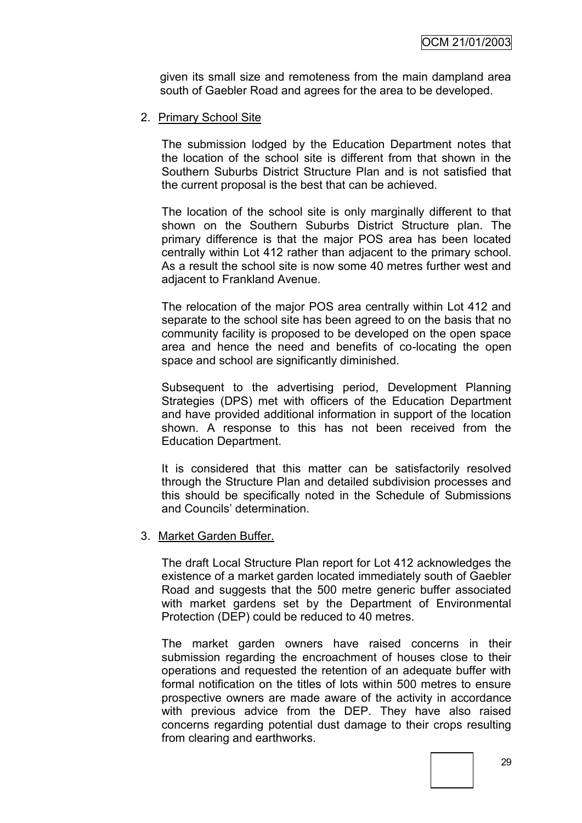given its small size and remoteness from the main dampland area south of Gaebler Road and agrees for the area to be developed.

2. Primary School Site

The submission lodged by the Education Department notes that the location of the school site is different from that shown in the Southern Suburbs District Structure Plan and is not satisfied that the current proposal is the best that can be achieved.

The location of the school site is only marginally different to that shown on the Southern Suburbs District Structure plan. The primary difference is that the major POS area has been located centrally within Lot 412 rather than adjacent to the primary school. As a result the school site is now some 40 metres further west and adjacent to Frankland Avenue.

The relocation of the major POS area centrally within Lot 412 and separate to the school site has been agreed to on the basis that no community facility is proposed to be developed on the open space area and hence the need and benefits of co-locating the open space and school are significantly diminished.

Subsequent to the advertising period, Development Planning Strategies (DPS) met with officers of the Education Department and have provided additional information in support of the location shown. A response to this has not been received from the Education Department.

It is considered that this matter can be satisfactorily resolved through the Structure Plan and detailed subdivision processes and this should be specifically noted in the Schedule of Submissions and Councils' determination.

3. Market Garden Buffer.

The draft Local Structure Plan report for Lot 412 acknowledges the existence of a market garden located immediately south of Gaebler Road and suggests that the 500 metre generic buffer associated with market gardens set by the Department of Environmental Protection (DEP) could be reduced to 40 metres.

The market garden owners have raised concerns in their submission regarding the encroachment of houses close to their operations and requested the retention of an adequate buffer with formal notification on the titles of lots within 500 metres to ensure prospective owners are made aware of the activity in accordance with previous advice from the DEP. They have also raised concerns regarding potential dust damage to their crops resulting from clearing and earthworks.

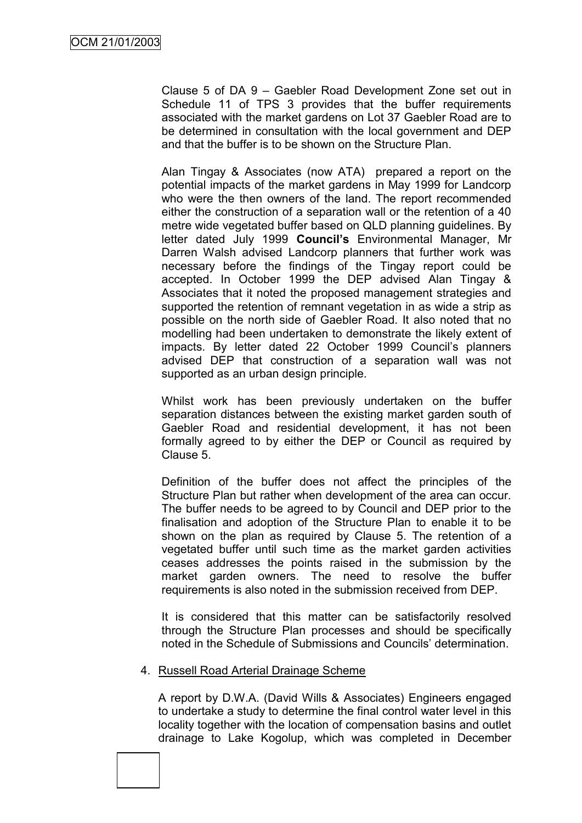Clause 5 of DA 9 – Gaebler Road Development Zone set out in Schedule 11 of TPS 3 provides that the buffer requirements associated with the market gardens on Lot 37 Gaebler Road are to be determined in consultation with the local government and DEP and that the buffer is to be shown on the Structure Plan.

Alan Tingay & Associates (now ATA) prepared a report on the potential impacts of the market gardens in May 1999 for Landcorp who were the then owners of the land. The report recommended either the construction of a separation wall or the retention of a 40 metre wide vegetated buffer based on QLD planning guidelines. By letter dated July 1999 **Council's** Environmental Manager, Mr Darren Walsh advised Landcorp planners that further work was necessary before the findings of the Tingay report could be accepted. In October 1999 the DEP advised Alan Tingay & Associates that it noted the proposed management strategies and supported the retention of remnant vegetation in as wide a strip as possible on the north side of Gaebler Road. It also noted that no modelling had been undertaken to demonstrate the likely extent of impacts. By letter dated 22 October 1999 Council's planners advised DEP that construction of a separation wall was not supported as an urban design principle.

Whilst work has been previously undertaken on the buffer separation distances between the existing market garden south of Gaebler Road and residential development, it has not been formally agreed to by either the DEP or Council as required by Clause 5.

Definition of the buffer does not affect the principles of the Structure Plan but rather when development of the area can occur. The buffer needs to be agreed to by Council and DEP prior to the finalisation and adoption of the Structure Plan to enable it to be shown on the plan as required by Clause 5. The retention of a vegetated buffer until such time as the market garden activities ceases addresses the points raised in the submission by the market garden owners. The need to resolve the buffer requirements is also noted in the submission received from DEP.

It is considered that this matter can be satisfactorily resolved through the Structure Plan processes and should be specifically noted in the Schedule of Submissions and Councils" determination.

#### 4. Russell Road Arterial Drainage Scheme

A report by D.W.A. (David Wills & Associates) Engineers engaged to undertake a study to determine the final control water level in this locality together with the location of compensation basins and outlet drainage to Lake Kogolup, which was completed in December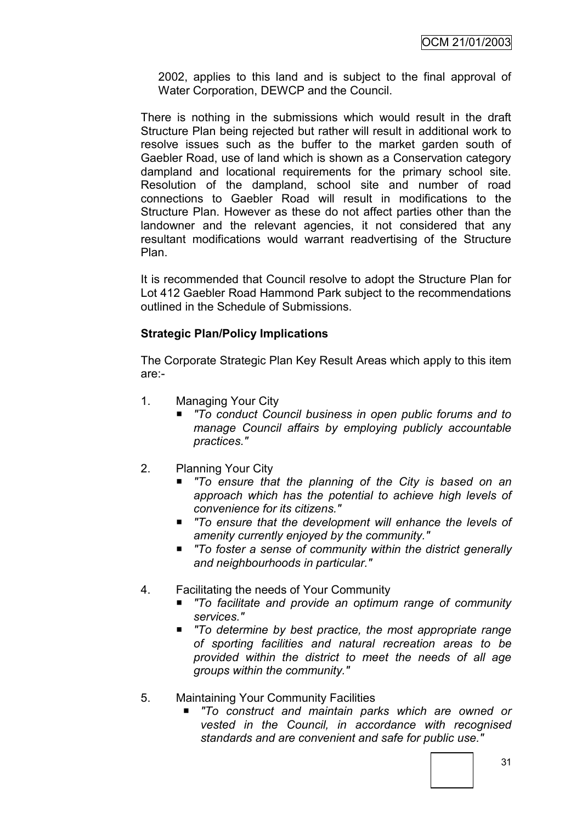2002, applies to this land and is subject to the final approval of Water Corporation, DEWCP and the Council.

There is nothing in the submissions which would result in the draft Structure Plan being rejected but rather will result in additional work to resolve issues such as the buffer to the market garden south of Gaebler Road, use of land which is shown as a Conservation category dampland and locational requirements for the primary school site. Resolution of the dampland, school site and number of road connections to Gaebler Road will result in modifications to the Structure Plan. However as these do not affect parties other than the landowner and the relevant agencies, it not considered that any resultant modifications would warrant readvertising of the Structure Plan.

It is recommended that Council resolve to adopt the Structure Plan for Lot 412 Gaebler Road Hammond Park subject to the recommendations outlined in the Schedule of Submissions.

## **Strategic Plan/Policy Implications**

The Corporate Strategic Plan Key Result Areas which apply to this item are:-

- 1. Managing Your City
	- *"To conduct Council business in open public forums and to manage Council affairs by employing publicly accountable practices."*
- 2. Planning Your City
	- *"To ensure that the planning of the City is based on an approach which has the potential to achieve high levels of convenience for its citizens."*
	- *"To ensure that the development will enhance the levels of amenity currently enjoyed by the community."*
	- *"To foster a sense of community within the district generally and neighbourhoods in particular."*
- 4. Facilitating the needs of Your Community
	- *"To facilitate and provide an optimum range of community services."*
	- *"To determine by best practice, the most appropriate range of sporting facilities and natural recreation areas to be provided within the district to meet the needs of all age groups within the community."*
- 5. Maintaining Your Community Facilities
	- *"To construct and maintain parks which are owned or vested in the Council, in accordance with recognised standards and are convenient and safe for public use."*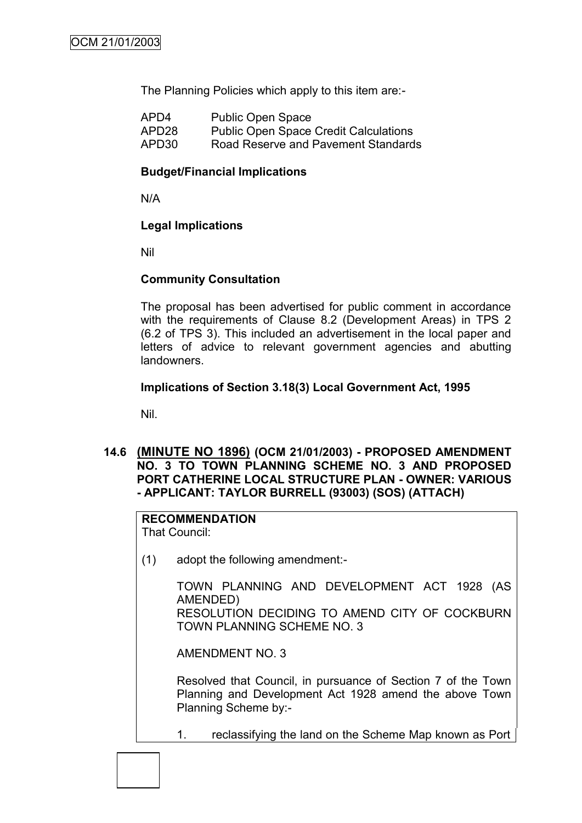The Planning Policies which apply to this item are:-

| APD4              | <b>Public Open Space</b>                     |
|-------------------|----------------------------------------------|
| APD <sub>28</sub> | <b>Public Open Space Credit Calculations</b> |
| APD30             | Road Reserve and Pavement Standards          |

## **Budget/Financial Implications**

N/A

## **Legal Implications**

Nil

## **Community Consultation**

The proposal has been advertised for public comment in accordance with the requirements of Clause 8.2 (Development Areas) in TPS 2 (6.2 of TPS 3). This included an advertisement in the local paper and letters of advice to relevant government agencies and abutting landowners.

## **Implications of Section 3.18(3) Local Government Act, 1995**

Nil.

**14.6 (MINUTE NO 1896) (OCM 21/01/2003) - PROPOSED AMENDMENT NO. 3 TO TOWN PLANNING SCHEME NO. 3 AND PROPOSED PORT CATHERINE LOCAL STRUCTURE PLAN - OWNER: VARIOUS - APPLICANT: TAYLOR BURRELL (93003) (SOS) (ATTACH)**

## **RECOMMENDATION**

That Council:

(1) adopt the following amendment:-

TOWN PLANNING AND DEVELOPMENT ACT 1928 (AS AMENDED) RESOLUTION DECIDING TO AMEND CITY OF COCKBURN TOWN PLANNING SCHEME NO. 3

AMENDMENT NO. 3

Resolved that Council, in pursuance of Section 7 of the Town Planning and Development Act 1928 amend the above Town Planning Scheme by:-

1. reclassifying the land on the Scheme Map known as Port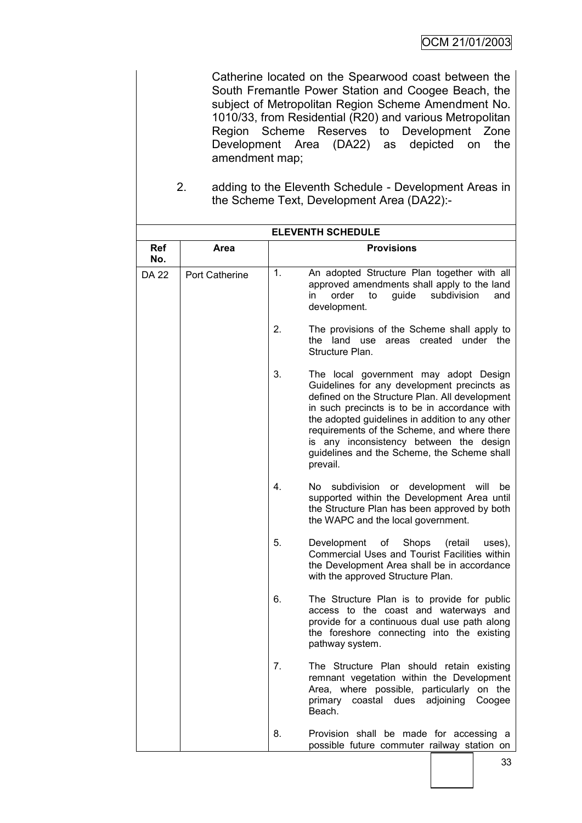Catherine located on the Spearwood coast between the South Fremantle Power Station and Coogee Beach, the subject of Metropolitan Region Scheme Amendment No. 1010/33, from Residential (R20) and various Metropolitan Region Scheme Reserves to Development Zone Development Area (DA22) as depicted on the amendment map;

2. adding to the Eleventh Schedule - Development Areas in the Scheme Text, Development Area (DA22):-

|                   | <b>ELEVENTH SCHEDULE</b> |    |                                                                                                                                                                                                                                                                                                                                                                                                 |  |
|-------------------|--------------------------|----|-------------------------------------------------------------------------------------------------------------------------------------------------------------------------------------------------------------------------------------------------------------------------------------------------------------------------------------------------------------------------------------------------|--|
| <b>Ref</b><br>No. | Area                     |    | <b>Provisions</b>                                                                                                                                                                                                                                                                                                                                                                               |  |
| <b>DA 22</b>      | <b>Port Catherine</b>    | 1. | An adopted Structure Plan together with all<br>approved amendments shall apply to the land<br>order<br>guide<br>subdivision<br>in<br>to<br>and<br>development.                                                                                                                                                                                                                                  |  |
|                   |                          | 2. | The provisions of the Scheme shall apply to<br>the land use<br>created under the<br>areas<br>Structure Plan.                                                                                                                                                                                                                                                                                    |  |
|                   |                          | 3. | The local government may adopt Design<br>Guidelines for any development precincts as<br>defined on the Structure Plan. All development<br>in such precincts is to be in accordance with<br>the adopted guidelines in addition to any other<br>requirements of the Scheme, and where there<br>is any inconsistency between the design<br>guidelines and the Scheme, the Scheme shall<br>prevail. |  |
|                   |                          | 4. | subdivision or development will<br>No l<br>be<br>supported within the Development Area until<br>the Structure Plan has been approved by both<br>the WAPC and the local government.                                                                                                                                                                                                              |  |
|                   |                          | 5. | Development<br>of<br>Shops<br>uses),<br>(retail)<br>Commercial Uses and Tourist Facilities within<br>the Development Area shall be in accordance<br>with the approved Structure Plan.                                                                                                                                                                                                           |  |
|                   |                          | 6. | The Structure Plan is to provide for public<br>access to the coast and waterways and<br>provide for a continuous dual use path along<br>the foreshore connecting into the existing<br>pathway system.                                                                                                                                                                                           |  |
|                   |                          | 7. | The Structure Plan should retain existing<br>remnant vegetation within the Development<br>Area, where possible, particularly on the<br>primary<br>coastal dues adjoining<br>Coogee<br>Beach.                                                                                                                                                                                                    |  |
|                   |                          | 8. | Provision shall be made for accessing a<br>possible future commuter railway station on                                                                                                                                                                                                                                                                                                          |  |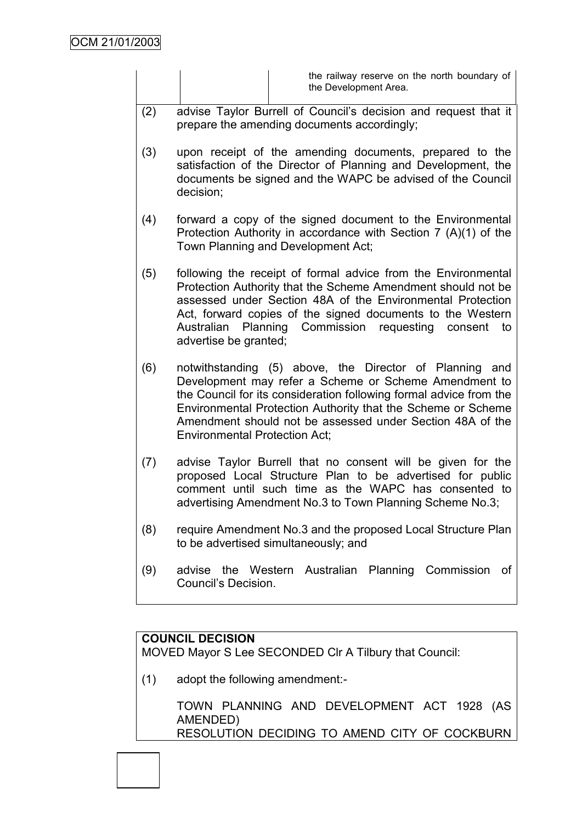|     | the railway reserve on the north boundary of<br>the Development Area.                                                                                                                                                                                                                                                                                       |
|-----|-------------------------------------------------------------------------------------------------------------------------------------------------------------------------------------------------------------------------------------------------------------------------------------------------------------------------------------------------------------|
| (2) | advise Taylor Burrell of Council's decision and request that it<br>prepare the amending documents accordingly;                                                                                                                                                                                                                                              |
| (3) | upon receipt of the amending documents, prepared to the<br>satisfaction of the Director of Planning and Development, the<br>documents be signed and the WAPC be advised of the Council<br>decision;                                                                                                                                                         |
| (4) | forward a copy of the signed document to the Environmental<br>Protection Authority in accordance with Section 7 (A)(1) of the<br>Town Planning and Development Act;                                                                                                                                                                                         |
| (5) | following the receipt of formal advice from the Environmental<br>Protection Authority that the Scheme Amendment should not be<br>assessed under Section 48A of the Environmental Protection<br>Act, forward copies of the signed documents to the Western<br>Australian Planning Commission requesting consent<br>to<br>advertise be granted;               |
| (6) | notwithstanding (5) above, the Director of Planning and<br>Development may refer a Scheme or Scheme Amendment to<br>the Council for its consideration following formal advice from the<br>Environmental Protection Authority that the Scheme or Scheme<br>Amendment should not be assessed under Section 48A of the<br><b>Environmental Protection Act;</b> |
| (7) | advise Taylor Burrell that no consent will be given for the<br>proposed Local Structure Plan to be advertised for public<br>comment until such time as the WAPC has consented to<br>advertising Amendment No.3 to Town Planning Scheme No.3;                                                                                                                |
| (8) | require Amendment No.3 and the proposed Local Structure Plan<br>to be advertised simultaneously; and                                                                                                                                                                                                                                                        |
| (9) | advise the Western Australian Planning Commission<br>0t<br>Council's Decision.                                                                                                                                                                                                                                                                              |

# **COUNCIL DECISION**

MOVED Mayor S Lee SECONDED Clr A Tilbury that Council:

(1) adopt the following amendment:-

TOWN PLANNING AND DEVELOPMENT ACT 1928 (AS AMENDED) RESOLUTION DECIDING TO AMEND CITY OF COCKBURN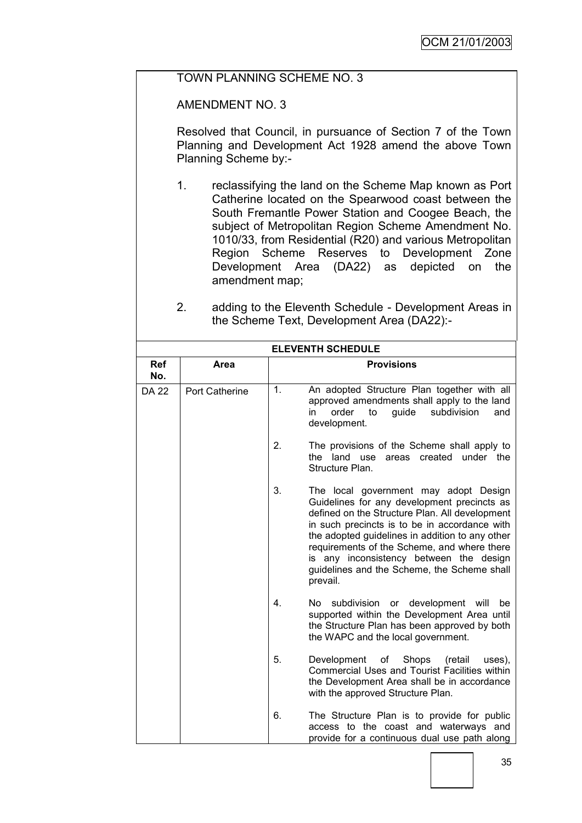## TOWN PLANNING SCHEME NO. 3

AMENDMENT NO. 3

Resolved that Council, in pursuance of Section 7 of the Town Planning and Development Act 1928 amend the above Town Planning Scheme by:-

- 1. reclassifying the land on the Scheme Map known as Port Catherine located on the Spearwood coast between the South Fremantle Power Station and Coogee Beach, the subject of Metropolitan Region Scheme Amendment No. 1010/33, from Residential (R20) and various Metropolitan Region Scheme Reserves to Development Zone Development Area (DA22) as depicted on the amendment map;
- 2. adding to the Eleventh Schedule Development Areas in the Scheme Text, Development Area (DA22):-

| <b>ELEVENTH SCHEDULE</b> |                       |    |                                                                                                                                                                                                                                                                                                                                                                                                 |  |
|--------------------------|-----------------------|----|-------------------------------------------------------------------------------------------------------------------------------------------------------------------------------------------------------------------------------------------------------------------------------------------------------------------------------------------------------------------------------------------------|--|
| Ref<br>No.               | Area                  |    | <b>Provisions</b>                                                                                                                                                                                                                                                                                                                                                                               |  |
| <b>DA 22</b>             | <b>Port Catherine</b> | 1. | An adopted Structure Plan together with all<br>approved amendments shall apply to the land<br>in<br>order<br>to<br>guide<br>subdivision<br>and<br>development.                                                                                                                                                                                                                                  |  |
|                          |                       | 2. | The provisions of the Scheme shall apply to<br>the land use areas created under the<br>Structure Plan.                                                                                                                                                                                                                                                                                          |  |
|                          |                       | 3. | The local government may adopt Design<br>Guidelines for any development precincts as<br>defined on the Structure Plan. All development<br>in such precincts is to be in accordance with<br>the adopted guidelines in addition to any other<br>requirements of the Scheme, and where there<br>is any inconsistency between the design<br>guidelines and the Scheme, the Scheme shall<br>prevail. |  |
|                          |                       | 4. | subdivision or development will be<br>No l<br>supported within the Development Area until<br>the Structure Plan has been approved by both<br>the WAPC and the local government.                                                                                                                                                                                                                 |  |
|                          |                       | 5. | Development of Shops<br>(retail<br>uses),<br><b>Commercial Uses and Tourist Facilities within</b><br>the Development Area shall be in accordance<br>with the approved Structure Plan.                                                                                                                                                                                                           |  |
|                          |                       | 6. | The Structure Plan is to provide for public<br>access to the coast and waterways and<br>provide for a continuous dual use path along                                                                                                                                                                                                                                                            |  |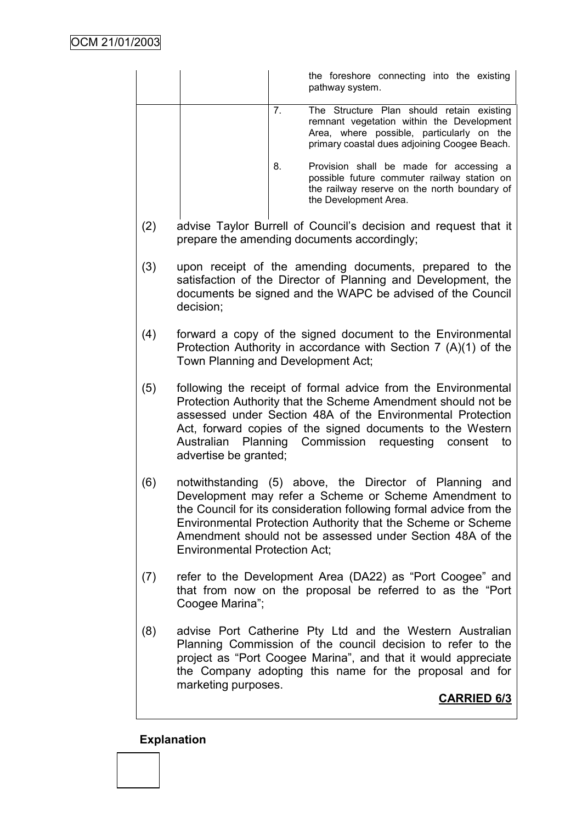|     |                                      |    | the foreshore connecting into the existing<br>pathway system.                                                                                                                                                                                                                                                        |
|-----|--------------------------------------|----|----------------------------------------------------------------------------------------------------------------------------------------------------------------------------------------------------------------------------------------------------------------------------------------------------------------------|
|     |                                      | 7. | The Structure Plan should retain existing<br>remnant vegetation within the Development<br>Area, where possible, particularly on the<br>primary coastal dues adjoining Coogee Beach.                                                                                                                                  |
|     |                                      | 8. | Provision shall be made for accessing a<br>possible future commuter railway station on<br>the railway reserve on the north boundary of<br>the Development Area.                                                                                                                                                      |
| (2) |                                      |    | advise Taylor Burrell of Council's decision and request that it<br>prepare the amending documents accordingly;                                                                                                                                                                                                       |
| (3) | decision;                            |    | upon receipt of the amending documents, prepared to the<br>satisfaction of the Director of Planning and Development, the<br>documents be signed and the WAPC be advised of the Council                                                                                                                               |
| (4) | Town Planning and Development Act;   |    | forward a copy of the signed document to the Environmental<br>Protection Authority in accordance with Section $7(A)(1)$ of the                                                                                                                                                                                       |
| (5) | advertise be granted;                |    | following the receipt of formal advice from the Environmental<br>Protection Authority that the Scheme Amendment should not be<br>assessed under Section 48A of the Environmental Protection<br>Act, forward copies of the signed documents to the Western<br>Australian Planning Commission requesting consent<br>to |
| (6) | <b>Environmental Protection Act;</b> |    | notwithstanding (5) above, the Director of Planning and<br>Development may refer a Scheme or Scheme Amendment to<br>the Council for its consideration following formal advice from the<br>Environmental Protection Authority that the Scheme or Scheme<br>Amendment should not be assessed under Section 48A of the  |
| (7) | Coogee Marina";                      |    | refer to the Development Area (DA22) as "Port Coogee" and<br>that from now on the proposal be referred to as the "Port"                                                                                                                                                                                              |
| (8) | marketing purposes.                  |    | advise Port Catherine Pty Ltd and the Western Australian<br>Planning Commission of the council decision to refer to the<br>project as "Port Coogee Marina", and that it would appreciate<br>the Company adopting this name for the proposal and for                                                                  |
|     |                                      |    | <b>CARRIED 6/3</b>                                                                                                                                                                                                                                                                                                   |

**Explanation**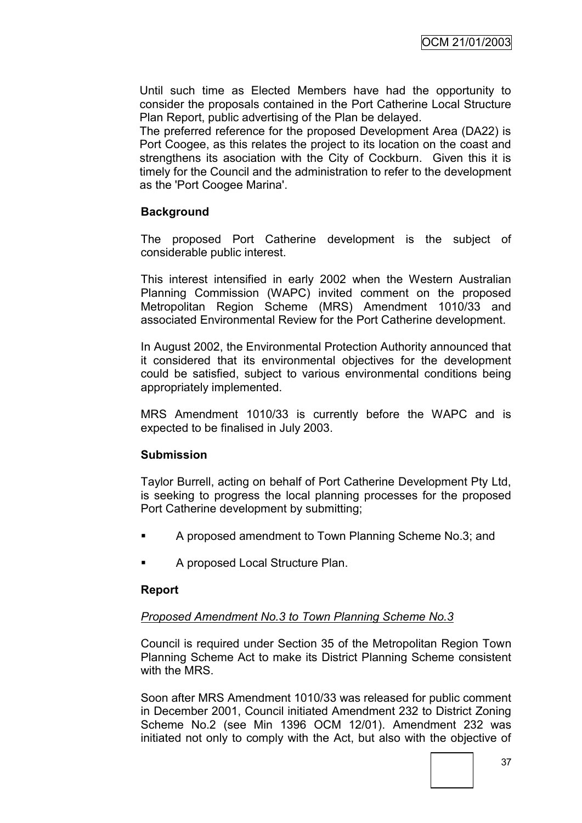Until such time as Elected Members have had the opportunity to consider the proposals contained in the Port Catherine Local Structure Plan Report, public advertising of the Plan be delayed.

The preferred reference for the proposed Development Area (DA22) is Port Coogee, as this relates the project to its location on the coast and strengthens its asociation with the City of Cockburn. Given this it is timely for the Council and the administration to refer to the development as the 'Port Coogee Marina'.

#### **Background**

The proposed Port Catherine development is the subject of considerable public interest.

This interest intensified in early 2002 when the Western Australian Planning Commission (WAPC) invited comment on the proposed Metropolitan Region Scheme (MRS) Amendment 1010/33 and associated Environmental Review for the Port Catherine development.

In August 2002, the Environmental Protection Authority announced that it considered that its environmental objectives for the development could be satisfied, subject to various environmental conditions being appropriately implemented.

MRS Amendment 1010/33 is currently before the WAPC and is expected to be finalised in July 2003.

#### **Submission**

Taylor Burrell, acting on behalf of Port Catherine Development Pty Ltd, is seeking to progress the local planning processes for the proposed Port Catherine development by submitting;

- **A** proposed amendment to Town Planning Scheme No.3; and
- A proposed Local Structure Plan.

#### **Report**

#### *Proposed Amendment No.3 to Town Planning Scheme No.3*

Council is required under Section 35 of the Metropolitan Region Town Planning Scheme Act to make its District Planning Scheme consistent with the MRS

Soon after MRS Amendment 1010/33 was released for public comment in December 2001, Council initiated Amendment 232 to District Zoning Scheme No.2 (see Min 1396 OCM 12/01). Amendment 232 was initiated not only to comply with the Act, but also with the objective of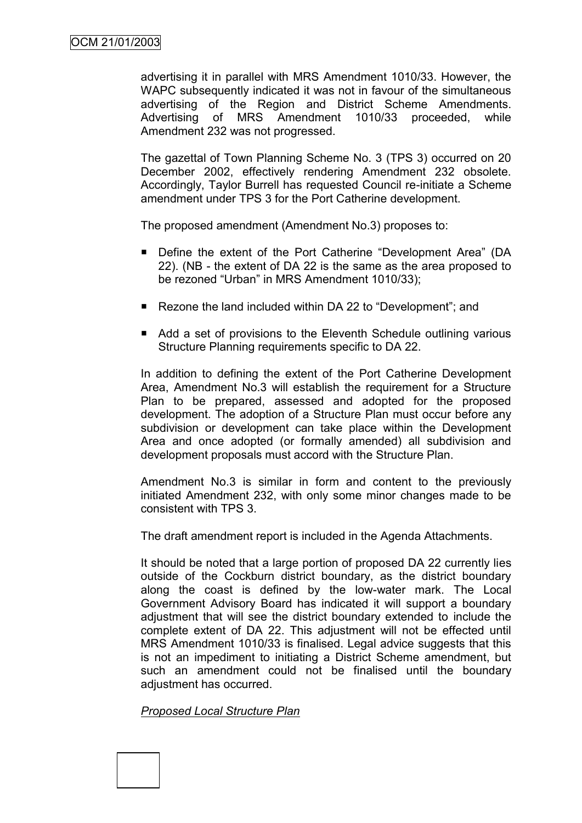advertising it in parallel with MRS Amendment 1010/33. However, the WAPC subsequently indicated it was not in favour of the simultaneous advertising of the Region and District Scheme Amendments. Advertising of MRS Amendment 1010/33 proceeded, while Amendment 232 was not progressed.

The gazettal of Town Planning Scheme No. 3 (TPS 3) occurred on 20 December 2002, effectively rendering Amendment 232 obsolete. Accordingly, Taylor Burrell has requested Council re-initiate a Scheme amendment under TPS 3 for the Port Catherine development.

The proposed amendment (Amendment No.3) proposes to:

- Define the extent of the Port Catherine "Development Area" (DA 22). (NB - the extent of DA 22 is the same as the area proposed to be rezoned "Urban" in MRS Amendment 1010/33);
- Rezone the land included within DA 22 to "Development"; and
- Add a set of provisions to the Eleventh Schedule outlining various Structure Planning requirements specific to DA 22.

In addition to defining the extent of the Port Catherine Development Area, Amendment No.3 will establish the requirement for a Structure Plan to be prepared, assessed and adopted for the proposed development. The adoption of a Structure Plan must occur before any subdivision or development can take place within the Development Area and once adopted (or formally amended) all subdivision and development proposals must accord with the Structure Plan.

Amendment No.3 is similar in form and content to the previously initiated Amendment 232, with only some minor changes made to be consistent with TPS 3.

The draft amendment report is included in the Agenda Attachments.

It should be noted that a large portion of proposed DA 22 currently lies outside of the Cockburn district boundary, as the district boundary along the coast is defined by the low-water mark. The Local Government Advisory Board has indicated it will support a boundary adjustment that will see the district boundary extended to include the complete extent of DA 22. This adjustment will not be effected until MRS Amendment 1010/33 is finalised. Legal advice suggests that this is not an impediment to initiating a District Scheme amendment, but such an amendment could not be finalised until the boundary adjustment has occurred.

*Proposed Local Structure Plan*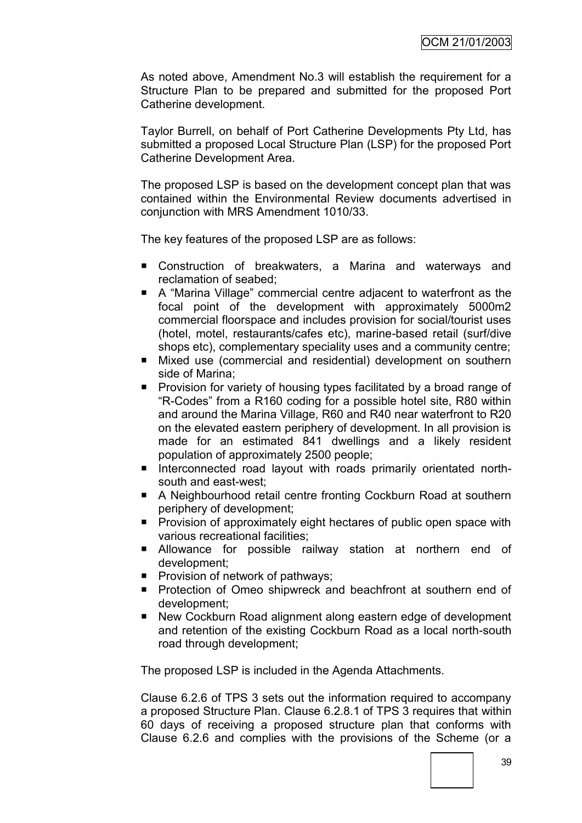As noted above, Amendment No.3 will establish the requirement for a Structure Plan to be prepared and submitted for the proposed Port Catherine development.

Taylor Burrell, on behalf of Port Catherine Developments Pty Ltd, has submitted a proposed Local Structure Plan (LSP) for the proposed Port Catherine Development Area.

The proposed LSP is based on the development concept plan that was contained within the Environmental Review documents advertised in conjunction with MRS Amendment 1010/33.

The key features of the proposed LSP are as follows:

- Construction of breakwaters, a Marina and waterways and reclamation of seabed;
- A "Marina Village" commercial centre adjacent to waterfront as the focal point of the development with approximately 5000m2 commercial floorspace and includes provision for social/tourist uses (hotel, motel, restaurants/cafes etc), marine-based retail (surf/dive shops etc), complementary speciality uses and a community centre;
- Mixed use (commercial and residential) development on southern side of Marina;
- **Provision for variety of housing types facilitated by a broad range of** "R-Codes" from a R160 coding for a possible hotel site, R80 within and around the Marina Village, R60 and R40 near waterfront to R20 on the elevated eastern periphery of development. In all provision is made for an estimated 841 dwellings and a likely resident population of approximately 2500 people;
- Interconnected road layout with roads primarily orientated northsouth and east-west;
- A Neighbourhood retail centre fronting Cockburn Road at southern periphery of development;
- **Provision of approximately eight hectares of public open space with** various recreational facilities;
- **Allowance for possible railway station at northern end of** development;
- **Provision of network of pathways;**
- **Protection of Omeo shipwreck and beachfront at southern end of** development;
- New Cockburn Road alignment along eastern edge of development and retention of the existing Cockburn Road as a local north-south road through development;

The proposed LSP is included in the Agenda Attachments.

Clause 6.2.6 of TPS 3 sets out the information required to accompany a proposed Structure Plan. Clause 6.2.8.1 of TPS 3 requires that within 60 days of receiving a proposed structure plan that conforms with Clause 6.2.6 and complies with the provisions of the Scheme (or a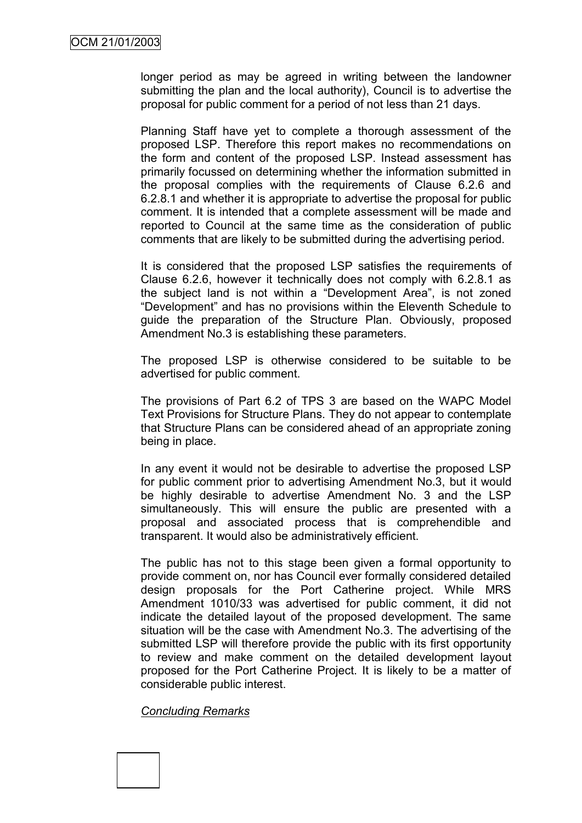longer period as may be agreed in writing between the landowner submitting the plan and the local authority), Council is to advertise the proposal for public comment for a period of not less than 21 days.

Planning Staff have yet to complete a thorough assessment of the proposed LSP. Therefore this report makes no recommendations on the form and content of the proposed LSP. Instead assessment has primarily focussed on determining whether the information submitted in the proposal complies with the requirements of Clause 6.2.6 and 6.2.8.1 and whether it is appropriate to advertise the proposal for public comment. It is intended that a complete assessment will be made and reported to Council at the same time as the consideration of public comments that are likely to be submitted during the advertising period.

It is considered that the proposed LSP satisfies the requirements of Clause 6.2.6, however it technically does not comply with 6.2.8.1 as the subject land is not within a "Development Area", is not zoned "Development" and has no provisions within the Eleventh Schedule to guide the preparation of the Structure Plan. Obviously, proposed Amendment No.3 is establishing these parameters.

The proposed LSP is otherwise considered to be suitable to be advertised for public comment.

The provisions of Part 6.2 of TPS 3 are based on the WAPC Model Text Provisions for Structure Plans. They do not appear to contemplate that Structure Plans can be considered ahead of an appropriate zoning being in place.

In any event it would not be desirable to advertise the proposed LSP for public comment prior to advertising Amendment No.3, but it would be highly desirable to advertise Amendment No. 3 and the LSP simultaneously. This will ensure the public are presented with a proposal and associated process that is comprehendible and transparent. It would also be administratively efficient.

The public has not to this stage been given a formal opportunity to provide comment on, nor has Council ever formally considered detailed design proposals for the Port Catherine project. While MRS Amendment 1010/33 was advertised for public comment, it did not indicate the detailed layout of the proposed development. The same situation will be the case with Amendment No.3. The advertising of the submitted LSP will therefore provide the public with its first opportunity to review and make comment on the detailed development layout proposed for the Port Catherine Project. It is likely to be a matter of considerable public interest.

#### *Concluding Remarks*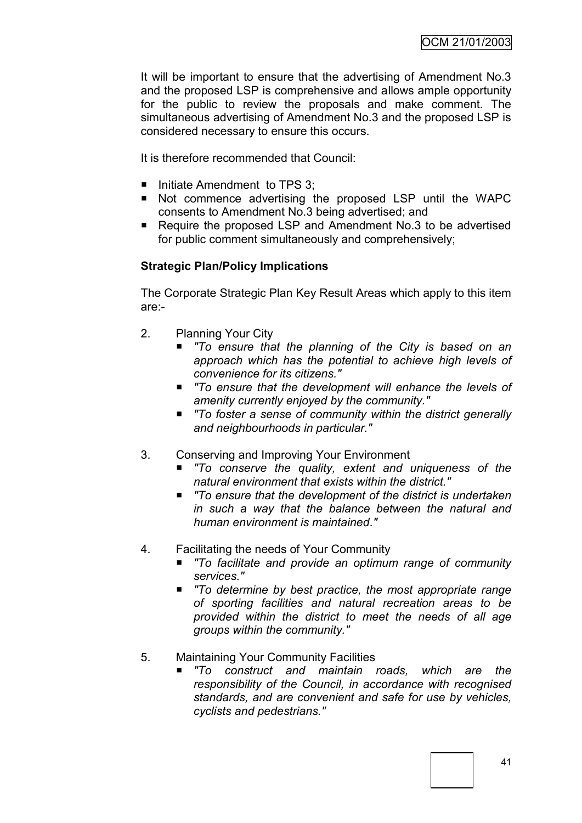It will be important to ensure that the advertising of Amendment No.3 and the proposed LSP is comprehensive and allows ample opportunity for the public to review the proposals and make comment. The simultaneous advertising of Amendment No.3 and the proposed LSP is considered necessary to ensure this occurs.

It is therefore recommended that Council:

- $\blacksquare$  Initiate Amendment to TPS 3;
- Not commence advertising the proposed LSP until the WAPC consents to Amendment No.3 being advertised; and
- Require the proposed LSP and Amendment No.3 to be advertised for public comment simultaneously and comprehensively;

## **Strategic Plan/Policy Implications**

The Corporate Strategic Plan Key Result Areas which apply to this item are:-

- 2. Planning Your City
	- *"To ensure that the planning of the City is based on an approach which has the potential to achieve high levels of convenience for its citizens."*
	- *"To ensure that the development will enhance the levels of amenity currently enjoyed by the community."*
	- *"To foster a sense of community within the district generally and neighbourhoods in particular."*
- 3. Conserving and Improving Your Environment
	- *"To conserve the quality, extent and uniqueness of the natural environment that exists within the district."*
	- To ensure that the development of the district is undertaken *in such a way that the balance between the natural and human environment is maintained."*
- 4. Facilitating the needs of Your Community
	- *"To facilitate and provide an optimum range of community services."*
	- *"To determine by best practice, the most appropriate range of sporting facilities and natural recreation areas to be provided within the district to meet the needs of all age groups within the community."*
- 5. Maintaining Your Community Facilities
	- *"To construct and maintain roads, which are the responsibility of the Council, in accordance with recognised standards, and are convenient and safe for use by vehicles, cyclists and pedestrians."*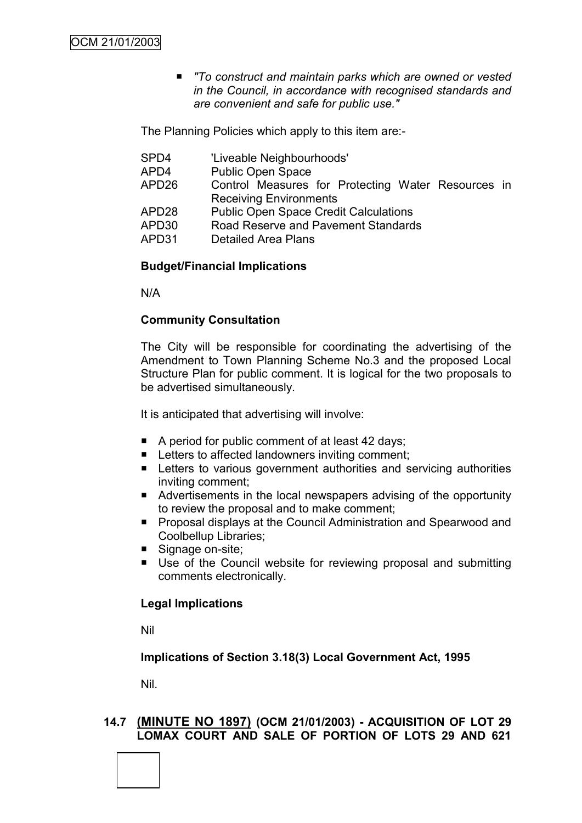■ To construct and maintain parks which are owned or vested *in the Council, in accordance with recognised standards and are convenient and safe for public use."*

The Planning Policies which apply to this item are:-

- SPD4 'Liveable Neighbourhoods'
- APD4 Public Open Space
- APD26 Control Measures for Protecting Water Resources in Receiving Environments
- APD28 Public Open Space Credit Calculations
- APD30 Road Reserve and Pavement Standards
- APD31 Detailed Area Plans

#### **Budget/Financial Implications**

N/A

#### **Community Consultation**

The City will be responsible for coordinating the advertising of the Amendment to Town Planning Scheme No.3 and the proposed Local Structure Plan for public comment. It is logical for the two proposals to be advertised simultaneously.

It is anticipated that advertising will involve:

- A period for public comment of at least 42 days;
- Letters to affected landowners inviting comment:
- **EXTERG** Letters to various government authorities and servicing authorities inviting comment;
- **Advertisements in the local newspapers advising of the opportunity** to review the proposal and to make comment;
- **Proposal displays at the Council Administration and Spearwood and** Coolbellup Libraries;
- Signage on-site;
- Use of the Council website for reviewing proposal and submitting comments electronically.

#### **Legal Implications**

Nil

#### **Implications of Section 3.18(3) Local Government Act, 1995**

Nil.

#### **14.7 (MINUTE NO 1897) (OCM 21/01/2003) - ACQUISITION OF LOT 29 LOMAX COURT AND SALE OF PORTION OF LOTS 29 AND 621**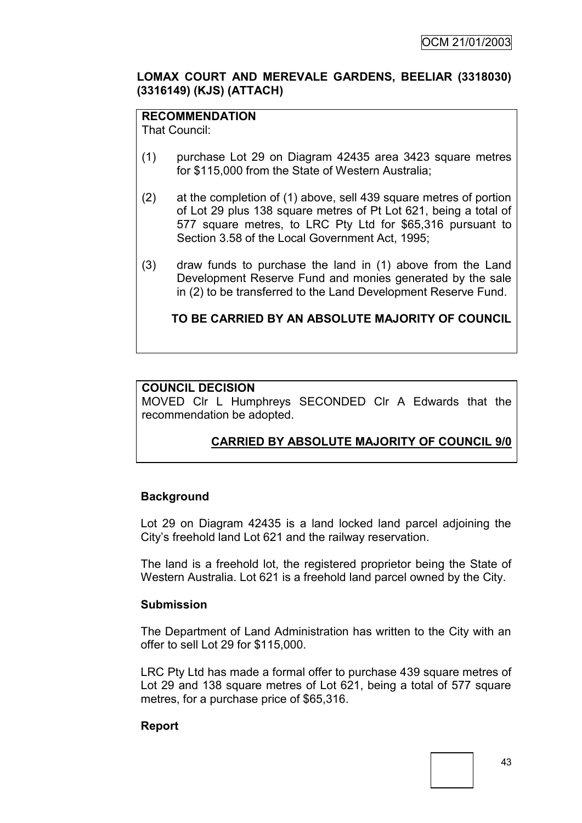#### **LOMAX COURT AND MEREVALE GARDENS, BEELIAR (3318030) (3316149) (KJS) (ATTACH)**

# **RECOMMENDATION**

That Council:

- (1) purchase Lot 29 on Diagram 42435 area 3423 square metres for \$115,000 from the State of Western Australia;
- (2) at the completion of (1) above, sell 439 square metres of portion of Lot 29 plus 138 square metres of Pt Lot 621, being a total of 577 square metres, to LRC Pty Ltd for \$65,316 pursuant to Section 3.58 of the Local Government Act, 1995;
- (3) draw funds to purchase the land in (1) above from the Land Development Reserve Fund and monies generated by the sale in (2) to be transferred to the Land Development Reserve Fund.

## **TO BE CARRIED BY AN ABSOLUTE MAJORITY OF COUNCIL**

#### **COUNCIL DECISION**

MOVED Clr L Humphreys SECONDED Clr A Edwards that the recommendation be adopted.

# **CARRIED BY ABSOLUTE MAJORITY OF COUNCIL 9/0**

#### **Background**

Lot 29 on Diagram 42435 is a land locked land parcel adjoining the City"s freehold land Lot 621 and the railway reservation.

The land is a freehold lot, the registered proprietor being the State of Western Australia. Lot 621 is a freehold land parcel owned by the City.

#### **Submission**

The Department of Land Administration has written to the City with an offer to sell Lot 29 for \$115,000.

LRC Pty Ltd has made a formal offer to purchase 439 square metres of Lot 29 and 138 square metres of Lot 621, being a total of 577 square metres, for a purchase price of \$65,316.

#### **Report**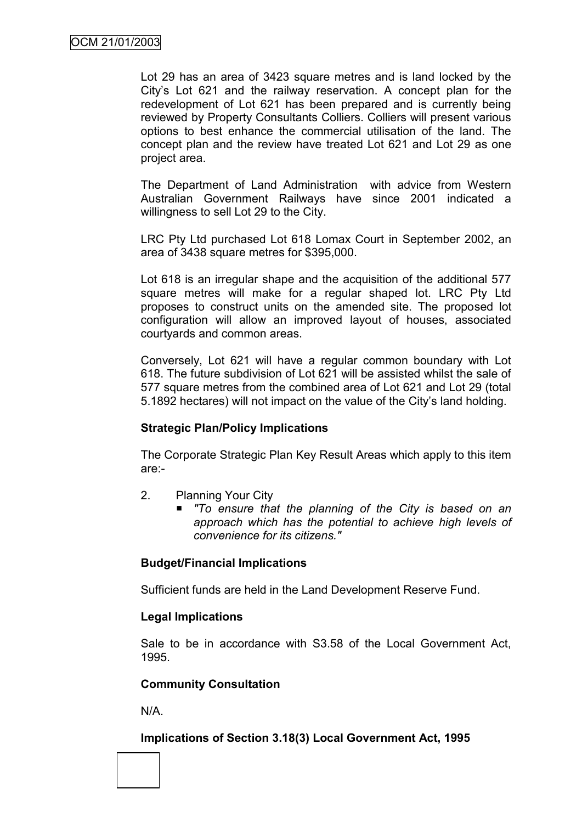Lot 29 has an area of 3423 square metres and is land locked by the City"s Lot 621 and the railway reservation. A concept plan for the redevelopment of Lot 621 has been prepared and is currently being reviewed by Property Consultants Colliers. Colliers will present various options to best enhance the commercial utilisation of the land. The concept plan and the review have treated Lot 621 and Lot 29 as one project area.

The Department of Land Administration with advice from Western Australian Government Railways have since 2001 indicated a willingness to sell Lot 29 to the City.

LRC Pty Ltd purchased Lot 618 Lomax Court in September 2002, an area of 3438 square metres for \$395,000.

Lot 618 is an irregular shape and the acquisition of the additional 577 square metres will make for a regular shaped lot. LRC Pty Ltd proposes to construct units on the amended site. The proposed lot configuration will allow an improved layout of houses, associated courtyards and common areas.

Conversely, Lot 621 will have a regular common boundary with Lot 618. The future subdivision of Lot 621 will be assisted whilst the sale of 577 square metres from the combined area of Lot 621 and Lot 29 (total 5.1892 hectares) will not impact on the value of the City"s land holding.

#### **Strategic Plan/Policy Implications**

The Corporate Strategic Plan Key Result Areas which apply to this item are:-

- 2. Planning Your City
	- *"To ensure that the planning of the City is based on an approach which has the potential to achieve high levels of convenience for its citizens."*

## **Budget/Financial Implications**

Sufficient funds are held in the Land Development Reserve Fund.

#### **Legal Implications**

Sale to be in accordance with S3.58 of the Local Government Act, 1995.

#### **Community Consultation**

N/A.

## **Implications of Section 3.18(3) Local Government Act, 1995**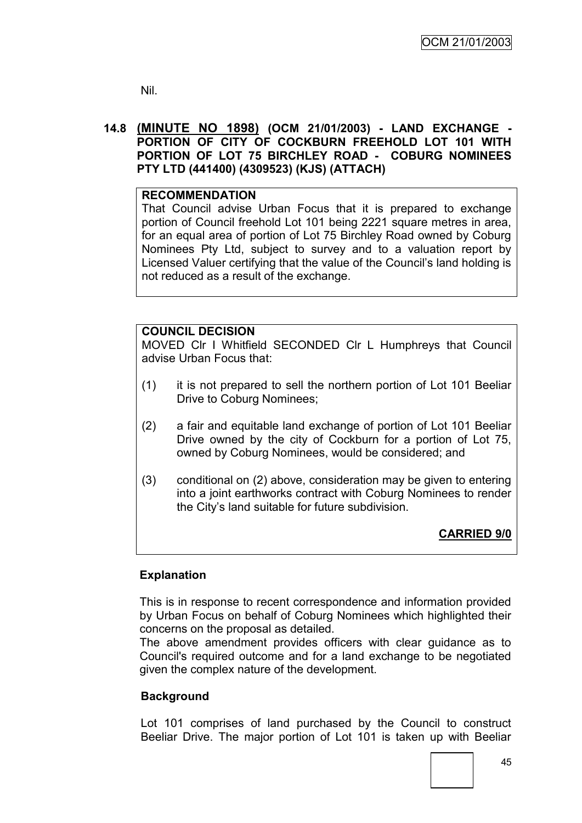Nil.

#### **14.8 (MINUTE NO 1898) (OCM 21/01/2003) - LAND EXCHANGE - PORTION OF CITY OF COCKBURN FREEHOLD LOT 101 WITH PORTION OF LOT 75 BIRCHLEY ROAD - COBURG NOMINEES PTY LTD (441400) (4309523) (KJS) (ATTACH)**

#### **RECOMMENDATION**

That Council advise Urban Focus that it is prepared to exchange portion of Council freehold Lot 101 being 2221 square metres in area, for an equal area of portion of Lot 75 Birchley Road owned by Coburg Nominees Pty Ltd, subject to survey and to a valuation report by Licensed Valuer certifying that the value of the Council"s land holding is not reduced as a result of the exchange.

#### **COUNCIL DECISION**

MOVED Clr I Whitfield SECONDED Clr L Humphreys that Council advise Urban Focus that:

- (1) it is not prepared to sell the northern portion of Lot 101 Beeliar Drive to Coburg Nominees;
- (2) a fair and equitable land exchange of portion of Lot 101 Beeliar Drive owned by the city of Cockburn for a portion of Lot 75, owned by Coburg Nominees, would be considered; and
- (3) conditional on (2) above, consideration may be given to entering into a joint earthworks contract with Coburg Nominees to render the City"s land suitable for future subdivision.

## **CARRIED 9/0**

#### **Explanation**

This is in response to recent correspondence and information provided by Urban Focus on behalf of Coburg Nominees which highlighted their concerns on the proposal as detailed.

The above amendment provides officers with clear guidance as to Council's required outcome and for a land exchange to be negotiated given the complex nature of the development.

#### **Background**

Lot 101 comprises of land purchased by the Council to construct Beeliar Drive. The major portion of Lot 101 is taken up with Beeliar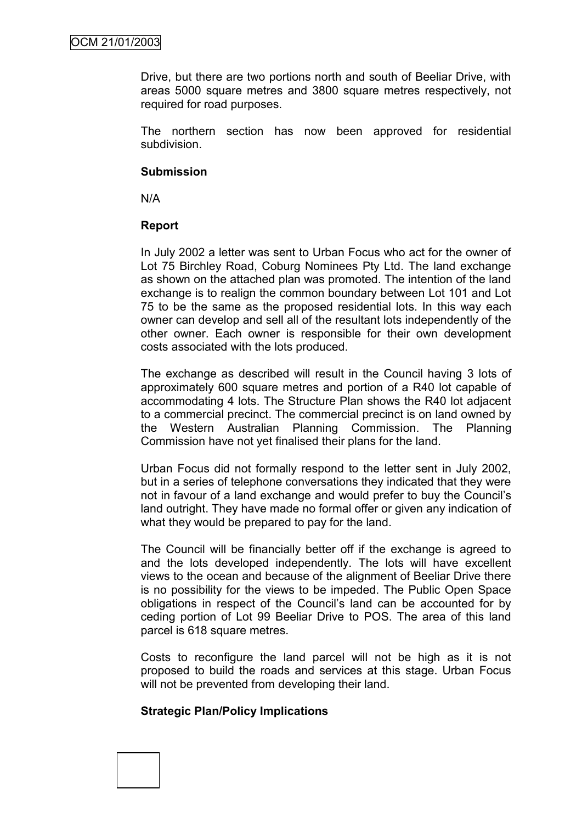Drive, but there are two portions north and south of Beeliar Drive, with areas 5000 square metres and 3800 square metres respectively, not required for road purposes.

The northern section has now been approved for residential subdivision.

#### **Submission**

N/A

#### **Report**

In July 2002 a letter was sent to Urban Focus who act for the owner of Lot 75 Birchley Road, Coburg Nominees Pty Ltd. The land exchange as shown on the attached plan was promoted. The intention of the land exchange is to realign the common boundary between Lot 101 and Lot 75 to be the same as the proposed residential lots. In this way each owner can develop and sell all of the resultant lots independently of the other owner. Each owner is responsible for their own development costs associated with the lots produced.

The exchange as described will result in the Council having 3 lots of approximately 600 square metres and portion of a R40 lot capable of accommodating 4 lots. The Structure Plan shows the R40 lot adjacent to a commercial precinct. The commercial precinct is on land owned by the Western Australian Planning Commission. The Planning Commission have not yet finalised their plans for the land.

Urban Focus did not formally respond to the letter sent in July 2002, but in a series of telephone conversations they indicated that they were not in favour of a land exchange and would prefer to buy the Council"s land outright. They have made no formal offer or given any indication of what they would be prepared to pay for the land.

The Council will be financially better off if the exchange is agreed to and the lots developed independently. The lots will have excellent views to the ocean and because of the alignment of Beeliar Drive there is no possibility for the views to be impeded. The Public Open Space obligations in respect of the Council"s land can be accounted for by ceding portion of Lot 99 Beeliar Drive to POS. The area of this land parcel is 618 square metres.

Costs to reconfigure the land parcel will not be high as it is not proposed to build the roads and services at this stage. Urban Focus will not be prevented from developing their land.

#### **Strategic Plan/Policy Implications**

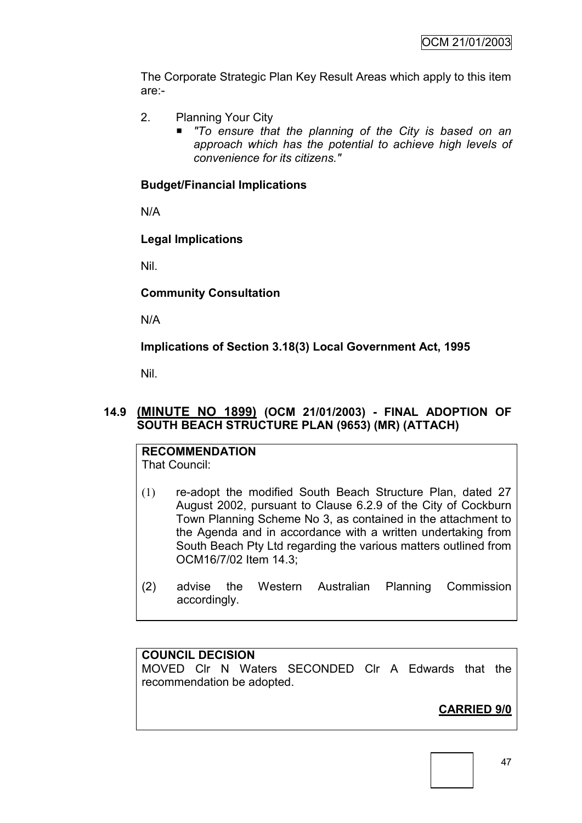The Corporate Strategic Plan Key Result Areas which apply to this item are:-

- 2. Planning Your City
	- *"To ensure that the planning of the City is based on an approach which has the potential to achieve high levels of convenience for its citizens."*

## **Budget/Financial Implications**

N/A

## **Legal Implications**

Nil.

## **Community Consultation**

N/A

**Implications of Section 3.18(3) Local Government Act, 1995**

Nil.

## **14.9 (MINUTE NO 1899) (OCM 21/01/2003) - FINAL ADOPTION OF SOUTH BEACH STRUCTURE PLAN (9653) (MR) (ATTACH)**

**RECOMMENDATION** That Council:

- (1) re-adopt the modified South Beach Structure Plan, dated 27 August 2002, pursuant to Clause 6.2.9 of the City of Cockburn Town Planning Scheme No 3, as contained in the attachment to the Agenda and in accordance with a written undertaking from South Beach Pty Ltd regarding the various matters outlined from OCM16/7/02 Item 14.3;
- (2) advise the Western Australian Planning Commission accordingly.

#### **COUNCIL DECISION**

MOVED Clr N Waters SECONDED Clr A Edwards that the recommendation be adopted.

# **CARRIED 9/0**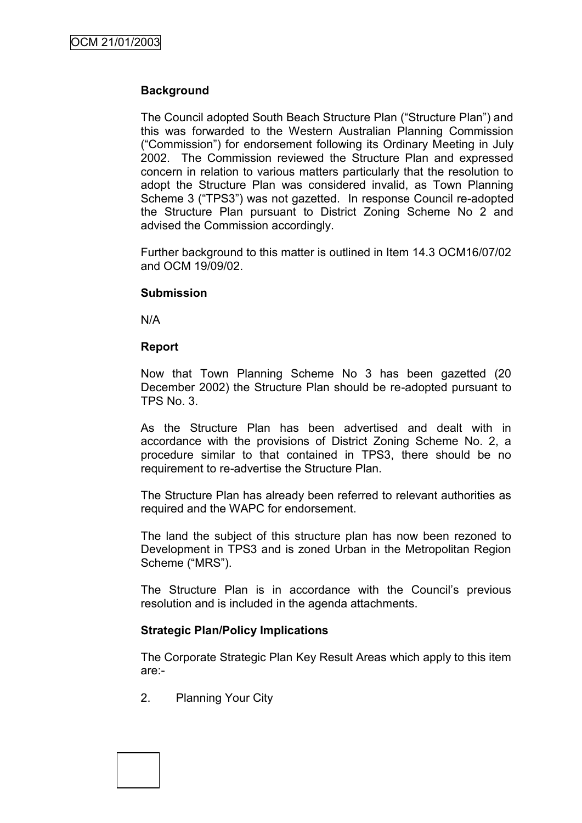## **Background**

The Council adopted South Beach Structure Plan ("Structure Plan") and this was forwarded to the Western Australian Planning Commission ("Commission") for endorsement following its Ordinary Meeting in July 2002. The Commission reviewed the Structure Plan and expressed concern in relation to various matters particularly that the resolution to adopt the Structure Plan was considered invalid, as Town Planning Scheme 3 ("TPS3") was not gazetted. In response Council re-adopted the Structure Plan pursuant to District Zoning Scheme No 2 and advised the Commission accordingly.

Further background to this matter is outlined in Item 14.3 OCM16/07/02 and OCM 19/09/02.

#### **Submission**

N/A

#### **Report**

Now that Town Planning Scheme No 3 has been gazetted (20 December 2002) the Structure Plan should be re-adopted pursuant to TPS No. 3.

As the Structure Plan has been advertised and dealt with in accordance with the provisions of District Zoning Scheme No. 2, a procedure similar to that contained in TPS3, there should be no requirement to re-advertise the Structure Plan.

The Structure Plan has already been referred to relevant authorities as required and the WAPC for endorsement.

The land the subject of this structure plan has now been rezoned to Development in TPS3 and is zoned Urban in the Metropolitan Region Scheme ("MRS").

The Structure Plan is in accordance with the Council's previous resolution and is included in the agenda attachments.

#### **Strategic Plan/Policy Implications**

The Corporate Strategic Plan Key Result Areas which apply to this item are:-

2. Planning Your City

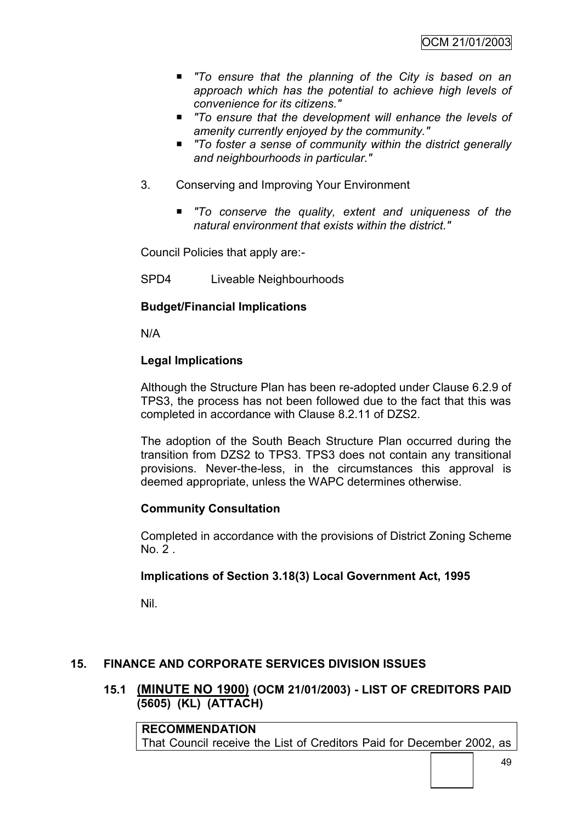- *"To ensure that the planning of the City is based on an approach which has the potential to achieve high levels of convenience for its citizens."*
- *"To ensure that the development will enhance the levels of amenity currently enjoyed by the community."*
- To foster a sense of community within the district generally *and neighbourhoods in particular."*
- 3. Conserving and Improving Your Environment
	- *"To conserve the quality, extent and uniqueness of the natural environment that exists within the district."*

Council Policies that apply are:-

SPD4 Liveable Neighbourhoods

## **Budget/Financial Implications**

N/A

#### **Legal Implications**

Although the Structure Plan has been re-adopted under Clause 6.2.9 of TPS3, the process has not been followed due to the fact that this was completed in accordance with Clause 8.2.11 of DZS2.

The adoption of the South Beach Structure Plan occurred during the transition from DZS2 to TPS3. TPS3 does not contain any transitional provisions. Never-the-less, in the circumstances this approval is deemed appropriate, unless the WAPC determines otherwise.

#### **Community Consultation**

Completed in accordance with the provisions of District Zoning Scheme  $No. 2$ 

#### **Implications of Section 3.18(3) Local Government Act, 1995**

Nil.

## **15. FINANCE AND CORPORATE SERVICES DIVISION ISSUES**

**15.1 (MINUTE NO 1900) (OCM 21/01/2003) - LIST OF CREDITORS PAID (5605) (KL) (ATTACH)**

**RECOMMENDATION** That Council receive the List of Creditors Paid for December 2002, as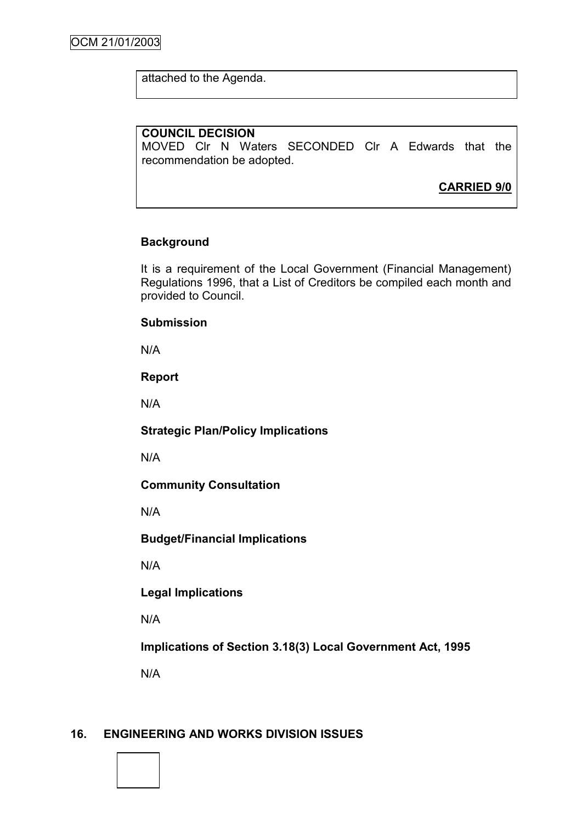attached to the Agenda.

### **COUNCIL DECISION**

MOVED Clr N Waters SECONDED Clr A Edwards that the recommendation be adopted.

**CARRIED 9/0**

## **Background**

It is a requirement of the Local Government (Financial Management) Regulations 1996, that a List of Creditors be compiled each month and provided to Council.

#### **Submission**

N/A

#### **Report**

N/A

#### **Strategic Plan/Policy Implications**

N/A

#### **Community Consultation**

N/A

#### **Budget/Financial Implications**

N/A

## **Legal Implications**

N/A

## **Implications of Section 3.18(3) Local Government Act, 1995**

N/A

## **16. ENGINEERING AND WORKS DIVISION ISSUES**

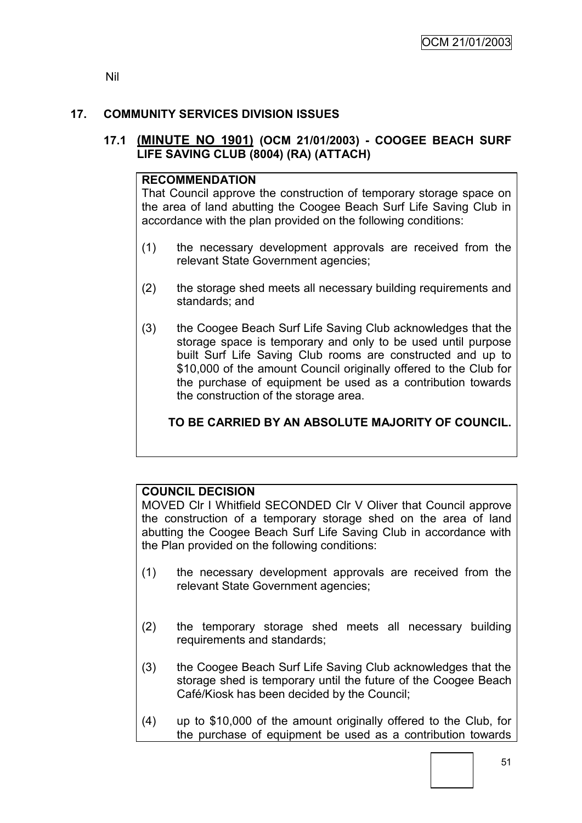Nil

## **17. COMMUNITY SERVICES DIVISION ISSUES**

## **17.1 (MINUTE NO 1901) (OCM 21/01/2003) - COOGEE BEACH SURF LIFE SAVING CLUB (8004) (RA) (ATTACH)**

### **RECOMMENDATION**

That Council approve the construction of temporary storage space on the area of land abutting the Coogee Beach Surf Life Saving Club in accordance with the plan provided on the following conditions:

- (1) the necessary development approvals are received from the relevant State Government agencies;
- (2) the storage shed meets all necessary building requirements and standards; and
- (3) the Coogee Beach Surf Life Saving Club acknowledges that the storage space is temporary and only to be used until purpose built Surf Life Saving Club rooms are constructed and up to \$10,000 of the amount Council originally offered to the Club for the purchase of equipment be used as a contribution towards the construction of the storage area.

## **TO BE CARRIED BY AN ABSOLUTE MAJORITY OF COUNCIL.**

## **COUNCIL DECISION**

MOVED Clr I Whitfield SECONDED Clr V Oliver that Council approve the construction of a temporary storage shed on the area of land abutting the Coogee Beach Surf Life Saving Club in accordance with the Plan provided on the following conditions:

- (1) the necessary development approvals are received from the relevant State Government agencies;
- (2) the temporary storage shed meets all necessary building requirements and standards;
- (3) the Coogee Beach Surf Life Saving Club acknowledges that the storage shed is temporary until the future of the Coogee Beach Café/Kiosk has been decided by the Council;
- (4) up to \$10,000 of the amount originally offered to the Club, for the purchase of equipment be used as a contribution towards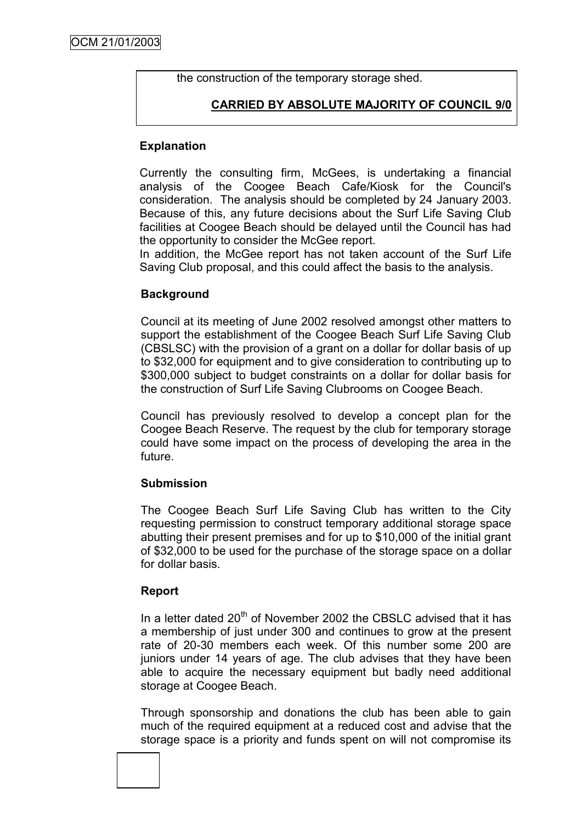the construction of the temporary storage shed.

## **CARRIED BY ABSOLUTE MAJORITY OF COUNCIL 9/0**

### **Explanation**

Currently the consulting firm, McGees, is undertaking a financial analysis of the Coogee Beach Cafe/Kiosk for the Council's consideration. The analysis should be completed by 24 January 2003. Because of this, any future decisions about the Surf Life Saving Club facilities at Coogee Beach should be delayed until the Council has had the opportunity to consider the McGee report.

In addition, the McGee report has not taken account of the Surf Life Saving Club proposal, and this could affect the basis to the analysis.

## **Background**

Council at its meeting of June 2002 resolved amongst other matters to support the establishment of the Coogee Beach Surf Life Saving Club (CBSLSC) with the provision of a grant on a dollar for dollar basis of up to \$32,000 for equipment and to give consideration to contributing up to \$300,000 subject to budget constraints on a dollar for dollar basis for the construction of Surf Life Saving Clubrooms on Coogee Beach.

Council has previously resolved to develop a concept plan for the Coogee Beach Reserve. The request by the club for temporary storage could have some impact on the process of developing the area in the future.

#### **Submission**

The Coogee Beach Surf Life Saving Club has written to the City requesting permission to construct temporary additional storage space abutting their present premises and for up to \$10,000 of the initial grant of \$32,000 to be used for the purchase of the storage space on a dollar for dollar basis.

#### **Report**

In a letter dated  $20<sup>th</sup>$  of November 2002 the CBSLC advised that it has a membership of just under 300 and continues to grow at the present rate of 20-30 members each week. Of this number some 200 are juniors under 14 years of age. The club advises that they have been able to acquire the necessary equipment but badly need additional storage at Coogee Beach.

Through sponsorship and donations the club has been able to gain much of the required equipment at a reduced cost and advise that the storage space is a priority and funds spent on will not compromise its

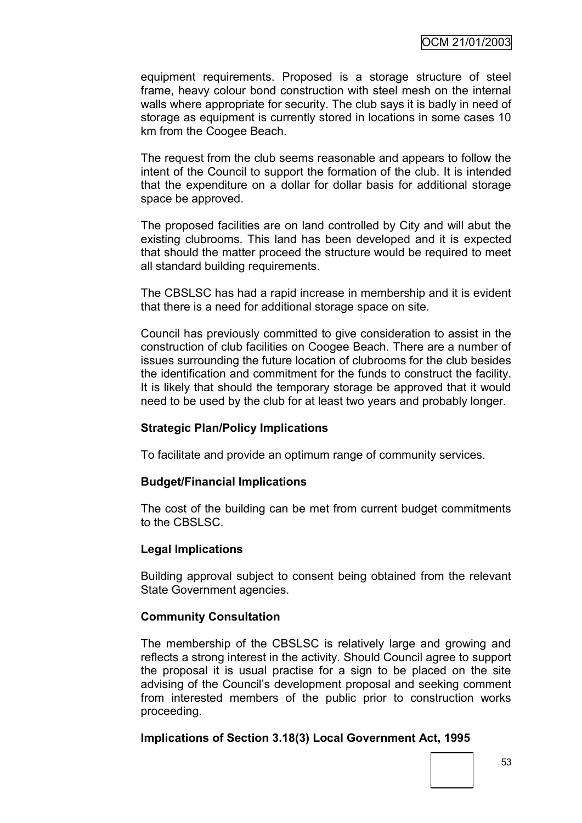equipment requirements. Proposed is a storage structure of steel frame, heavy colour bond construction with steel mesh on the internal walls where appropriate for security. The club says it is badly in need of storage as equipment is currently stored in locations in some cases 10 km from the Coogee Beach.

The request from the club seems reasonable and appears to follow the intent of the Council to support the formation of the club. It is intended that the expenditure on a dollar for dollar basis for additional storage space be approved.

The proposed facilities are on land controlled by City and will abut the existing clubrooms. This land has been developed and it is expected that should the matter proceed the structure would be required to meet all standard building requirements.

The CBSLSC has had a rapid increase in membership and it is evident that there is a need for additional storage space on site.

Council has previously committed to give consideration to assist in the construction of club facilities on Coogee Beach. There are a number of issues surrounding the future location of clubrooms for the club besides the identification and commitment for the funds to construct the facility. It is likely that should the temporary storage be approved that it would need to be used by the club for at least two years and probably longer.

#### **Strategic Plan/Policy Implications**

To facilitate and provide an optimum range of community services.

#### **Budget/Financial Implications**

The cost of the building can be met from current budget commitments to the CBSLSC.

#### **Legal Implications**

Building approval subject to consent being obtained from the relevant State Government agencies.

#### **Community Consultation**

The membership of the CBSLSC is relatively large and growing and reflects a strong interest in the activity. Should Council agree to support the proposal it is usual practise for a sign to be placed on the site advising of the Council"s development proposal and seeking comment from interested members of the public prior to construction works proceeding.

#### **Implications of Section 3.18(3) Local Government Act, 1995**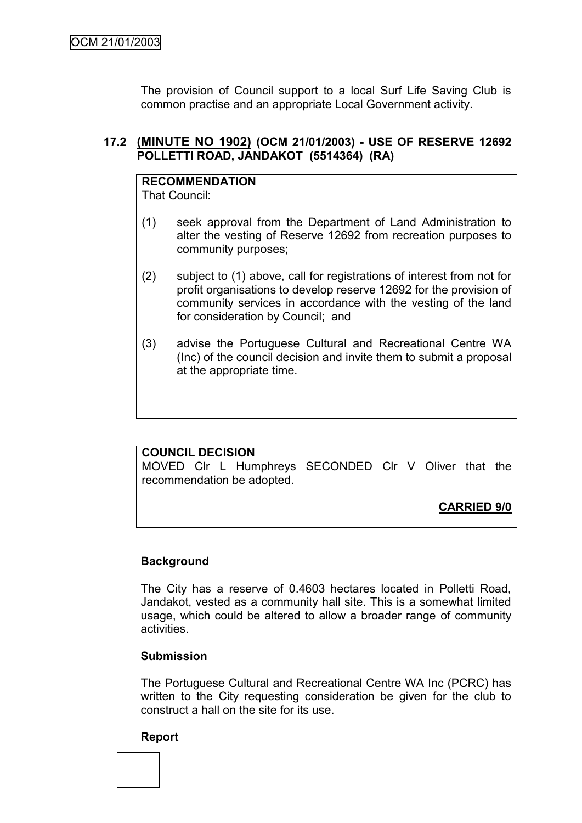The provision of Council support to a local Surf Life Saving Club is common practise and an appropriate Local Government activity.

## **17.2 (MINUTE NO 1902) (OCM 21/01/2003) - USE OF RESERVE 12692 POLLETTI ROAD, JANDAKOT (5514364) (RA)**

# **RECOMMENDATION**

That Council:

- (1) seek approval from the Department of Land Administration to alter the vesting of Reserve 12692 from recreation purposes to community purposes;
- (2) subject to (1) above, call for registrations of interest from not for profit organisations to develop reserve 12692 for the provision of community services in accordance with the vesting of the land for consideration by Council; and
- (3) advise the Portuguese Cultural and Recreational Centre WA (Inc) of the council decision and invite them to submit a proposal at the appropriate time.

## **COUNCIL DECISION**

MOVED Clr L Humphreys SECONDED Clr V Oliver that the recommendation be adopted.

**CARRIED 9/0**

## **Background**

The City has a reserve of 0.4603 hectares located in Polletti Road, Jandakot, vested as a community hall site. This is a somewhat limited usage, which could be altered to allow a broader range of community activities.

#### **Submission**

The Portuguese Cultural and Recreational Centre WA Inc (PCRC) has written to the City requesting consideration be given for the club to construct a hall on the site for its use.

#### **Report**

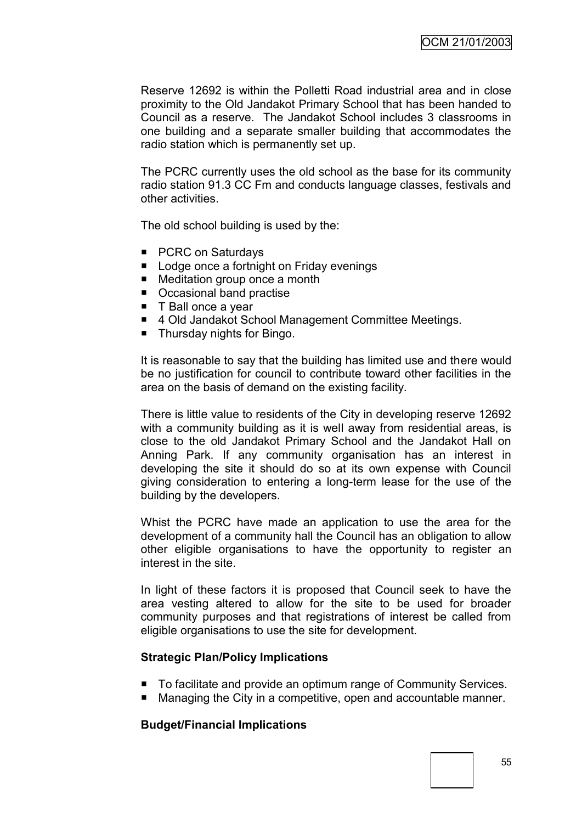Reserve 12692 is within the Polletti Road industrial area and in close proximity to the Old Jandakot Primary School that has been handed to Council as a reserve. The Jandakot School includes 3 classrooms in one building and a separate smaller building that accommodates the radio station which is permanently set up.

The PCRC currently uses the old school as the base for its community radio station 91.3 CC Fm and conducts language classes, festivals and other activities.

The old school building is used by the:

- PCRC on Saturdays
- **Lodge once a fortnight on Friday evenings**
- Meditation group once a month
- Occasional band practise
- T Ball once a vear
- 4 Old Jandakot School Management Committee Meetings.
- Thursday nights for Bingo.

It is reasonable to say that the building has limited use and there would be no justification for council to contribute toward other facilities in the area on the basis of demand on the existing facility.

There is little value to residents of the City in developing reserve 12692 with a community building as it is well away from residential areas, is close to the old Jandakot Primary School and the Jandakot Hall on Anning Park. If any community organisation has an interest in developing the site it should do so at its own expense with Council giving consideration to entering a long-term lease for the use of the building by the developers.

Whist the PCRC have made an application to use the area for the development of a community hall the Council has an obligation to allow other eligible organisations to have the opportunity to register an interest in the site.

In light of these factors it is proposed that Council seek to have the area vesting altered to allow for the site to be used for broader community purposes and that registrations of interest be called from eligible organisations to use the site for development.

#### **Strategic Plan/Policy Implications**

- To facilitate and provide an optimum range of Community Services.
- Managing the City in a competitive, open and accountable manner.

#### **Budget/Financial Implications**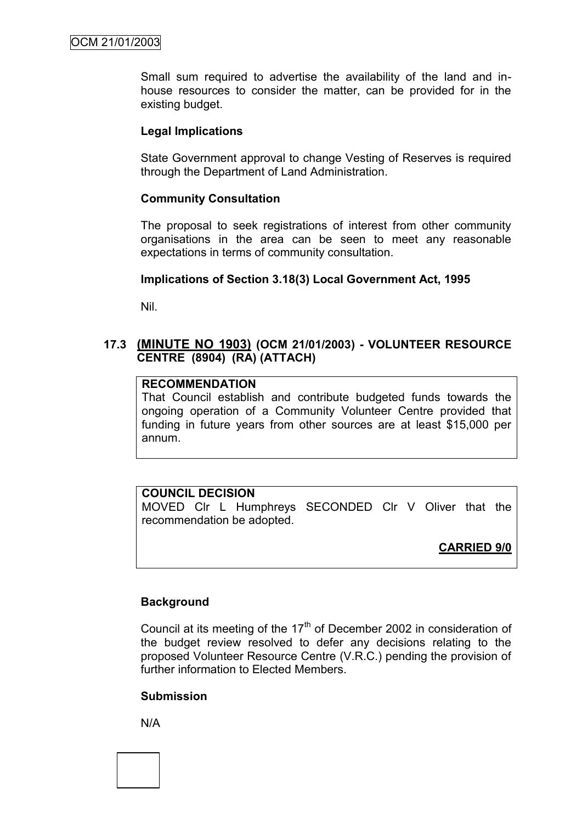Small sum required to advertise the availability of the land and inhouse resources to consider the matter, can be provided for in the existing budget.

#### **Legal Implications**

State Government approval to change Vesting of Reserves is required through the Department of Land Administration.

#### **Community Consultation**

The proposal to seek registrations of interest from other community organisations in the area can be seen to meet any reasonable expectations in terms of community consultation.

#### **Implications of Section 3.18(3) Local Government Act, 1995**

Nil.

### **17.3 (MINUTE NO 1903) (OCM 21/01/2003) - VOLUNTEER RESOURCE CENTRE (8904) (RA) (ATTACH)**

## **RECOMMENDATION**

That Council establish and contribute budgeted funds towards the ongoing operation of a Community Volunteer Centre provided that funding in future years from other sources are at least \$15,000 per annum.

#### **COUNCIL DECISION**

MOVED Clr L Humphreys SECONDED Clr V Oliver that the recommendation be adopted.

#### **CARRIED 9/0**

#### **Background**

Council at its meeting of the  $17<sup>th</sup>$  of December 2002 in consideration of the budget review resolved to defer any decisions relating to the proposed Volunteer Resource Centre (V.R.C.) pending the provision of further information to Elected Members.

#### **Submission**

N/A

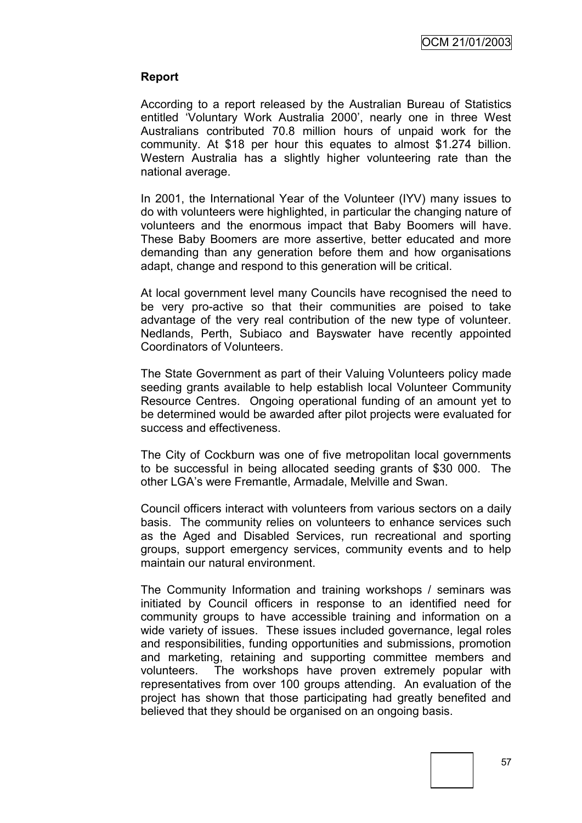#### **Report**

According to a report released by the Australian Bureau of Statistics entitled "Voluntary Work Australia 2000", nearly one in three West Australians contributed 70.8 million hours of unpaid work for the community. At \$18 per hour this equates to almost \$1.274 billion. Western Australia has a slightly higher volunteering rate than the national average.

In 2001, the International Year of the Volunteer (IYV) many issues to do with volunteers were highlighted, in particular the changing nature of volunteers and the enormous impact that Baby Boomers will have. These Baby Boomers are more assertive, better educated and more demanding than any generation before them and how organisations adapt, change and respond to this generation will be critical.

At local government level many Councils have recognised the need to be very pro-active so that their communities are poised to take advantage of the very real contribution of the new type of volunteer. Nedlands, Perth, Subiaco and Bayswater have recently appointed Coordinators of Volunteers.

The State Government as part of their Valuing Volunteers policy made seeding grants available to help establish local Volunteer Community Resource Centres. Ongoing operational funding of an amount yet to be determined would be awarded after pilot projects were evaluated for success and effectiveness.

The City of Cockburn was one of five metropolitan local governments to be successful in being allocated seeding grants of \$30 000. The other LGA"s were Fremantle, Armadale, Melville and Swan.

Council officers interact with volunteers from various sectors on a daily basis. The community relies on volunteers to enhance services such as the Aged and Disabled Services, run recreational and sporting groups, support emergency services, community events and to help maintain our natural environment.

The Community Information and training workshops / seminars was initiated by Council officers in response to an identified need for community groups to have accessible training and information on a wide variety of issues. These issues included governance, legal roles and responsibilities, funding opportunities and submissions, promotion and marketing, retaining and supporting committee members and volunteers. The workshops have proven extremely popular with representatives from over 100 groups attending. An evaluation of the project has shown that those participating had greatly benefited and believed that they should be organised on an ongoing basis.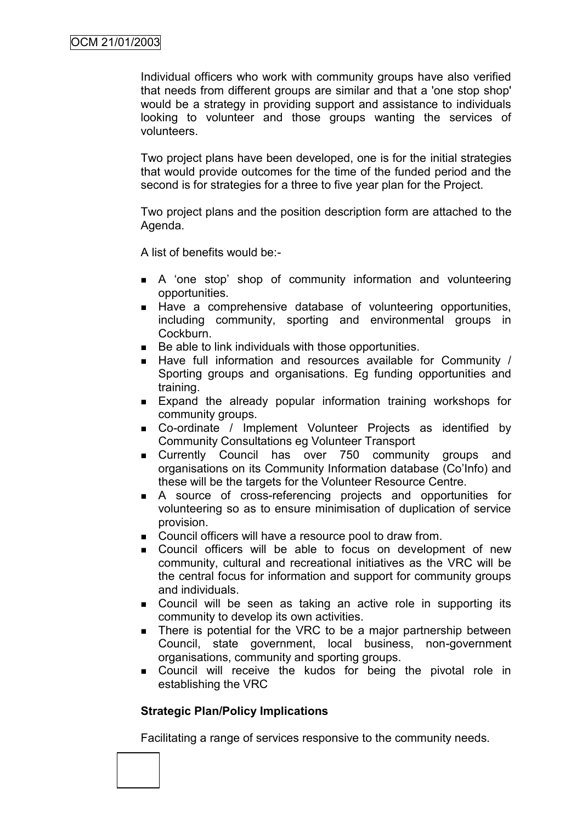Individual officers who work with community groups have also verified that needs from different groups are similar and that a 'one stop shop' would be a strategy in providing support and assistance to individuals looking to volunteer and those groups wanting the services of volunteers.

Two project plans have been developed, one is for the initial strategies that would provide outcomes for the time of the funded period and the second is for strategies for a three to five year plan for the Project.

Two project plans and the position description form are attached to the Agenda.

A list of benefits would be:-

- A "one stop" shop of community information and volunteering opportunities.
- Have a comprehensive database of volunteering opportunities, including community, sporting and environmental groups in Cockburn.
- Be able to link individuals with those opportunities.
- $\blacksquare$  Have full information and resources available for Community / Sporting groups and organisations. Eg funding opportunities and training.
- Expand the already popular information training workshops for community groups.
- Co-ordinate / Implement Volunteer Projects as identified by Community Consultations eg Volunteer Transport
- **Example 2** Currently Council has over 750 community groups and organisations on its Community Information database (Co"Info) and these will be the targets for the Volunteer Resource Centre.
- A source of cross-referencing projects and opportunities for volunteering so as to ensure minimisation of duplication of service provision.
- **Council officers will have a resource pool to draw from.**
- Council officers will be able to focus on development of new community, cultural and recreational initiatives as the VRC will be the central focus for information and support for community groups and individuals.
- **.** Council will be seen as taking an active role in supporting its community to develop its own activities.
- **There is potential for the VRC to be a major partnership between** Council, state government, local business, non-government organisations, community and sporting groups.
- Council will receive the kudos for being the pivotal role in establishing the VRC

## **Strategic Plan/Policy Implications**

Facilitating a range of services responsive to the community needs.

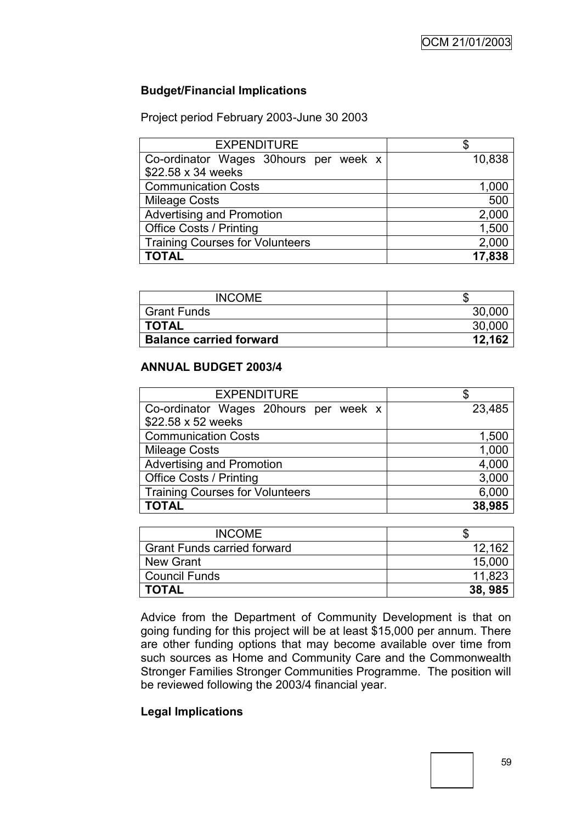## **Budget/Financial Implications**

Project period February 2003-June 30 2003

| <b>EXPENDITURE</b>                     |        |
|----------------------------------------|--------|
| Co-ordinator Wages 30hours per week x  | 10,838 |
| \$22.58 x 34 weeks                     |        |
| <b>Communication Costs</b>             | 1,000  |
| <b>Mileage Costs</b>                   | 500    |
| <b>Advertising and Promotion</b>       | 2,000  |
| <b>Office Costs / Printing</b>         | 1,500  |
| <b>Training Courses for Volunteers</b> | 2,000  |
| <b>TOTAL</b>                           | 17,838 |

| <b>INCOME</b>                  |        |
|--------------------------------|--------|
| <b>Grant Funds</b>             | 30,00  |
| <b>TOTAL</b>                   | 30,000 |
| <b>Balance carried forward</b> | 12 162 |

#### **ANNUAL BUDGET 2003/4**

| <b>EXPENDITURE</b>                     |        |
|----------------------------------------|--------|
| Co-ordinator Wages 20hours per week x  | 23,485 |
| \$22.58 x 52 weeks                     |        |
| <b>Communication Costs</b>             | 1,500  |
| <b>Mileage Costs</b>                   | 1,000  |
| <b>Advertising and Promotion</b>       | 4,000  |
| <b>Office Costs / Printing</b>         | 3,000  |
| <b>Training Courses for Volunteers</b> | 6,000  |
| <b>TOTAL</b>                           | 38,985 |

| <b>INCOME</b>                      |         |
|------------------------------------|---------|
| <b>Grant Funds carried forward</b> | 12,162  |
| New Grant                          | 15,000  |
| Council Funds                      | 11,823  |
| <b>TOTAL</b>                       | 38, 985 |

Advice from the Department of Community Development is that on going funding for this project will be at least \$15,000 per annum. There are other funding options that may become available over time from such sources as Home and Community Care and the Commonwealth Stronger Families Stronger Communities Programme. The position will be reviewed following the 2003/4 financial year.

### **Legal Implications**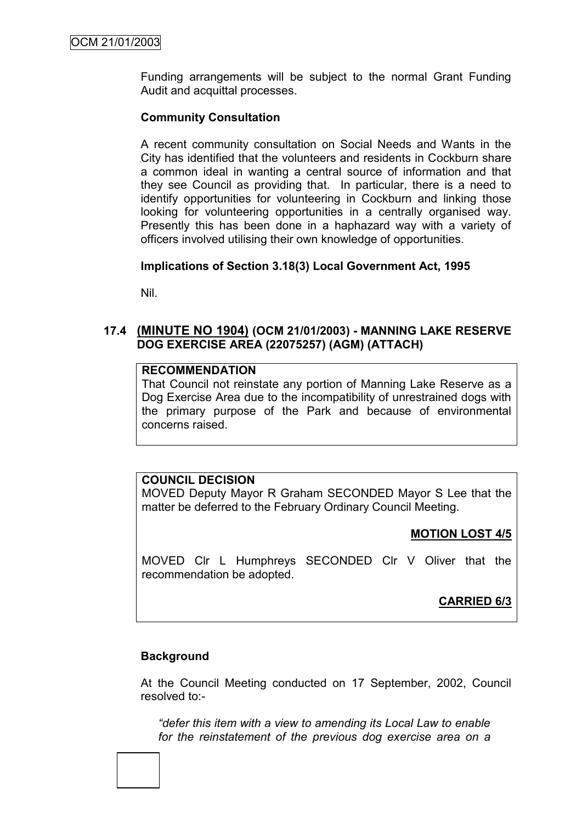Funding arrangements will be subject to the normal Grant Funding Audit and acquittal processes.

### **Community Consultation**

A recent community consultation on Social Needs and Wants in the City has identified that the volunteers and residents in Cockburn share a common ideal in wanting a central source of information and that they see Council as providing that. In particular, there is a need to identify opportunities for volunteering in Cockburn and linking those looking for volunteering opportunities in a centrally organised way. Presently this has been done in a haphazard way with a variety of officers involved utilising their own knowledge of opportunities.

## **Implications of Section 3.18(3) Local Government Act, 1995**

Nil.

## **17.4 (MINUTE NO 1904) (OCM 21/01/2003) - MANNING LAKE RESERVE DOG EXERCISE AREA (22075257) (AGM) (ATTACH)**

#### **RECOMMENDATION**

That Council not reinstate any portion of Manning Lake Reserve as a Dog Exercise Area due to the incompatibility of unrestrained dogs with the primary purpose of the Park and because of environmental concerns raised.

## **COUNCIL DECISION**

MOVED Deputy Mayor R Graham SECONDED Mayor S Lee that the matter be deferred to the February Ordinary Council Meeting.

#### **MOTION LOST 4/5**

MOVED Clr L Humphreys SECONDED Clr V Oliver that the recommendation be adopted.

## **CARRIED 6/3**

#### **Background**

At the Council Meeting conducted on 17 September, 2002, Council resolved to:-

*"defer this item with a view to amending its Local Law to enable for the reinstatement of the previous dog exercise area on a*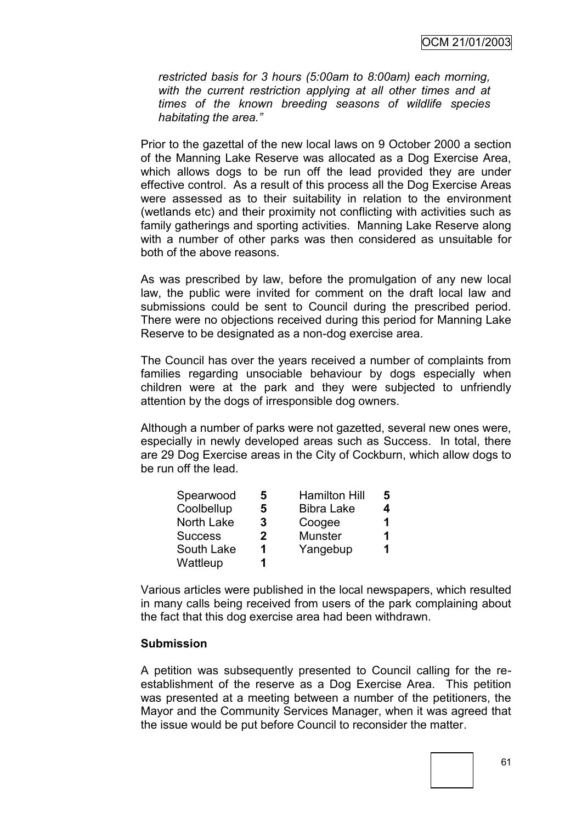*restricted basis for 3 hours (5:00am to 8:00am) each morning, with the current restriction applying at all other times and at times of the known breeding seasons of wildlife species habitating the area."*

Prior to the gazettal of the new local laws on 9 October 2000 a section of the Manning Lake Reserve was allocated as a Dog Exercise Area, which allows dogs to be run off the lead provided they are under effective control. As a result of this process all the Dog Exercise Areas were assessed as to their suitability in relation to the environment (wetlands etc) and their proximity not conflicting with activities such as family gatherings and sporting activities. Manning Lake Reserve along with a number of other parks was then considered as unsuitable for both of the above reasons.

As was prescribed by law, before the promulgation of any new local law, the public were invited for comment on the draft local law and submissions could be sent to Council during the prescribed period. There were no objections received during this period for Manning Lake Reserve to be designated as a non-dog exercise area.

The Council has over the years received a number of complaints from families regarding unsociable behaviour by dogs especially when children were at the park and they were subjected to unfriendly attention by the dogs of irresponsible dog owners.

Although a number of parks were not gazetted, several new ones were, especially in newly developed areas such as Success. In total, there are 29 Dog Exercise areas in the City of Cockburn, which allow dogs to be run off the lead.

| Spearwood      | 5            | <b>Hamilton Hill</b> | 5 |
|----------------|--------------|----------------------|---|
| Coolbellup     | 5            | <b>Bibra Lake</b>    | 4 |
| North Lake     | 3            | Coogee               | 1 |
| <b>Success</b> | $\mathbf{2}$ | <b>Munster</b>       | 1 |
| South Lake     | 1            | Yangebup             | 1 |
| Wattleup       | 1            |                      |   |

Various articles were published in the local newspapers, which resulted in many calls being received from users of the park complaining about the fact that this dog exercise area had been withdrawn.

#### **Submission**

A petition was subsequently presented to Council calling for the reestablishment of the reserve as a Dog Exercise Area. This petition was presented at a meeting between a number of the petitioners, the Mayor and the Community Services Manager, when it was agreed that the issue would be put before Council to reconsider the matter.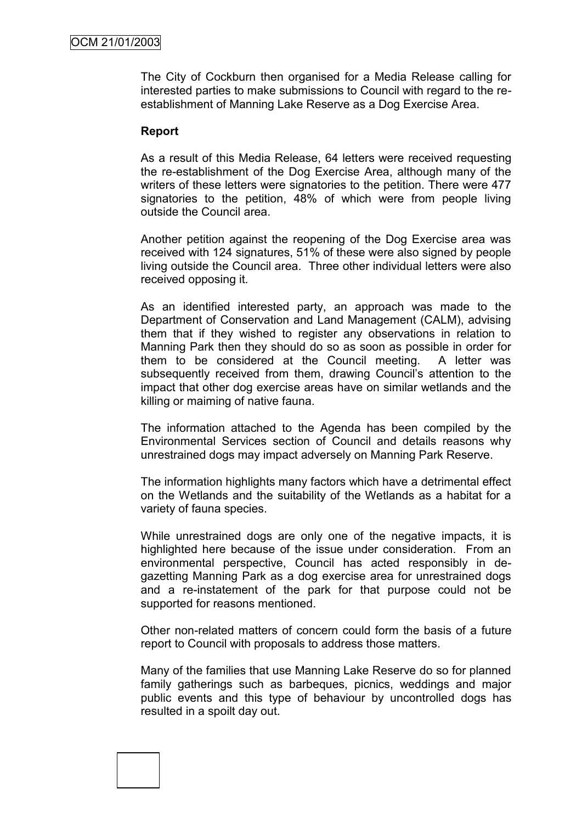The City of Cockburn then organised for a Media Release calling for interested parties to make submissions to Council with regard to the reestablishment of Manning Lake Reserve as a Dog Exercise Area.

#### **Report**

As a result of this Media Release, 64 letters were received requesting the re-establishment of the Dog Exercise Area, although many of the writers of these letters were signatories to the petition. There were 477 signatories to the petition, 48% of which were from people living outside the Council area.

Another petition against the reopening of the Dog Exercise area was received with 124 signatures, 51% of these were also signed by people living outside the Council area. Three other individual letters were also received opposing it.

As an identified interested party, an approach was made to the Department of Conservation and Land Management (CALM), advising them that if they wished to register any observations in relation to Manning Park then they should do so as soon as possible in order for them to be considered at the Council meeting. A letter was subsequently received from them, drawing Council's attention to the impact that other dog exercise areas have on similar wetlands and the killing or maiming of native fauna.

The information attached to the Agenda has been compiled by the Environmental Services section of Council and details reasons why unrestrained dogs may impact adversely on Manning Park Reserve.

The information highlights many factors which have a detrimental effect on the Wetlands and the suitability of the Wetlands as a habitat for a variety of fauna species.

While unrestrained dogs are only one of the negative impacts, it is highlighted here because of the issue under consideration. From an environmental perspective, Council has acted responsibly in degazetting Manning Park as a dog exercise area for unrestrained dogs and a re-instatement of the park for that purpose could not be supported for reasons mentioned.

Other non-related matters of concern could form the basis of a future report to Council with proposals to address those matters.

Many of the families that use Manning Lake Reserve do so for planned family gatherings such as barbeques, picnics, weddings and major public events and this type of behaviour by uncontrolled dogs has resulted in a spoilt day out.

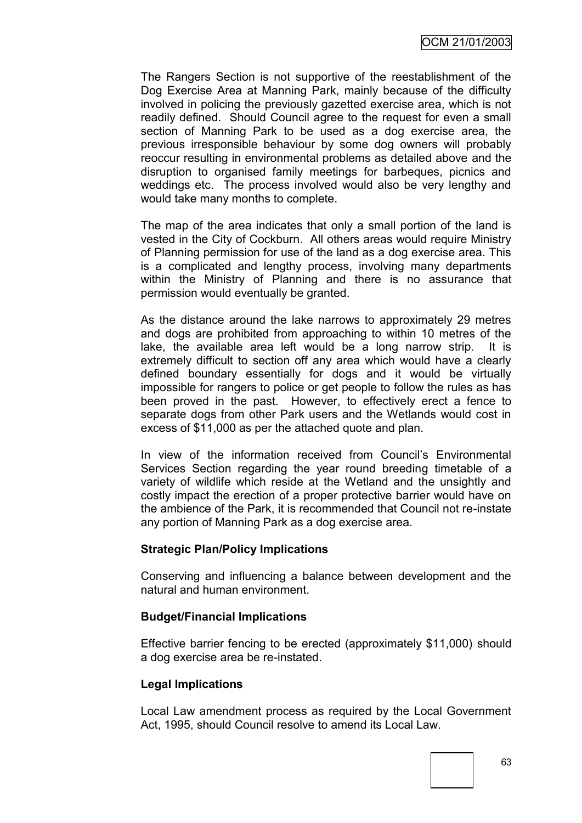The Rangers Section is not supportive of the reestablishment of the Dog Exercise Area at Manning Park, mainly because of the difficulty involved in policing the previously gazetted exercise area, which is not readily defined. Should Council agree to the request for even a small section of Manning Park to be used as a dog exercise area, the previous irresponsible behaviour by some dog owners will probably reoccur resulting in environmental problems as detailed above and the disruption to organised family meetings for barbeques, picnics and weddings etc. The process involved would also be very lengthy and would take many months to complete.

The map of the area indicates that only a small portion of the land is vested in the City of Cockburn. All others areas would require Ministry of Planning permission for use of the land as a dog exercise area. This is a complicated and lengthy process, involving many departments within the Ministry of Planning and there is no assurance that permission would eventually be granted.

As the distance around the lake narrows to approximately 29 metres and dogs are prohibited from approaching to within 10 metres of the lake, the available area left would be a long narrow strip. It is extremely difficult to section off any area which would have a clearly defined boundary essentially for dogs and it would be virtually impossible for rangers to police or get people to follow the rules as has been proved in the past. However, to effectively erect a fence to separate dogs from other Park users and the Wetlands would cost in excess of \$11,000 as per the attached quote and plan.

In view of the information received from Council"s Environmental Services Section regarding the year round breeding timetable of a variety of wildlife which reside at the Wetland and the unsightly and costly impact the erection of a proper protective barrier would have on the ambience of the Park, it is recommended that Council not re-instate any portion of Manning Park as a dog exercise area.

#### **Strategic Plan/Policy Implications**

Conserving and influencing a balance between development and the natural and human environment.

#### **Budget/Financial Implications**

Effective barrier fencing to be erected (approximately \$11,000) should a dog exercise area be re-instated.

#### **Legal Implications**

Local Law amendment process as required by the Local Government Act, 1995, should Council resolve to amend its Local Law.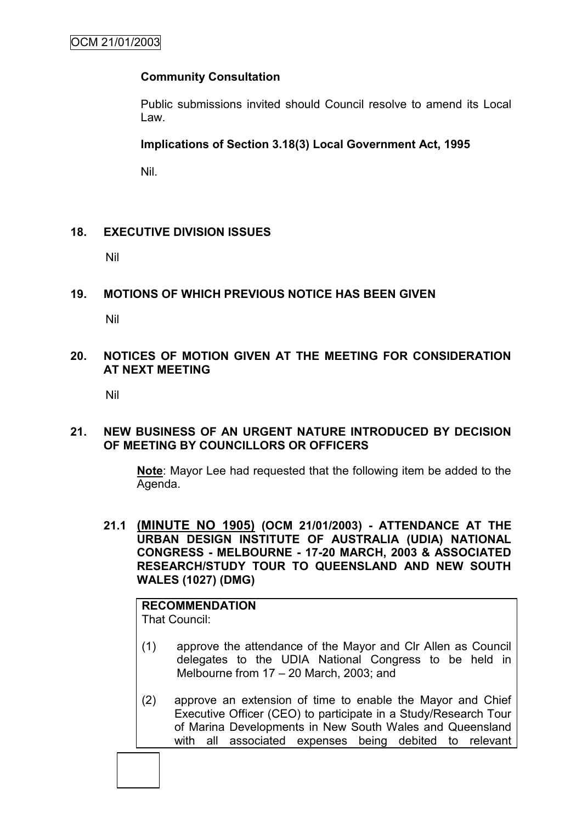## **Community Consultation**

Public submissions invited should Council resolve to amend its Local Law.

## **Implications of Section 3.18(3) Local Government Act, 1995**

Nil.

#### **18. EXECUTIVE DIVISION ISSUES**

Nil

## **19. MOTIONS OF WHICH PREVIOUS NOTICE HAS BEEN GIVEN**

Nil

#### **20. NOTICES OF MOTION GIVEN AT THE MEETING FOR CONSIDERATION AT NEXT MEETING**

Nil

#### **21. NEW BUSINESS OF AN URGENT NATURE INTRODUCED BY DECISION OF MEETING BY COUNCILLORS OR OFFICERS**

**Note**: Mayor Lee had requested that the following item be added to the Agenda.

**21.1 (MINUTE NO 1905) (OCM 21/01/2003) - ATTENDANCE AT THE URBAN DESIGN INSTITUTE OF AUSTRALIA (UDIA) NATIONAL CONGRESS - MELBOURNE - 17-20 MARCH, 2003 & ASSOCIATED RESEARCH/STUDY TOUR TO QUEENSLAND AND NEW SOUTH WALES (1027) (DMG)**

**RECOMMENDATION** That Council:

- (1) approve the attendance of the Mayor and Clr Allen as Council delegates to the UDIA National Congress to be held in Melbourne from 17 – 20 March, 2003; and
- (2) approve an extension of time to enable the Mayor and Chief Executive Officer (CEO) to participate in a Study/Research Tour of Marina Developments in New South Wales and Queensland with all associated expenses being debited to relevant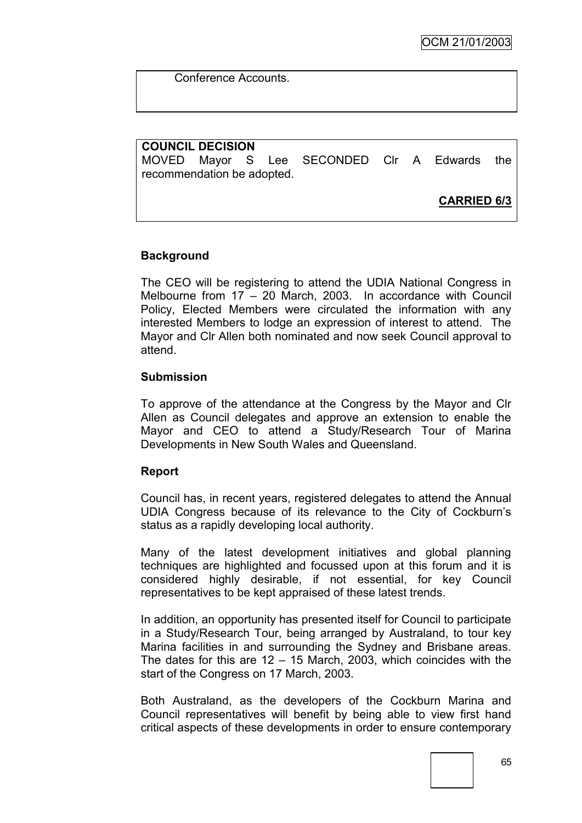Conference Accounts.

## **COUNCIL DECISION**

MOVED Mayor S Lee SECONDED Clr A Edwards the recommendation be adopted.

**CARRIED 6/3**

## **Background**

The CEO will be registering to attend the UDIA National Congress in Melbourne from 17 – 20 March, 2003. In accordance with Council Policy, Elected Members were circulated the information with any interested Members to lodge an expression of interest to attend. The Mayor and Clr Allen both nominated and now seek Council approval to attend.

#### **Submission**

To approve of the attendance at the Congress by the Mayor and Clr Allen as Council delegates and approve an extension to enable the Mayor and CEO to attend a Study/Research Tour of Marina Developments in New South Wales and Queensland.

#### **Report**

Council has, in recent years, registered delegates to attend the Annual UDIA Congress because of its relevance to the City of Cockburn"s status as a rapidly developing local authority.

Many of the latest development initiatives and global planning techniques are highlighted and focussed upon at this forum and it is considered highly desirable, if not essential, for key Council representatives to be kept appraised of these latest trends.

In addition, an opportunity has presented itself for Council to participate in a Study/Research Tour, being arranged by Australand, to tour key Marina facilities in and surrounding the Sydney and Brisbane areas. The dates for this are  $12 - 15$  March, 2003, which coincides with the start of the Congress on 17 March, 2003.

Both Australand, as the developers of the Cockburn Marina and Council representatives will benefit by being able to view first hand critical aspects of these developments in order to ensure contemporary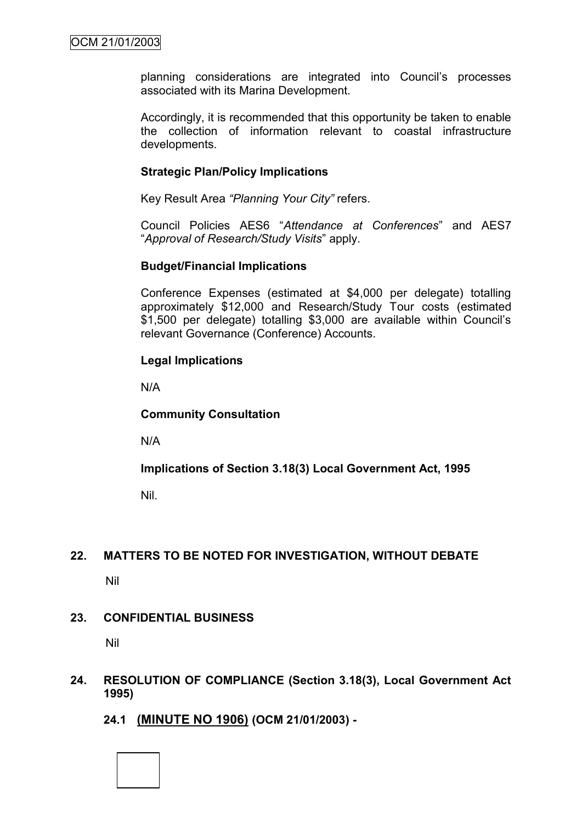planning considerations are integrated into Council"s processes associated with its Marina Development.

Accordingly, it is recommended that this opportunity be taken to enable the collection of information relevant to coastal infrastructure developments.

#### **Strategic Plan/Policy Implications**

Key Result Area *"Planning Your City"* refers.

Council Policies AES6 "*Attendance at Conferences*" and AES7 "*Approval of Research/Study Visits*" apply.

#### **Budget/Financial Implications**

Conference Expenses (estimated at \$4,000 per delegate) totalling approximately \$12,000 and Research/Study Tour costs (estimated \$1,500 per delegate) totalling \$3,000 are available within Council"s relevant Governance (Conference) Accounts.

#### **Legal Implications**

N/A

#### **Community Consultation**

N/A

#### **Implications of Section 3.18(3) Local Government Act, 1995**

Nil.

#### **22. MATTERS TO BE NOTED FOR INVESTIGATION, WITHOUT DEBATE**

Nil

#### **23. CONFIDENTIAL BUSINESS**

Nil

#### **24. RESOLUTION OF COMPLIANCE (Section 3.18(3), Local Government Act 1995)**

**24.1 (MINUTE NO 1906) (OCM 21/01/2003) -**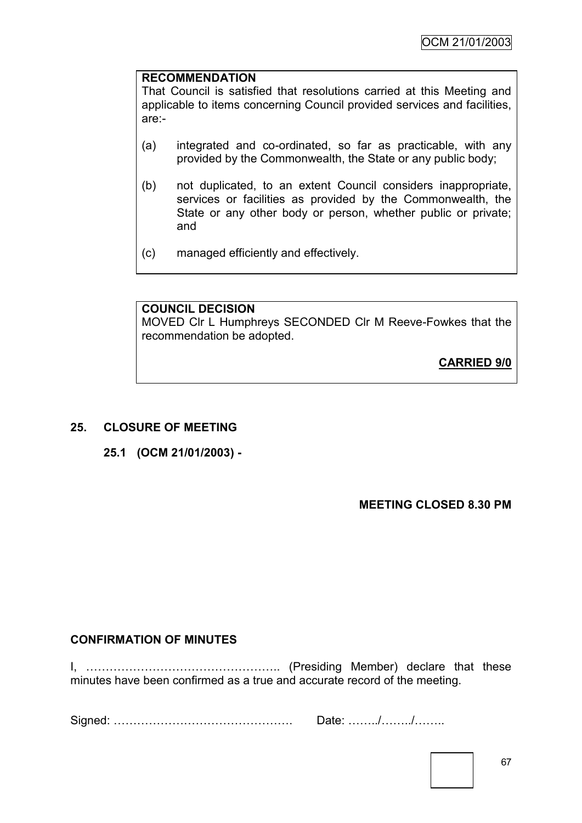#### **RECOMMENDATION**

That Council is satisfied that resolutions carried at this Meeting and applicable to items concerning Council provided services and facilities, are:-

- (a) integrated and co-ordinated, so far as practicable, with any provided by the Commonwealth, the State or any public body;
- (b) not duplicated, to an extent Council considers inappropriate, services or facilities as provided by the Commonwealth, the State or any other body or person, whether public or private; and
- (c) managed efficiently and effectively.

#### **COUNCIL DECISION**

MOVED Clr L Humphreys SECONDED Clr M Reeve-Fowkes that the recommendation be adopted.

**CARRIED 9/0**

#### **25. CLOSURE OF MEETING**

**25.1 (OCM 21/01/2003) -**

**MEETING CLOSED 8.30 PM**

## **CONFIRMATION OF MINUTES**

I, ………………………………………….. (Presiding Member) declare that these minutes have been confirmed as a true and accurate record of the meeting.

Signed: ………………………………………. Date: ……../……../……..